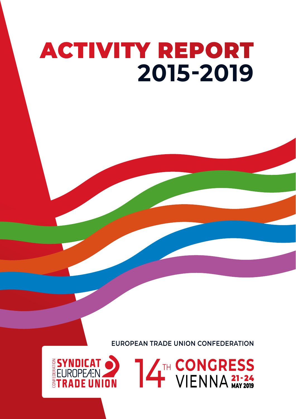# ACTIVITY REPORT **2015-2019**

**EUROPEAN TRADE UNION CONFEDERATION**

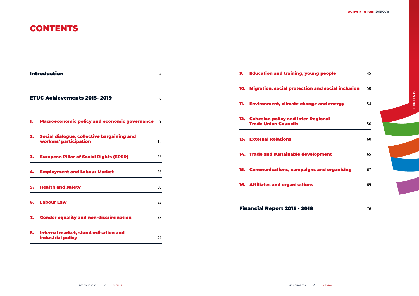#### **ACTIVITY REPORT** 2015-2019

# CONTENTS



|    | <b>Introduction</b>                                                  | 4  | <b>Education and training, young people</b><br>9.                     | 45 |
|----|----------------------------------------------------------------------|----|-----------------------------------------------------------------------|----|
|    |                                                                      |    | 10. Migration, social protection and social inclusion                 | 50 |
|    | <b>ETUC Achievements 2015-2019</b>                                   | 8  | <b>Environment, climate change and energy</b><br>11.                  | 54 |
| 1. | Macroeconomic policy and economic governance 9                       |    | 12. Cohesion policy and Inter-Regional<br><b>Trade Union Councils</b> | 56 |
| 2. | Social dialogue, collective bargaining and<br>workers' participation | 15 | <b>13. External Relations</b>                                         | 60 |
| 3. | <b>European Pillar of Social Rights (EPSR)</b>                       | 25 | 14. Trade and sustainable development                                 | 65 |
| 4. | <b>Employment and Labour Market</b>                                  | 26 | 15. Communications, campaigns and organising                          | 67 |
| 5. | <b>Health and safety</b>                                             | 30 | <b>16. Affiliates and organisations</b>                               | 69 |
| 6. | <b>Labour Law</b>                                                    | 33 | <b>Financial Report 2015 - 2018</b>                                   | 76 |
|    | 7. Gender equality and non-discrimination                            | 38 |                                                                       |    |
| 8. | Internal market, standardisation and<br>industrial policy            | 42 |                                                                       |    |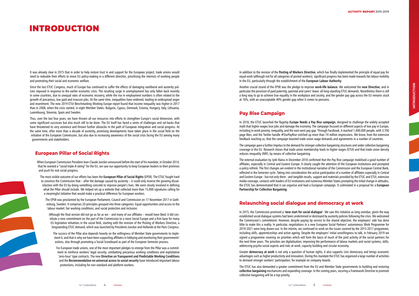# INTRODUCTION

It was already clear in 2015 that in order to help restore trust in and support for the European project, trade unions would need to redouble their efforts to move EU policy-making in a different direction, prioritising the interests of working people and promoting their social and economic welfare.

Since the last ETUC Congress, much of Europe has continued to suffer the effects of damaging neoliberal and austerity policies imposed in response to the earlier economic crisis. The resulting surge in unemployment has only fallen back recently in some countries, due to unequal rates of economic recovery, while the rise in employment numbers is often related to the growth of precarious, low paid and insecure jobs. At the same time, inequalities have widened, leading to widespread anger and resentment. The new 2019 ETUI Benchmarking Working Europe report found that income inequality was higher in 2017 than in 2008, when the crisis started, in eight Member States: Bulgaria, Cyprus, Denmark, Estonia, Hungary, Italy, Lithuania, Luxembourg, Slovenia, Spain and Sweden.

Thus, over the last four years, we have thrown all our resources into efforts to strengthen Europe's social dimension, with some significant successes but also much still to be done. The EU itself has faced a series of challenges and set-backs that have threatened its very existence and thrown further obstacles in the path of European integration and social progress. At the same time, after more than a decade of austerity, promising developments have taken place in the social field on the initiative of the European Commission, but also due to increasing awareness of the social crisis facing the EU among many governments and stakeholders.

## **European Pillar of Social Rights**

When European Commission President Jean-Claude Juncker announced before the start of his mandate, in October 2014, that he wanted a "social triple-A rating" for the EU, we saw our opportunity to keep European leaders to their promises and push for real social progress.

The most visible outcome of our efforts has been the **European Pillar of Social Rights** (EPSR). The ETUC fought hard to convince the Commission that – after the damage caused by austerity – it could only reverse the growing dissatisfaction with the EU by doing something concrete to improve people's lives. We were closely involved in defining what the Pillar should include. We helped set up a website that collected more than 15,000 signatures calling for a meaningful initiative that would make a practical difference for European workers.

The EPSR was proclaimed by the European Parliament, Council and Commission on 17 November 2017 in Gothenburg, Sweden. It comprises 20 principles grouped into three categories: Equal opportunities and access to the labour market; fair working conditions; and social protection and inclusion.

Although the final version did not go as far as we – and many of our affiliates – would have liked, it did constitute a new commitment on the part of the Commission to a more Social Europe and a firm base for many EU legislative initiatives in the social field, starting with the revision of the Posting of Workers Directive, a longstanding ETUC demand, which was launched by Presidents Juncker and Hollande at the Paris Congress.

The success of the Pillar also depends heavily on the willingness of Member State governments to implement it, and that is why we have been supporting affiliates in lobbying and monitoring their governments' actions, also through promoting a Social Scoreboard as part of the European Semester process.

For European trade unions, one of the most important pledges to emerge from the Pillar was a commitment to reinforce workers' legal security, combatting precarious working conditions and exploitative 'zero-hour' type contracts. The new **Directive on Transparent and Predictable Working Conditions** and the **Recommendation on universal access to social security** have introduced important labour protections, including for non-standard and platform workers.

In addition to the revision of the **Posting of Workers Directive**, which has finally implemented the principle of equal pay for equal work (although not for all categories of posted workers), significant progress has been made towards fair labour mobility in the EU, particularly through the establishment of the **European Labour Authority**.

Another crucial strand of the EPSR was the pledge to improve **work-life balance**. We welcomed the **new Directive**, and in particular the provision of paid paternity, parental and carers' leave: all long-standing ETUC demands. Nonetheless there is still a long way to go to achieve true equality in the workplace and society, and the gender pay gap across the EU remains stuck at 16%, with an unacceptable 40% gender gap when it comes to pensions.

## **Pay Rise Campaign**

In 2016, the ETUC launched the flagship **Europe Needs a Pay Rise campaign**, designed to challenge the widely accepted myth that higher wages lose jobs and damage the economy. The campaign focused on different aspects of low pay in Europe, including in-work poverty, inequality, and the east-west pay gap. Through Facebook, it reached 1,400,000 people, with 3,700 page likes, and the Twitter handle #OurPayRise notched up more than 74 million impressions. We know, from the extensive feedback reaching us, that the campaign boosted trade union wage demands and agreements in a number of countries.

The campaign gave a further impetus to the demand for stronger collective bargaining structures and wider collective bargaining coverage in the EU. Research shows that trade union membership leads to higher wages (ETUI) and that trade union density reduces inequality (IMF), by means of collective bargaining.

The external evaluation by Jyrki Raina in December 2018 confirmed that the Pay Rise campaign mobilised a good number of affiliates, especially in Central and Eastern Europe. It clearly caught the attention of the European institutions and prompted a policy rethink. The first changes are evident in the institutional narrative of the Commission and the European Central Bank, reflected in the Semester cycle. Taking into consideration the active participation of a number of affiliates especially in Central and Eastern Europe - but not only there - and tangible results, support and materials provided by the ETUC and ETUI, extensive media coverage, contacts with leaders of EU institutions and numerous Member States prompting the initial change in attitudes, the ETUC has demonstrated that it can organise and lead a European campaign. It culminated in a proposal for a **European Partnership for Collective Bargaining**.

## **Relaunching social dialogue and democracy at work**

In 2015, the Commission promised a **'new start for social dialogue'**. We saw this initiative as long overdue, given the way established social dialogue systems had been undermined or destroyed by austerity policies following the crisis. We welcomed the Commission's commitment. However, despite paying lip service to the shared objective, the employers' side has done little to make this a reality. In particular, negotiations in a new European Social Partners' autonomous Work Programme for 2019-2021 were long drawn-out. In the interim, we continued to work on the issues covered by the 2015-2017 programme, including skills, apprenticeships and active ageing. Despite the employers' initial unwillingness to talk, in February 2019 we signed a programme covering six priorities which will form the basis of much of the joint activity of the social partners for the next three years. The priorities are digitalisation; improving the performance of labour markets and social systems; skills; addressing psycho-social aspects and risks at work; capacity building and circular economy.

Greater **democracy at work** is not only a question of human rights, it also supports civic democracy and brings economic advantages such as higher productivity and innovation. During this mandate the ETUC has organised a large number of activities to demand stronger workers' participation, for example on company boards.

The ETUC has also demanded a greater commitment from the EU and Member State governments to building and restoring **collective bargaining** mechanisms and expanding coverage. In the coming years, securing a Framework Directive to promote collective bargaining will be a top priority.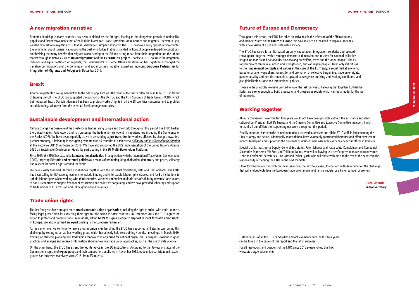## **A new migration narrative**

Economic hardship in many countries has been exploited by the far-right, leading to the dangerous growth of nationalist, populist and fascist movements that often laid the blame for Europe's problems on minorities and migrants. The war in Syria was the catalyst for a migration crisis that has challenged European solidarity. The ETUC has taken every opportunity to counter the inhumane, populist narrative, opposing the deal with Turkey that has stranded millions of people in degrading conditions, emphasising the many benefits that migrant workers bring to the EU and acting to facilitate their integration into the labour market through initiatives such as **UnionMigrantNet** and the **LABOUR-INT project**. Thanks to ETUC pressure for integration, inclusion and equal treatment of migrants, the Commission's DG Home Affairs and Migration has significantly changed the narrative on migration, and the Commission and social partners together signed an important **European Partnership for Integration of Migrants and Refugees** in December 2017.

#### **Brexit**

Another regrettable development linked to the tide of populism was the result of the British referendum in June 2016 in favour of leaving the EU. The ETUC has supported the position of the UK TUC and the Irish Congress of Trade Unions (ICTU), which both opposed Brexit. Our joint demand has been to protect workers' rights in all the 28 countries concerned and to prohibit social dumping, whatever form the eventual Brexit arrangement takes.

#### **Sustainable development and international action**

Climate change has been one of the greatest challenges facing Europe and the world throughout this period. The ETUC backed the United Nations Paris Accord and has presented the trade union viewpoint in important fora including the Conference of the Parties (COP). We have been especially active in demanding a **just transition** for workers affected by changes towards a greener economy, culminating in the signing by more than 45 countries of a ministerial Solidarity and Just Transition Declaration at the Katowice COP 24 in December 2018. We have also supported the EU's implementation of the United Nations Agenda 2030 on Sustainable Development Goals, by participating in the **EU Multi-Stakeholder Platform**.

Since 2015, the ETUC has expanded its **international activities**, in cooperation with the International Trade Union Confederation (ITUC), targeting **EU trade and external policies** as a means of promoting fair globalisation, democracy and peace, solidarity and respect for human rights around the world.

We have closely followed EU trade negotiations together with the industrial federations, ITUC and ITUC affiliates. The ETUC has been calling for EU trade agreements to include binding and enforceable labour rights clauses, and for EU institutions to uphold labour rights when working with third countries. We have undertaken multiple acts of solidarity towards trade unions in non-EU countries to support freedom of association and collective bargaining, and we have provided solidarity and support to trade unions in EU accession and EU neighbourhood countries.

# **Trade union rights**

The last four years have brought more **attacks on trade union organisation**, including the right to strike, with trade unionists facing legal prosecution for exercising their right to take action in some countries. In December 2015 the ETUC agreed on action to protect and promote trade union rights, asking **MEPs to sign a pledge to support respect for trade union rights in Europe**. We also organised an expert briefing in the European Parliament.

At the same time, we continue to face a drop in **union membership**. The ETUC has supported affiliates in confronting this challenge by setting up an ad-hoc working group which has already held two training / political meetings. In March 2019, training on strategic planning and trade union renewal was organised for national organisers. Participants exchanged good practices and analysis and received information about innovative trade union approaches, such as the use of data science.

On the other hand, the ETUC has **strengthened its voice in the EU institutions**. According to the Review of status of the Commission's register of expert groups and their composition, published in November 2018, trade union participation in expert groups has increased massively since 2015, from 6% to 24%.

#### **Future of Europe and Democracy**

Throughout this period, the ETUC has taken an active role in the reflections of the EU institutions and Member States on the **Future of Europe**. We have insisted on the need to inspire Europeans with a new vision of a just and sustainable society.

The ETUC has called for an EU based on unity, cooperation, integration, solidarity and upward convergence, together with a stronger democratic dimension and respect for national collective bargaining models and national decision-making on welfare, taxes and the labour market. The European project can be relaunched and strengthened, and can regain people's trust, only if it returns to **the fundamental concepts and values at the core of the EU Treaty**: a social market economy, based on a fairer wage share, respect for and promotion of collective bargaining, trade union rights, gender equality and non-discrimination, upward convergence on living and working conditions, and just globalisation, trade and international policies.

These are the principles we have worked for over the last four years, believing that together, EU Member States are strong enough to build a peaceful and prosperous society which can be a model for the rest of the world.

## **Working together**

All our achievements over the last four years would not have been possible without the assistance and dedication of our President Rudi De Leeuw, and the Steering Committee and Executive Committee members. I wish to thank all our affiliates for supporting our work throughout this period.

Equally important has been the commitment of our secretariat, advisers and all the ETUC staff, in implementing the ETUC strategy and action. Additionally, many of them have voluntarily contributed their time and effort over recent months to helping and supporting the hundreds of refugees who assemble every day near our offices in Brussels.

Special thanks must go to Deputy General Secretaries Peter Scherrer and Katja Lehto-Komulainen and Confederal Secretaries Montserrat Mir Roca and Thiébaut Weber, who will be leaving us after Congress to move on to new roles – and to Confederal Secretaries Liina Carr and Esther Lynch, who will share with me and the rest of the new team the responsibility of steering the ETUC in the next mandate.

I look forward to working with our new team over the next four years, to confront with determination the challenges that will undoubtedly face the European trade union movement in its struggle for a Fairer Europe for Workers!

> Luca Visentini **General Secretary**

Further details of all the ETUC's activities and achievements over the last four years can be found in the pages of this report and the list of successes.

For all resolutions and positions of the ETUC since 2015 please follow this link: www.etuc.org/en/documents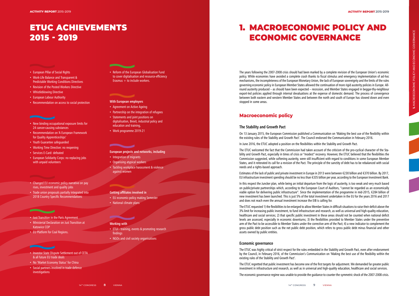- 
- 
- 
- 
- 
- 

# ETUC ACHIEVEMENTS 2015 - 2019

# 1. MACROECONOMIC POLICY AND ECONOMIC GOVERNANCE

- European Pillar of Social Rights
- Work-Life Balance and Transparent & Predictable Working Conditions Directives
- Revision of the Posted Workers Directive
- Whistleblowing Directive
- European Labour Authority
- Recommendation on access to social protection

- New binding occupational exposure limits for 24 cancer-causing substances
- Recommendation on 'A European Framework for Quality Apprenticeships'
- Youth Guarantee safeguarded
- Working Time Directive: no reopening
- Services E-Card: defeated
- European Solidarity Corps: no replacing jobs with unpaid volunteers

• Reform of the European Globalisation Fund to cover digitalisation and resource-efficiency Erasmus  $+$  to include workers.

- Changed EU economic policy narrative on pay rises, investment and quality jobs
- Trade union proposals partially integrated into 2018 Country Specific Recommendations

- Just Transition in the Paris Agreement
- Ministerial Declaration on Just Transition at Katowice COP
- EU Platform for Coal Regions.

#### • Investor State Dispute Settlement out of CETA & all future EU trade deals

- No 'Market Economy Status' for China
- Social partners involved in trade defence investigations

#### **With European employers**

- Agreement on Active Ageing
- Partnership on the integration of refugees
- Statements and joint positions on digitalisation, Brexit, industrial policy and education and training,
- Work programme 2019-21

#### **European projects and networks, including**

- Integration of migrants
- Organising atypical workers
- Tackling workplace harassment & violence against women

#### **Getting affiliates involved in**

- EU economic-policy making Semester
- National climate plans

## **Working with**

- ETUI training, events & promoting research findings
- NGOs and civil society organisations

The years following the 2007-2008 crisis should had been marked by a complete revision of the European Union's economic policy. While economies have avoided a complete crash thanks to fiscal stimulus and emergency implementation of ad-hoc mechanisms, the incompleteness of the European Monetary Union, the lack of European sovereignty and the limits of the rules governing economic policy in European Member States allowed the continuation of more rigid austerity policies in Europe. Allround austerity produced – as should have been expected – recession, and Member States engaged in beggar-thy-neighbour export-led policies applied through internal devaluations at the expense of domestic demand. The process of convergence between both eastern and western Member States and between the north and south of Europe has slowed down and even stopped in some areas.

## **Macroeconomic policy**

#### **The Stability and Growth Pact**

On 13 January 2015, the European Commission published a Communication on 'Making the best use of the flexibility within the existing rules of the Stability and Growth Pact'. The Council endorsed the Communication in February 2016.

In June 2016, the ETUC adopted a position on the flexibilities within the Stability and Growth Pact.

The ETUC welcomed the fact that the Commission had taken account of the criticism of the pro-cyclical character of the Sta bility and Growth Pact, especially in times of crisis or "modest" recovery. However, the ETUC believed that the flexibilities the Commission suggested, while softening austerity, were still insufficient with regard to conditions in some European Member States, and it reiterated its call for a revision of the Pact. The principle of the sanctity of debt has to be rebalanced with social needs and a rights-based approach.

Estimates of the lack of public and private investment in Europe in 2013 were between €230 billion and €370 billion. By 2017, EU infrastructure investment spending should be no less than €335 billion per year, according to the European Investment Bank.

In this respect the Juncker plan, while being an initial departure from the logic of austerity, is too weak and very much based on public/private partnerships which, according to the European Court of Auditors, "cannot be regarded as an economically viable option for delivering public infrastructure". Since the implementation of the programme in mid-2015, €284 billion of new investment has been launched. This is just 5% of the total investment undertaken in the EU for the years 2016 and 2017 and does not reach even the annual investment increase the EIB is calling for.

The ETUC requested 1) the flexibilities to be enlarged to allow Member States in difficult situations to raise their deficit above the 3% limit for increasing public investment, to fund infrastructure and research, as well as universal and high-quality education, healthcare and social services; 2) that specific public investment in these areas should not be counted when national deficit levels are assessed, especially in economic downturns; 3) the flexibilities provided to Member States under the preventive arm of the Pact to be accessible to Member States under the corrective arm of the Pact; 4) a new indicator to complement the gross public debt position such as the net public debt position, which refers to gross public debt minus financial and other assets owned by public entities.

#### **Economic governance**

The ETUC was highly critical of strict respect for the rules embedded in the Stability and Growth Pact, even after endorsement by the Council, in February 2016, of the Commission's Communication on 'Making the best use of the flexibility within the existing rules of the Stability and Growth Pact'.

The ETUC regretted that public investment has become one of the first targets for adjustment. We demanded far greater public investment in infrastructure and research, as well as in universal and high-quality education, healthcare and social services.

The economic governance regime was unable to provide the guidance to counter the symmetric shock of the 2007-2008 crisis.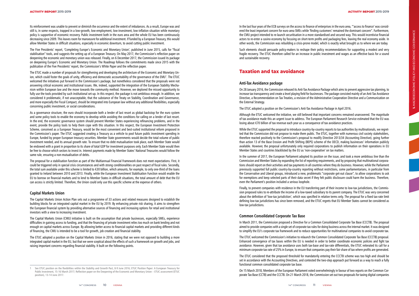Its reinforcement was unable to prevent or diminish the occurrence and the extent of imbalances. As a result, Europe was and still is, in some respects, trapped in a low-growth, low-employment, low-investment, low-inflation situation while monetary policy is supportive of economic recovery. Public investment both in the euro area and the whole EU has been continuously decreasing since 2009. This leaves room for manoeuvre for additional investment. If funded by a European Treasury, this would allow Member States in difficult situations, especially in economic downturn, to avoid cutting public investment.

The Five Presidents' report, 'Completing Europe's Economic and Monetary Union', published in June 2015, calls for "fiscal stabilisation" tools, and suggests the setting up of a European Treasury. On May 2017, the Commission's reflection paper on deepening the economic and monetary union was released. Finally, on 6 December 2017, the Commission issued its package on deepening Europe's Economic and Monetary Union. The Roadmap follows the commitments made since 2015 with the publication of the Five Presidents' report, the Commission's White Paper and the reflection paper.

The ETUC made a number of proposals for strengthening and developing the architecture of the Economic and Monetary Union, which could foster the goals of unity, efficiency and democratic accountability of the governance of the EMU'. The ETUC welcomed the initiatives put forward in the Commission's package, but nonetheless considered that the proposals were not answering critical economic and institutional issues. We, indeed, supported the integration of the European Stability Mechanism within European law and the move towards the community method. However, we deplored the missed opportunity to fully use the tools provided by such institutional set-up. In this respect, the package is not ambitious enough. In addition, we considered it problematic, if not unacceptable, that the substance of the Treaty on Stability, Coordination and Governance, and more especially the Fiscal Compact, should be integrated into European law without any additional flexibilities, especially concerning public investment, or social considerations.

As a governance structure, the euro should incorporate both a lender of last resort as global backstop for the euro system and some policy tools to enable the economy to develop while avoiding the conditions for calling on a lender of last resort. In the end, the economic governance system should prevent Member States experiencing refinancing problems, and in the event, provide the policy tools to help them cope with this situation. In this respect, the European Investment Protection Scheme, conceived as a European Treasury, would be the most convenient and best-suited institutional reform proposed in the Commission's paper. The ETUC suggested creating a Treasury as a vehicle to pool future public investment spending in Europe, funded by proper European treasury securities. Member State governments would decide the total volume of public investment needed, and its annual growth rate. To ensure that no debt mutualisation took place, each Member State would be endowed with a grant in proportion to its share of total GDP for investment purposes only. Each Member State would then be free to choose which sectors to invest in. Interest payments made by Member States' National Treasuries would follow the same rule, ensuring a non-mutualisation of debts.

The proposal for a stabilisation function as part of the Multiannual Financial Framework does not meet expectations. First, it could be triggered only in special crisis circumstances and with strong conditionalities on past respect of fiscal rules. Secondly, the total sum available under this scheme is limited to €30 billion, which amounts, for example, to only one-third of the loans granted to Ireland between 2010 and 2013. Finally, while the European Investment Stabilisation Function would enable the EU to borrow on financial markets and to lend to Member States in difficult situations, the total amount of debt that the EU can access is strictly limited. Therefore, the Union could only use this specific scheme at the expense of others.

While the FTUC supported the proposal to introduce country-by-country reports to tax authorities by multinationals, we regretted that the Commission did not propose to make them public. The ETUC, together with numerous civil society stakeholders, therefore reacted positively to the Commission's proposal to modify Directive 2013/34 (Accounting Directive), going further than action 13 of the Base Erosion and Profit Shifting (BEPS) scheme of the OECD, making businesses' information publicly available. However, the proposal unfortunately only required corporations to publish information on their operations in EU Member States and countries blacklisted by the EU as 'non-cooperative' on tax matters.

#### **Capital Markets Union**

The Capital Markets Union Action Plan sets out a programme of 33 actions and related measures designed to establish the building blocks for an integrated capital market in the EU by 2019. By enhancing private risk sharing, it aims to strengthen the European financial system by providing alternative sources of financing and increasing options for retail and institutional investors with a view to increasing investment.

The Capital Markets Union (CMU) initiative is built on the assumption that private businesses, especially SMEs, experience difficulties in gaining access to funding, and that the financing of private investment relies too much on bank lending and not enough on capital markets across Europe. By allowing better access to financial capital markets and providing different kinds of financing, the CMU is intended to be a tool for growth, job creation and financial stability.

The ETUC adopted a position on the Capital Markets Union in 2016, stating that we were not opposed to building a more integrated capital market in the EU, but that we were sceptical about the effects of such a framework on growth and jobs, and raising important concerns regarding financial stability. It built on the following points.

Such elements should persuade policy-makers to reshape their policy recommendations for supporting a modest and very fragile recovery. The ETUC therefore called for an increase in public investment and wages as an effective basis for a sound and sustainable recovery.

#### **Taxation and tax avoidance**

#### **Anti-Tax Avoidance package**

On 28 January 2016, the Commission released its Anti-Tax Avoidance Package which aims to prevent aggressive tax planning, to increase tax transparency and create a level playing field for businesses. The package consisted mainly of an Anti-Tax Avoidance Directive, a Recommendation on Tax Treaties, a revision of the Administrative Cooperation Directive and a Communication on the External Strategy.

The ETUC adopted a position on the Commission's Anti-Tax Avoidance Package in April 2016.

Although the ETUC welcomed the initiative, we still believed that important concerns remained unanswered. The magnitude of tax avoidance made this an urgent issue to address. The European Parliament Research Service estimated that the EU was losing about €70 billion of tax revenue each year as a consequence of tax avoidance practices.

In the summer of 2017, the European Parliament adopted its position on the issue, and took a more ambitious line than the Commission and Member States by expanding the list of reporting requirements, and by proposing that multinational corporations should report on their activities and tax payments in all countries where they do business. However, while the Parliament previously supported full public country-by-country reporting without restrictions, some parliamentarians, in particular from the Conservative and Liberal groups, introduced a new, problematic "corporate get-out clause", to allow corporations to ask for exemptions and keep selected parts of their data secret if they felt public disclosure could harm the business. Therefore, even the Parliament's position included a serious loophole.

Finally, to prevent companies with residence in the EU transferring part of their income to low-tax jurisdictions, the Commission proposed rules to re-attribute the income of a low-taxed subsidiary to its parent company. The ETUC was very concerned about the definition of 'low-tax jurisdiction', which was specified in relative terms only. The proposal for a fixed tax-rate limit defining low-tax jurisdictions has since been removed, and the ETUC regrets that EU Member States cannot be considered as low-tax jurisdictions.

#### **Common Consolidated Corporate Tax Base**

In March 2011, the Commission proposed a Directive for a Common Consolidated Corporate Tax Base (CCCTB). The proposal aimed to provide companies with a single set of corporate tax rules for doing business across the internal market. It was designed to simplify the EU's corporate tax framework and to reduce opportunities for multinational companies to avoid corporate tax.

The ETUC welcomed the Commission's initiative to relaunch the Common Consolidated Corporate Tax Base (CCCTB) proposal. Enhanced convergence of tax bases within the EU is needed in order to better coordinate economic policies and fight tax avoidance. However, given that tax avoidance uses both tax-base and tax-rate differentials, the ETUC reiterated its call for a minimum corporate tax rate of 25% in Europe, to ensure that companies pay their fair share of tax where profits are generated.

The ETUC considered that the proposed threshold for mandatorily entering the CCCTB scheme was too high and should be set in accordance with the Accounting Directives, and contested the two-step approach put forward as a way to reach a fully functional common consolidated corporate tax base.

On 15 March 2018, Members of the European Parliament voted overwhelmingly in favour of two reports on the Common Corporate Tax Base (CCTB) and the CCCTB. On 21 March 2018, the Commission set out two proposals for taxing digital companies

<sup>1</sup> See ETUC position on the flexibilities within the Stability and Growth Pact, 8-9 June 2016; ETUC Position Paper: A European Treasury for Public Investment, 15-16 March 2017; Reflection paper on the Deepening of the Economic and Monetary Union – ETUC assessment (ETUC position), 13-14 June 2017.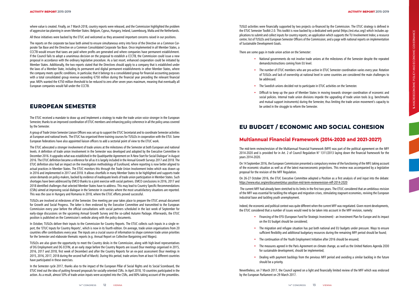where value is created. Finally, on 7 March 2018, country reports were released, and the Commission highlighted the problem of aggressive tax planning in seven Member States: Belgium, Cyprus, Hungary, Ireland, Luxembourg, Malta and the Netherlands.

All these initiatives were backed by the ETUC and welcomed as they answered important concerns raised in our positions.

The reports on the corporate tax base both aimed to ensure simultaneous entry into force of the Directive on a Common Corporate Tax Base and the Directive on a Common Consolidated Corporate Tax Base. Once implemented in all Member States, a CCCTB would ensure that taxes are paid where profits are generated and where companies have permanent establishment. If the Council fails to adopt a unanimous decision on the proposal to establish a CCCTB, the Commission could issue a new proposal in accordance with the ordinary legislative procedure. As a last resort, enhanced cooperation could be initiated by Member States. Additionally, the two reports stated that the Directives should apply to a company that is established under the laws of a Member State, including its permanent and digital permanent establishments in other Member States, where the company meets specific conditions, in particular, that it belongs to a consolidated group for financial accounting purposes with a total consolidated group revenue exceeding €750 million during the financial year preceding the relevant financial year. MEPs wanted the €750 million threshold to be reduced to zero after seven years maximum, meaning that eventually all European companies would fall under the CCCTB.

# **EUROPEAN SEMESTER**

The ETUC received a mandate to draw up and implement a strategy to make the trade union voice stronger in the European Semester, thanks to an improved coordination of ETUC members and enhancing policy coherence in all the policy areas covered by the Semester.

A group of Trade Union Semester Liaison Officers was set up to support the ETUC Secretariat and to coordinate Semester activities at European and national levels. The ETUC has organised three training courses for TUSLOs in cooperation with the ETUI. Some European federations have also appointed liaison officers to add a sectorial point of view to the ETUC work.

The ETUC advocated a stronger involvement of trade unions at the milestones of the Semester at both European and national levels. A definition of trade union involvement in the Semester was developed and adopted by the Executive Committee in December 2016. It upgrades what was established in the Quadripartite Agreement on 'A New Start for Social Dialogue' in August 2016. The ETUC definition became a reference for all as it is largely included in the Annual Growth Surveys 2017 and 2018. The ETUC definition also had an impact on the investigation methodology of Eurofound, where reporting is now better aligned to actual practices in Member States. The ETUC monitors this through the Trade Union Involvement Index which was drawn up in 2016 and implemented in 2017 and 2018. It allows shortfalls in many Member States to be highlighted and supports trade union demands on policy-makers, backed by evidence of inadequate levels of trade union participation in Member States. Such shortages have been addressed by EMCO thanks to a joint exercise with social partners. EMCO conclusions in 2016, 2017 and 2018 identified challenges that selected Member States have to address. This may lead to Country Specific Recommendations (CSRs) aimed at improving social dialogue in the Semester in countries where the most unsatisfactory situations are reported. This was the case in Hungary and Romania in 2018, where the ETUC efforts proved successful.

TUSLOs are involved at milestones of the Semester. One meeting per year takes place to prepare the ETUC annual document for Growth and Social Progress. The latter is then endorsed by the Executive Committee and transmitted to the European Commission every year before the official consultations with social partners scheduled in the last week of September for early-stage discussions on the upcoming Annual Growth Survey and the so-called Autumn Package. Afterwards, the ETUC position is published on the Commission's website along with the policy documents.

In October, TUSLOs deliver their inputs to the Commission for Country Reports. The ETUC collects such inputs in a single report, the 'ETUC Inputs for Country Reports', which is now in its fourth edition. On average, trade union organisations from 20 countries offer contributions every year. The inputs are a crucial source of information to shape common trade union priorities for the Semester and elaborate thematic reports (e.g. Annual Report on Collective Bargaining and Wages).

TUSLOs are also given the opportunity to meet the Country desks in the Commission, along with high-level representatives of DG Employment and DG ECFIN, at an early stage before the Country Reports are issued (four meetings organised in 2015, 2016, 2017 and 2018, first week of December) and after the Country Reports for an ex-post assessment (four meetings in 2015, 2016, 2017, 2018 during the second half of March). During this period, trade unions from at least 16 different countries have participated in these exercises.

In the Semester cycle 2017, thanks also to the impact of the European Pillar of Social Rights and its Social Scoreboard, the ETUC tried out the idea of putting forward proposals for socially-oriented CSRs. In April 2018, 10 countries participated in the action. As a result, almost 50% of trade union inputs were accepted into the CSRs, and 80% taking account of the preambles.

TUSLO activities were financially supported by two projects co-financed by the Commission. The ETUC strategy is defined in

There are some gaps in trade union action on the Semester:

• National governments do not involve trade unions at the milestones of the Semester despite the repeated

• The number of ETUC members who are pro-active in ETUC Semester coordination varies every year. Rotation of TUSLOs and lack of ownership at national level in some countries are considered the main challenges to

- demands/instructions coming from EU level.
- be addressed.
- The Swedish unions decided not to participate in ETUC activities on the Semester.
- be united in the struggle to reform the Semester.

• Difficult to keep up the pace of Member States in moving towards stronger coordination of economic and social policies. Internal trade union divisions impede the upgrading of trade union tools (e.g. benchmarks and mutual support instruments) during the Semester, thus limiting the trade union movement's capacity to

# **EU BUDGET / ECONOMIC AND SOCIAL COHESION**

# **Multiannual Financial Framework (2014-2020 and 2021-2027)**

The mid-term review/revision of the Multiannual Financial Framework (MFF) was part of the political agreement on the MFF 2014-2020 and is provided for in Art. 2 of Council Regulation N° 1311/2013 laying down the financial framework for the years 2014-2020.

On 14 September 2016, the European Commission presented a compulsory review of the functioning of the MFF, taking account of the economic situation as well as of the latest macroeconomic projections. This review was accompanied by a legislative proposal for the revision of the MFF Regulation.

On 26-27 October 2016, the ETUC Executive Committee adopted a Position as a first analysis of and input into the debate: https://www.etuc.org/en/document/etuc-position-mid-term-reviewrevision-mff-2014-2020

 The current MFF had already been stretched to its limits in the first two years. The ETUC considered that an ambitious revision of the MFF was essential for tackling the refugee and migration crises, stimulating stagnant economies, reviving the European industrial base and tackling youth unemployment.

Indeed, the economic and political context was quite different when the current MFF was negotiated. Given recent developments, the ETUC considered that a number of issues would need to be taken into account in the MFF revision, namely:

• Financing of the EFSI (European Fund for Strategic Investment) - an Investment Plan for Europe and its impact

• The migration and refugee situation has put both national and EU budgets under pressure. Ways to ensure sufficient flexibility and additional budgetary resources during the remaining MFF period should be found;

- on the EU budget should be considered;
- 
- The continuation of the Youth Employment Initiative after 2016 should be ensured;
- for sustainable development, should be implemented;
- should be a priority.

• The measures agreed in the Paris Agreement on climate change, as well as the United Nations Agenda 2030

• Dealing with payment backlogs from the previous MFF period and avoiding a similar backlog in the future

Nevertheless, on 7 March 2017, the Council agreed on a light and financially limited review of the MFF which was endorsed by the European Parliament on 29 March 2017.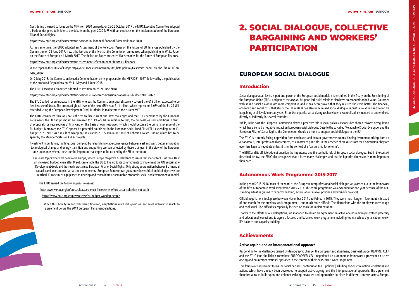Considering the need to focus on the MFF from 2020 onwards, on 25-26 October 2017 the ETUC Executive Committee adopted a Position designed to influence the debate on the post-2020 MFF, with an emphasis on the implementation of the European Pillar of Social Rights.

#### https://www.etuc.org/en/document/etuc-position-multiannual-financial-framework-post-2020

White Paper on the Future of Europe <u>https://ec.europa.eu/commission/sites/beta-political/files/white\_paper\_on\_the\_future\_of\_eu-</u> rope\_en.pdf

At the same time, the ETUC adopted an Assessment of the Reflection Paper on the Future of EU Finances published by the Commission on 28 June 2017. It was the last one of the five that the Commission announced when publishing its White Paper on the Future of Europe on 1 March 2017. The Reflection Paper presented five scenarios for the future of European finances.

The ETUC considered this was not sufficient to face current and new challenges and that – as demanded by the European Parliament - the EU budget should be increased to 1.3% of GNI. In addition to that, the proposal was not ambitious in terms of proposals for new sources of financing on the basis of own resources, which should become the primary revenue of the EU budget. Moreover, the ETUC opposed a potential double cut in the European Social Fund Plus (ESF+) spending in the EU budget 2021-2027, as a result of scrapping the existing 23.1% minimum share of Cohesion Policy Funding which has to be spent by the Member States on FSF+ projects.

https://www.etuc.org/en/document/etuc-assessment-reflection-paper-future-eu-finances

On 2 May 2018, the Commission issued a Communication on its proposals for the MFF 2021-2027, followed by the publication of the proposed Regulations on 29-31 May and 1 June 2018.

The ETUC Executive Committee adopted its Position on 25-26 June 2018.

https://www.etuc.org/en/document/etuc-position-european-commission-proposal-eu-budget-2021-2027

The ETUC called for an increase in the MFF, whereas the Commission proposal scarcely covered the €15 billion expected to be lost because of Brexit. The proposed global level of the next MFF set at €1.1 trillion, which represents 1.08% of the EU-27 GNI after deducting the European Development Fund, is inferior in real terms to the current MFF.

Investment in our future, fighting social dumping by relaunching wage convergence between east and west, better anticipating technological change and energy transition and supporting workers affected by these changes: in the view of the European trade union movement, these are the important challenges to be tackled by the EU in the future.

These are topics where we need more Europe, where Europe can prove its relevance to issues that matter for EU citizens. Only an increased budget, even after Brexit, can enable the EU to live up to its commitments to implement the UN Sustainable Development Goals and the newly proclaimed European Pillar of Social Rights. Only strong coordination between EU financial capacity and an economic, social and environmental European Semester can guarantee these critical political objectives are reached. Europe must equip itself to develop and consolidate a sustainable economic, social and environmental model.

The ETUC issued the following press releases:

https://www.etuc.org/en/pressrelease/eu-must-increase-its-effort-social-cohesion-not-cut-it

https://www.etuc.org/en/pressrelease/eu-budget-working-people

When this Activity Report was being finalised, negotiations were still going on and were unlikely to reach an agreement before the 2019 European Parliament elections.

# **EUROPEAN SOCIAL DIALOGUE**

#### **Introduction**

Social dialogue at all levels is part and parcel of the European social model. It is enshrined in the Treaty on the Functioning of the European Union (TFEU) and part of the *acquis*. But good industrial relations also have an economic added value. Countries with sound social dialogue are more competitive and it has been proved that they resisted the crisis better. The financial, economic and social crisis that struck the EU in 2008 has also undermined social dialogue, industrial relations and collective bargaining at all levels in recent years. Bi- and/or tripartite social dialogues have been decentralised, dismantled or undermined, directly or indirectly, in several countries.

While, in the past, the European Commission played a proactive role in social policies, its focus has shifted towards deregulation which has also had a negative impact on European social dialogue. Despite the so-called 'Relaunch of Social Dialogue' and the European Pillar of Social Rights, the Commission should do more to support social dialogue in the EU.

The ETUC is currently facing opposition from employers and certain governments to any binding instrument arising from an autonomous, inter-professional agreement, as a matter of principle. In the absence of pressure from the Commission, they are even less keen to negotiate unless it is in the context of a 'partnership for reforms'.

The ETUC and its affiliates do not question the importance and the symbolic role of European social dialogue. But, in the context described below, the ETUC also recognises that it faces many challenges and that its bipartite dimension is more important than ever.

# **Autonomous Work Programme 2015-2017**

In the period 2015-2018, most of the work of the European interprofessional social dialogue was carried out in the framework of the fifth Autonomous Work Programme 2015-2017. This work programme was extended for one year because of the out standing activities (linked to capacity building, active labour market policies and work-life balance).

Official negotiations took place between November 2014 and February 2015. They were much longer – four months instead of one month for the previous work programme – and much more difficult. The discussions with the employers were tough and conflictual. The difficulties especially focused on tools for implementation.

Thanks to the efforts of our delegations, we managed to obtain an agreement on active ageing (employers vetoed paternity and educational leaves) and to agree a focused and balanced work programme including topics such as digitalisation, worklife balance and capacity building.

#### **Achievements**

#### **Active ageing and an intergenerational approach**

Responding to the challenges caused by demographic change, the European social partners, BusinessEurope, UEAPME, CEEP and the ETUC (and the liaison committee EUROCADRES/ CEC), negotiated an autonomous framework agreement on active ageing and an intergenerational approach in the context of their 2015-2017 Work Programme.

This framework agreement forms the social partners' contribution to EU policies (including non-discrimination legislation) and actions which have already been developed to support active ageing and the intergenerational approach. The agreement therefore aims to build upon and enhance existing measures and approaches in place in different contexts across Europe.

# 2. SOCIAL DIALOGUE, COLLECTIVE BARGAINING AND WORKERS' PARTICIPATION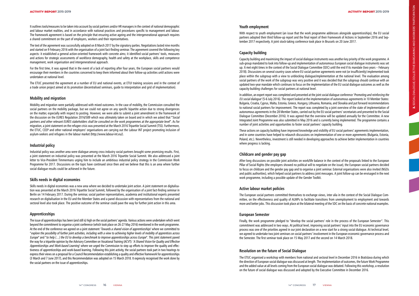It outlines tools/measures to be taken into account by social partners and/or HR managers in the context of national demographic and labour market realities, and in accordance with national practices and procedures specific to management and labour. The framework agreement is based on the principle that ensuring active ageing and the intergenerational approach requires a shared commitment on the part of employers, workers and their representatives.

The text of the agreement was successfully adopted on 8 March 2017 by the signatory parties. Negotiations lasted nine months and started on 9 February 2016 with the organisation of a joint fact-finding seminar. The agreement covered the following key aspects: it established a general action-oriented framework with concrete aims; it identified social partners' tools, measures and actions for strategic assessments of workforce demography, health and safety at the workplace, skills and competence management, work organisation and intergenerational approach.

For the first time, it was agreed that in the event of a lack of reporting after four years, the European social partners would encourage their members in the countries concerned to keep them informed about their follow-up activities until actions were undertaken at national level.

The ETUC presented the agreement at a number of EU and national events, at ETUI training sessions and in the context of a trade union project aimed at its promotion (decentralised seminars, guide to interpretation and grid of implementation).

#### **Mobility and migration**

Mobility and migration were partially addressed with mixed outcomes. In the case of mobility, the Commission consulted the social partners on the mobility package, but we could not agree on any specific bipartite action due to strong divergences on the matter, especially with respect to posting. However, we were able to submit a joint amendment in the framework of the discussion on the EURES Regulation 2016/589 which was ultimately taken on board and in which we asked that **"**Social partners and other relevant EURES stakeholders shall be consulted on the work programmes at the appropriate level". As for migration, a joint statement on the refugee crisis was presented at the March 2016 Tripartite Social Summit (TSS). Furthermore, the ETUC, CEEP and other national employers' organisations are carrying out the Labour INT project promoting inclusion of asylum-seekers and refugees in the labour market (http://www.labour-int.eu/).

#### **Industrial policy**

Industrial policy was another area were dialogue among cross-industry social partners brought some promising results. First, a joint statement on industrial policy was presented at the March 2016 Tripartite Social Summit. We also addressed a joint letter to Vice-President Timmermans urging him to include an ambitious industrial policy strategy in the Commission Work Programme for 2017. Discussions on the topic have continued since then and we believe that this is an area where further social dialogue results could be achieved in the future.

#### **Skills needs in digital economies**

Skills needs in digital economies was a new area where we decided to undertake joint action. A joint statement on digitalisa tion was presented at the March 2016 Tripartite Social Summit, followed by the organisation of a joint fact-finding seminar in Berlin on 14 February 2017. During the seminar, social partner representatives, academia and institutional experts presented research on digitalisation in the EU and the Member States and a panel discussion with representatives from the national and sectoral level also took place. The positive outcome of the seminar could pave the way for further joint action in this area.

In addition, an expert report was completed and presented at the joint social dialogue conference 'Promoting and reinforcing the EU social dialogue' (5-6 July 2016). The report looked at the implementation of autonomous agreements in 10 Member States: Bulgaria, Croatia, Cyprus, Malta, Estonia, Greece, Hungary, Lithuania, Romania, and Slovakia and put forward recommendations to national social partners for improvement. The report was completed by a joint overview of the state of implementation of autonomous agreements in the 28 Member States, carried out by the EU social partners' secretariats and presented to the Social Dialogue Committee (December 2016). It was agreed that the overview will be updated annually for the Committee. A new Integrated Joint Programme was also submitted in May 2016 and is currently being implemented. The programme contains a number of joint activities and opportunities to foster social partners' capacity building.

#### **Apprenticeships**

The issue of apprenticeships has been (and still is) high on the social partners' agenda. Various actions were undertaken which went beyond the commitment to organise a joint conference (which took place on 26-27 May 2016) mentioned in the work programme. At the end of the conference we agreed on a joint statement 'Towards a shared vision of apprenticeships' where we committed to<br>"explore the possibility of further joint activities, including with a view to achieving higher Europe" and "to help (…) the EU to develop a benchmark to improve apprenticeships across Europe". This joint statement paved the way for a tripartite opinion by the Advisory Committee on Vocational Training (ACVT): 'A Shared Vision for Quality and Effective Apprenticeships and Work-based Learning' where we urged the Commission to step up efforts to improve the quality and effectiveness of apprenticeships and work-based learning. Following this joint activity, the social partners took part in two hearings to express their views on a proposal for a Council Recommendation establishing a quality and effective framework for apprenticeships (3 March and 7 June 2017), and this Recommendation was adopted on 15 March 2018. It expressly recognised the work done by the social partners on the issue of apprenticeships.

#### **Youth employment**

With respect to youth employment (an issue that the work programme addresses alongside apprenticeships), the EU social partners adopted their third follow-up report and the final report of their Framework of Actions in September 2016 and Sep tember 2017 respectively. A joint stock-taking conference took place in Brussels on 20 June 2017.

#### **Capacity building**

Capacity building and maximising the impact of social dialogue instruments was another key priority of the work programme. A sub-group mandated to look into follow-up and implementation of autonomous European social dialogue instruments was set up. It met eight times in the context of the Social Dialogue Committee (SDC) until the end if its mandate (two years – February 2018). Discussions on several country cases where EU social partner agreements were not (or insufficiently) implemented took place within the subgroup with a view to unblocking dialogue/implementation at the national level. The evaluation among social partners of the work of the subgroup was very positive and it was decided that the subgroup should continue with an updated two-year mandate which continues to focus on the implementation of the EU social dialogue outcomes as well as the capacity-building challenges for social partners at national level.

These actions on capacity building have improved knowledge and visibility of EU social partners' agreements implementation, and in some countries have helped to relaunch discussions on implementation of one or more agreements (Bulgaria, Estonia, Poland, etc.). Nevertheless, investment is still needed in developing approaches to achieve better implementation in countries where progress is lacking.

#### **Childcare and gender pay gap**

After long discussions on possible joint activities on work/life balance in the context of the proposals linked to the European Pillar of Social Rights (the employers showed no political will to negotiate on the issue), the European social partners decided to focus on childcare and the gender pay gap and to organise a joint seminar. External organisations were also invited (NGOs and public authorities), which helped social partners to address joint messages. A joint follow-up can be envisaged in the next work programme, including a possible update of the Gender Toolkit.

#### **Active labour market policies**

The European social partners committed themselves to exchange views, inter alia in the context of the Social Dialogue Com mittee, on the effectiveness and quality of ALMPs to facilitate transitions from unemployment to employment and towards more and better jobs. This discussion took place at the bilateral meeting of the SDC on the basis of concrete national examples.

#### **European Semester**

Finally, the work programme pledged to "develop the social partners' role in the process of the European Semester". This commitment was addressed in two ways. At political level, improving social partners' input into the EU economic governance process was one of the priorities agreed in our joint declaration on a new start for a strong social dialogue. At technical level, we agreed to undertake two joint seminars on social partners' involvement in the European economic governance process and the Semester. The first seminar took place on 15 May 2017 and the second on 14 March 2018.

#### **Resolution on the future of Social Dialogue**

The ETUC organised a workshop with members from national and sectoral level in December 2016 in Bratislava during which the direction of European social dialogue was discussed at length. The implementation of outcomes, the future Work Programme and the added value at all levels coming from the European social dialogue was debated. Following this workshop, a resolution on the future of social dialogue was discussed and adopted by the Executive Committee in December 2016.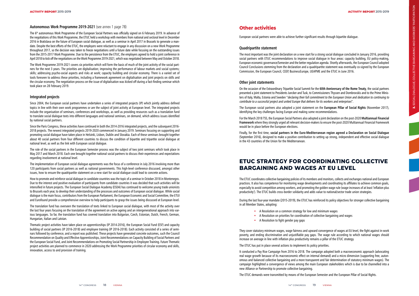#### **Autonomous Work Programme 2019-2021** (see annex 1 page 78)

The 6<sup>th</sup> autonomous Work Programme of the European Social Partners was officially signed on 6 February 2019. In advance of the negotiations of this Work Programme, the ETUC held a workshop with members from national and sectoral level in December 2016 in Bratislava on the future of European social dialogue, as well as a seminar in April 2017 in Brussels to generate a man date. Despite the best efforts of the ETUC, the employers were reluctant to engage in any discussion on a new Work Programme throughout 2017, so the decision was taken to freeze negotiations until a future date while focusing on the outstanding issues from the 2015-2017 Work Programme. Due to the persistence from the ETUC, the employers agreed to hold a joint conference in April 2018 to kick off the negotiations on the Work Programme 2019-2021, which was negotiated between May and October 2018.

The Work Programme 2019-2021 covers six priorities which will form the basis of much of the joint activity of the social part ners for the next 3 years. The priorities are digitalisation; improving the performance of labour markets and social systems; skills; addressing psycho-social aspects and risks at work; capacity building and circular economy. There is a varied set of tools foreseen to address these priorities, including a framework agreement on digitalisation and joint projects on skills and the circular economy. The negotiation process on the issue of digitalisation was kicked off during a fact-finding seminar which took place on 28 February 2019.

#### **Integrated projects**

Since 2004, the European social partners have undertaken a series of integrated projects (IP) which jointly address defined topics in line with their own work programmes or are the subject of joint activity at European level. The integrated projects include the organisation of seminars, conferences and workshops, as well as providing resources such as a translation fund to translate social dialogue texts into different languages and national seminars, on demand, which address issues identified by national social partners.

Since the Paris Congress, these activities have continued in both the 2014-2016 integrated projects, and the subsequent 2016- 2018 projects. The newest integrated projects 2019-2020 commenced in January 2019. Seminars focusing on supporting and promoting social dialogue have taken place in Helsinki, Lisbon, Dublin and Slovakia. Each of these seminars brought together about 40 social partners from four different countries to discuss the condition of bipartite and tripartite social dialogue at national level, as well as the link with European social dialogue.

The role of the social partners in the European Semester process was the subject of two joint seminars which took place in May 2017 and March 2018. Each one brought together national social partners to discuss their experiences and expectations regarding involvement at national level.

The implementation of European social dialogue agreements was the focus of a conference in July 2016 involving more than 120 participants from social partners as well as national governments. This high-level conference discussed, amongst other issues, how to ensure the quadripartite statement on a new start for social dialogue could lead to concrete actions.

How to promote and reinforce social dialogue in candidate countries was the topic of a seminar in October 2018 in Montenegro. Due to the interest and positive evaluation of participants from candidate countries it was decided that such activities will be intensified in future projects. The European Social Dialogue Academy (ESDA) has continued to welcome young trade unionists to Brussels each year, to develop their understanding of the processes and outcomes of European social dialogue. While social dialogue is the main focus, contributors from the European Parliament, the European Economic and Social Committee, the ETUI and Eurofound provide a comprehensive overview to help participants to grasp the issues being discussed at European level.

> They cover statutory minimum wages, wage fairness and upward convergence of wages at EU level, the fight against in-work poverty, and ending discrimination and unjustifiable pay gaps. The wage rule according to which national wages should increase on average in line with inflation plus productivity remains a pillar of the ETUC strategy.

The translation fund has overseen the translation of texts linked to European social dialogue, with most of the activity over the last four years focusing on the translation of the agreement on active ageing and an intergenerational approach into various languages. So far, the translation fund has covered translation into Bulgarian, Czech, Estonian, Dutch, French, German, Hungarian, Italian and Latvian.

Thematic project activities have taken place on apprenticeships (IP 2014-2016), the European Social Fund (ESF) and capacity building of social partners (IP 2016-2018) and employee training (IP 2016-2018). Each activity consisted of a series of semi nars followed by conference, and a report was published. These projects have generated concrete outcomes, such the Council Recommendation on Quality and Effective Apprenticeships, Joint Recommendations on Capacity Building of Social Partners and the European Social Fund, and Joint Recommendations on Promoting Social Partnership in Employee Training. Future Thematic project activities are planned to commence in 2020 addressing the Work Programme priorities of circular economy and skills, innovation, access to and provision of training.

## **Other activities**

European social partners were able to achieve further significant results through bipartite dialogue.

#### **Quadripartite statement**

The most important was the joint declaration on a new start for a strong social dialogue concluded in January 2016, providing social partners with ETUC recommendations to improve social dialogue in four areas: capacity building, EU policy-making, European economic governance/Semester and the better regulation agenda. Shortly afterwards, the European Council adopted Council Conclusions stemming from the declaration and a quadripartite statement was eventually co-signed by the European Commission, the European Council, CEEP, BusinessEurope, UEAPME and the ETUC in June 2016.

#### **Other joint statements**

On the occasion of the Extraordinary Tripartite Social Summit for the **60th Anniversary of the Rome Treaty**, the social partners presented a joint statement to Presidents Juncker and Tusk, to Commissioners Thyssen and Dombrovskis and to the Prime Minis ters of Italy, Malta, Estonia and Sweden "declaring their full commitment to the European Union and dedication to continuing to contribute to a successful project and united Europe that delivers for its workers and enterprises".

The European social partners also adopted a joint statement on the **European Pillar of Social Rights** (November 2017), identifying the key challenges facing Europe and making some recommendations.

For the March 2018 TSS, the European Social Partners also adopted a joint declaration on the post-2020 **Multiannual Financial Framework** where they strongly urged all relevant decision-makers to ensure the post-2020 Multiannual Financial Framework would be in place before the European elections.

Finally, for the first time, **social partners in the Euro-Mediterranean region agreed a Declaration on Social Dialogue** (September 2016), designed to make a positive contribution to setting up strong, independent and effective social dialogue in the 43 countries of the Union for the Mediterranean.

# **ETUC STRATEGY FOR COORDINATING COLLECTIVE BARGAINING AND WAGES AT EU LEVEL**

The ETUC coordinates collective bargaining policies of its members and monitors, collects and exchanges national and European practices. It also has competence for monitoring wage developments and coordinating its affiliates to achieve common goals, especially to avoid competition among workers, and promoting the golden wage rule (wage increases of at least 'inflation plus productivity'). The ETUC builds cross-border solidarity and adds value to national/sector trade union strategies.

During the last four-year mandate (2015-2019), the ETUC has reinforced its policy objectives for stronger collective bargaining in all Member States, adopting:

- A Resolution on a common strategy for low and minimum wages
- A Resolution on priorities for coordination of collective bargaining and wages
- A Resolution to fight gender pay gaps

The ETUC has put in place several actions to implement its policy priorities.

It conducted a Pay Rise Campaign from 2016 to 2018. The campaign adopted both a macroeconomic approach (advocating real wage growth because of its macroeconomic effect on internal demand) and a micro dimension (supporting free, auton omous and balanced collective bargaining and a more transparent and fair determination of statutory minimum wages). The campaign highlighted a convergence of views among the main European stakeholders which is due to be channelled into a new Alliance or Partnership to promote collective bargaining.

The ETUC demands were transmitted by means of the European Semester and the European Pillar of Social Rights.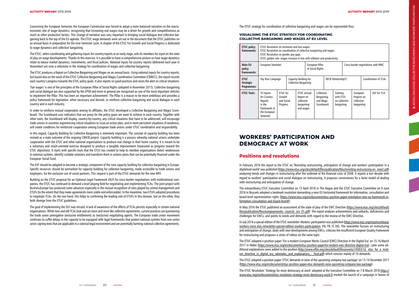Concerning the European Semester, the European Commission was forced to adopt a more balanced narrative on the macro economic role of wage dynamics, recognising that increasing real wages may be a driver for growth and competitiveness as much as other productive factors. This change of narrative was very important in bringing social dialogue and collective bargaining back to the top of the EU agenda. The ETUC wage demands were set out in the document that the ETUC publishes on an annual basis in preparation for the new Semester cycle. A chapter of the ETUC For Growth and Social Progress is dedicated to wage dynamics and collective bargaining.

The ETUC, when coordinating and gathering inputs for country reports at an early stage, asks its members for input on the state of play on wage developments. Thanks to this exercise, it is possible to have a comprehensive picture on how wage dynamics relate to labour market dynamics, investments, and fiscal policies. National inputs for country reports (delivered each year in November) are now a milestone in the strategy for coordination of wages and collective bargaining.

The ETUC produces a Report on Collective Bargaining and Wages on an annual basis. Using national inputs for country reports, but based also on the work of the ETUC Collective Bargaining and Wages Coordination Committee (CBWCC), the report records each country's progress towards the ETUC policy goals. It also reports on good practices and raises the alert on critical situations.

'Fair wages' is one of the principles of the European Pillar of Social Rights (adopted in November 2017). Collective bargaining and social dialogue are also supported by the EPSR and more in general are recognised as one of the most important vehicles to implement the Pillar. This has been an important achievement. The Pillar is a reason to be more ambitious and provides a policy framework for legislation, when necessary and desired, to reinforce collective bargaining and social dialogue in each country and in each industry.

In order to reinforce mutual cooperation among its affiliates, the ETUC developed a Collective Bargaining and Wages Score board. The Scoreboard uses indicators that are proxy for the policy goals we want to achieve in each country. Together with other tools, the Scoreboard will display, country-by-country, any critical situations that have to be addressed; will encourage trade unions in countries experiencing critical situations to issue an action plan; and in more persistent situations of weakness, will create conditions for reinforced cooperation among European trade unions under ETUC coordination and responsibility.

In this regard, Capacity Building for Collective Bargaining is extremely important. The concept of capacity building has been revived as a main outcome of the ongoing CB4CB project. Capacity building is a process whereby national unions undertake cooperation with the ETUC and other national organisations to produce real change in their home country. It is meant to be a voluntary and result-oriented exercise designed to produce a tangible improvement (measured as progress toward the ETUC objectives). It starts with specific tools that the ETUC has created to help its member organisations detect weaknesses in national systems, identify suitable solutions and transform them in actions plans that can be potentially financed under the European Social Fund.

The ESF should be adapted to become a strategic component of the new capacity building for collective bargaining in Europe. Specific resources should be earmarked for capacity building for collective bargaining, made accessible to trade unions and employers, for the exclusive use of social partners. This request is part of the ETUC demands for the new MFF.

> In May 2016 the ETUC published an assessment of the state of play of the EWC Directive (https://www.etuc.org/sites/default/ files/publication/files/europeanworks\_councils\_ces\_01.pdf). The report analyses achievements and setbacks, deficiencies and challenges for EWCs, and points to needs and demands with regard to the review of the EWC Directive.

> The ETUC adopted a position paper 'For a modern European Works Council (EWC) Directive in the Digital Era' on 15-16 March 2017 in Malta (<u>https://www.etuc.org/en/document/etuc-position-paperfor-modern-ewc-directive-digital-era</u>). Later some additional explanations were added to the position (http://www.effat.org/sites/default/files/events/14593/1d-\_etuc\_for\_a\_modern\_directive\_in\_digital\_era\_rationales\_and\_explanations\_ -\_final.pdf) which consists mainly of 10 demands.

Building on the ETUC proposal for an Optional Legal Framework (OLF) for cross-border negotiations with multinational com panies, the ETUC has continued to demand a level playing field for negotiating and implementing TCAs. The joint project with BusinessEurope has produced some advances especially in the mutual recognition of roles played by central management and ETUFs (to the extent that they make agreements more stable and enforceable). In the meantime, two ETUFs adopted procedures to negotiate TCAs. On the one hand, this helps to confirming the leading role of ETUFs in this domain, but on the other, they both diverge from the ETUC guidelines.

> The ETUC Resolution 'Strategy for more democracy at work' adopted at the Executive Committee on 7-8 March 2018 https:// www.etuc.org/en/document/etuc-resolution-strategy-more-democracy-work-0 marked the launch of a campaign in favour of

The goal of implementing the OLF was missed. A lack of awareness of the effects of TCAs persists especially in certain national organisations. While new and old TCAs look and act more and more like collective agreements, current practices are questioning the trade union prerogative (exclusive entitlement) as (exclusive) negotiating agents. The European trade union movement continues to suffer delays in the capacity to be equipped with legal frameworks that protect national systems from non-union actors signing texts that are applicable in a national legal environment and are potentially harming national collective agreements.

The ETUC strategy for coordination of collective bargaining and wages can be represented thus:

#### **VISUALISING THE ETUC STRATEGY FOR COORDINATING COLLECTIVE BARGAINING AND WAGES AT EU LEVEL**

| <b>ETUC policy</b><br>frameworks:              | ETUC Resolution on minimum and low wages<br>ETUC Resolution on coordination of collective bargaining and wages<br>ETUC Resolution on gender pay gaps<br>ETUC golden rule: wages increase in line with inflation and productivity |  |                                                                                                                   |  |                                     |                                                     |                                                      |                                    |                      |                                                     |  |             |
|------------------------------------------------|----------------------------------------------------------------------------------------------------------------------------------------------------------------------------------------------------------------------------------|--|-------------------------------------------------------------------------------------------------------------------|--|-------------------------------------|-----------------------------------------------------|------------------------------------------------------|------------------------------------|----------------------|-----------------------------------------------------|--|-------------|
| <b>Main EU</b><br>policy<br>frameworks:        | European Semester                                                                                                                                                                                                                |  |                                                                                                                   |  | European Pillar<br>of Social Rights |                                                     |                                                      | Cross-border negotiations with MNC |                      |                                                     |  |             |
| <b>ETUC</b><br><b>Strategic</b><br>Programmes: | Capacity Building for<br>Pay Rise Campaign<br>Collective Bargaining                                                                                                                                                              |  |                                                                                                                   |  | IR/CB Partnership(?)                |                                                     |                                                      |                                    | Coordination of TCAs |                                                     |  |             |
| <b>ETUC Tools:</b>                             | TU Inputs<br>for Country<br>Reports<br>in the<br>framework of<br>the European<br>Semester                                                                                                                                        |  | ETUC annual<br>ETUC for<br>Growth<br>Report on<br>and Social<br>collective<br>bargaining<br>Progress<br>and wages |  |                                     | Collective<br>Bargaining<br>and Wage<br>Scoreboard. | Training<br>with ETUI<br>on collective<br>bargaining |                                    |                      | European<br>Projects on<br>collective<br>bargaining |  | OLF for TCA |

# **WORKERS' PARTICIPATION AND DEMOCRACY AT WORK**

# **Positions and resolutions**

In February 2016 the report to the ETUC on 'Revisiting restructuring, anticipation of change and workers' participation in a digitalised world' was published (https://www.etuc.org/sites/default/files/publication/files/revisiting-restructuring-en\_new2.pdf) analysing trends and changes in restructuring after the outbreak of the financial crisis of 2008. It reports a lost decade with regard to workers' participation and social dialogue on restructuring. It proposes cornerstones for a fairer model of dealing with restructuring and anticipation of change.

The extraordinary ETUC Executive Committee on 13 April 2016 in The Hague and the ETUC Executive Committee on 9 June 2016 in Brussels adopted a landmark resolution demanding a new EU horizontal framework for information, consultation and board-level representation rights (https://www.etuc.org/en/document/etuc-position-paper-orientation-new-eu-framework-information-consultation-and-board-level#).

In July 2016 a special edition of the ETUC newsletter Workers' participation was published (https://www.etuc.org/en/pressrelease/ workers-voice-etuc-newsletter-special-edition-workers-participation; EN, FR, IT, DE). The newsletter focuses on restructuring and anticipation of change, deals with new developments among EWCs, criticises the insufficient European Quality Framework for restructuring and proposes a series of videos on the same topic.

The ETUC adopted a position paper 'ETUC demands in view of the upcoming company law package' on 13-14 December 2017 (https://www.etuc.org/en/document/etuc-position-paper-etuc-demands-view-upcoming-company-law-package)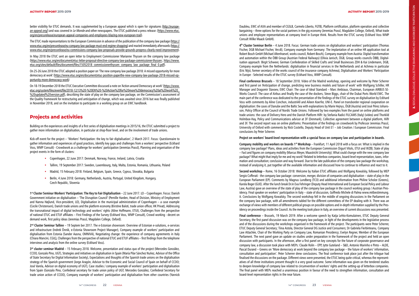better visibility for ETUC demands. It was supplemented by a European appeal which is open for signatures (<u>http://europe-</u> an-appeal.org/) and was covered in Le Monde and other newspapers. The ETUC published a press release: (https://www.etuc. org/en/pressrelease/european-appeal-companies-and-employees-blazing-new-european-trail).

In May 2018 the ETUC sent an open letter to Employment Commissioner Marianne Thyssen on the company law package<br>(https://www.etuc.org/en/document/etuc-letter-proposal-directive-company-law-package-commissioner-thyssen ; ht etuc.org/sites/default/files/document/files/15052018\_commissionerthyssen\_company\_law\_package\_final\_0.pdf).

The ETUC made representations to the European Commission in advance of the publication of the company law package (https:// www.etuc.org/en/pressrelease/eu-company-law-package-must-end-regime-shopping) and reacted immediately afterwards (https:// www.etuc.org/en/pressrelease/eu-commissions-company-law-proposals-provide-grounds-progress-clearly-need-improvement).

On 18-19 December 2018 the ETUC Executive Committee discussed a note on 'Action around Democracy at work' (https://www. etuc.org/system/files/event/file/2018-12/13%20-%20EN%20-%20Action%20for%20more%20democracy%20at%20work%20\_ %20updated%20version.pdf), describing the state of play on the company law package, on the Commission's assessment of the Quality Framework for restructuring and anticipation of change, which was awaited since 2016 but was finally published in November 2018, and on the invitation to participate in a working group on an EWC handbook.

On 25-26 June 2018 the ETUC adopted a position paper on 'The new company law package 2018: A missed opportunity for more democracy at work' (https://www.etuc.org/en/document/etuc-position-paperthe-new-company-law-package-2018-missed-op portunity-more-democracy-work)

#### **Projects and activities**

Building on the experiences and insights of a first series of digitalisation meetings in 2015/16, the ETUC submitted a project to gather more information on digitalisation, in particular at shop-floor level, and on the involvement of trade unions.

Kick-off event for the project – 'Workers' Participation: the key to fair digitalisation', 2 March 2017. Focus: Questionnaire to gather information and experiences of good practices, identify key gaps and challenges from a workers' perspective (Eckhard Voss, WMP Consult) - Crowdwork as a challenge for workers' participation (Jeremias Prassl), Planning and organisation of the project events in the form of clusters:

3<sup>rd</sup> cluster seminar Madrid – 15 February 2018. Welcome, presentation and status quo of the project (Mercedes González, CCOO, Gonzalo Pino, UGT), Strategies and initiatives on digitalisation in Spain (María Pilar Sánchez Nuñez, Advisor of the Office of State Secretary for Digital Information Society), Expectations and thoughts of the Spanish trade unions on the digitalisation strategy of the Spanish government (Jorge Aragón, Advisor to the Economic and Social Council of Spain on behalf of CCOO; Jos é Varela, Advisor on digital economy of UGT), Case studies / company example of workers' participation and digitalisation from Spain (Gonzalo Pino, Confederal secretary for trade union policy of UGT; Mercedes González, Confederal Secretary for trade union action of CCOO), Company example of workers' participation and digitalisation from other countries (Yannick

- Copenhagen, 22 June 2017: Denmark, Norway, France, Ireland, Latvia, Croatia
- Tallinn, 19 September 2017: Sweden, Luxembourg, Italy, Malta, Estonia, Romania, Lithuania, Poland
- Madrid, 15 February 2018: Finland, Belgium, Spain, Greece, Cyprus, Slovakia, Bulgaria
- Berlin, 4 June 2018: Germany, Netherlands, Austria, Portugal, United Kingdom, Hungary, Czech Republic, Slovenia

**1st Cluster Seminar Workers' Participation: The Key to Fair Digitalisation** – 22 June 2017. LO – Copenhagen. Focus: Danish Government initiative on digitalisation – 'The Disruption Council' (Pernille Harden, Head of Division, Ministry of Employment and Nanna Højlund, Vice-president, LO), Digitalisation in the municipal administration of Copenhagen – a case example (Cecile Christensen), Danish trade unions and the platform economy **(**Kirstine Baloti, trade union officer, HK Privat), Addressing the transnational impact of digital technology and workers' rights (Aline Hoffmann, ETUI), Challenges from the perspective of national ETUC and ETUF affiliates – First Findings of the Survey (Eckhard Voss, WMP Consult), Crowd working - decent on demand work, first policy ideas (Jeremias Prassl, Magdalen College, Oxford).

**2nd Cluster Seminar Tallinn** – 19 Septem ber 2017. The e-Estonian showroom: Overview of Estonian e-solutions, e-services and infrastructure (Indrek Õnnik, e-Estonia Showroom Project Manager), Company example of workers' participation and digitalisation from Estonia (Sander Aasna, OMNIVA), Negotiating change: the experience of company agreements in Italy (Chiara Mancini, CGIL**),** Challenges from the perspective of national ETUC and ETUF affiliates – first findings from the telephone interviews and analysis from the online survey (Eckhard Voss).

Daubleu, EWC of AXA and member of CGSLB, Carmelo Liberto, FGTB), Platform certification, platform operation and collective bargaining – three options for the social partners in the gig economy (Jeremias Prassl, Magdalen College, Oxford), What trade unions and employee representatives at company level in Europe think. Results from the ETUC survey (Eckhard Voss WMP Consult Wilke Maack GmbH).

**4th Cluster Seminar Berlin** – 4 June 2018. Focus: German trade unions on digitalisation and workers' participation (Thomas Fischer, DGB Michael Fischer, Ver.di), Company example from Germany: The implantation of an online HR application tool at Robert Bosch GmbH (Michael Altenhoevel, works council, Robert-Bosch), Company example from Austria: Digital transformation and automation within the ÖBB Group (Austrian Federal Railways) (Olivia Janisch, ÖGB, Group works councils ÖBB), Digital isation approach: Birgit Schweer, German Confederation of Skilled Crafts and Small Businesses ZDH & Kai Lindemann, DGB, Company example from the Netherlands: digitalisation in financial services in the Netherlands and at Achmea in particular (Eric Nijst, former secretary of the works council of the insurance company Achmea), Digitalisation and Workers' Participation in Europe - Selected results of the ETUC survey (Eckhard Voss, WMP Consult).

**Final conference Brussels** – 18 September 2018. Video of the Madrid workshop, opening and welcome by Peter Scherrer and first panel on 'Anticipation of change, predicting new business models and future of work' with Wolfgang Schiller, HR Manager and Dragomir Slavoev, EWC Chair: The case of Ideal Standard – Marc Ambiaux, Chairman, European AIRBUS SE-Works Council: The case of Airbus and finally the case of the dockers, Steve Biggs, chair of the Dubai Ports World EWC. The main part of the conference was dedicated to the presentation of the findings of the ETUC survey on digitalisation by Eckhard Voss with comments by Aline Conchon, industriAll and Aileen Koerfer, UNI-E. Panel on transborder regional cooperation on digitalisation: the cases of Danube and the Baltic Sea with explanations by Marie Hejnys, ÖGB (Austria) and José Pérez Johans son, Policy Officer at the Council of Nordic Trade Unions. Followed by two examples from the panel on online platforms and trade unions: the case of Delivery Hero and the Danish Platform Hilfr: by Stefania Radici FILCAMS (Italy) (video) and Thorkild Holmboe-Hay, Policy and Communications advisor at 3F (Denmark), Collective agreement between a digital platform, Hilfr and 3F. The second report was on online platforms: Presentation of the findings on crowdwork by Professor Jeremias Prassl, University of Oxford with comments by Nick Costello, Deputy Head of Unit E1 – Job Creation / European Commission. Final conclusions by Peter Scherrer.

#### **Project on workers' board-level representation with a special focus on company law and participation in boards.**

**Company mobility and workers on boards 1st Workshop** – Frankfurt, 11 April 2018 with a focus on: What is implied in the company law package? Plans, ideas and activities from the European Commission (Sigurt Vitols, ETUI and WZB); State of play – Fact and figures on company mobility (Marcus Meyer, Maastricht University); What could change with the new company law package? What might that imply for me and my work? Related to letterbox companies, board-level representation, taxes, information and consultation; conclusion and way forward. Due to the late publication of the company law package the workshop, instead of analysing it, put together all the available information and discussed how to continue to influence and react to it.

**Second workshop –** Rome, 16 October 2018: Welcome by Italian ETUC affiliates and Wolfgang Kowalsky, followed by MEP Sergio Cofferati - the company law package: conversion, merger, division of companies and digitalisation – state of play in the European Parliament (EP). Comments by Magnus Lundberg (TCO) and additional information from Philine Scholze (Greens), Karola Boger (GUE). After the lunch break Dr.in Eva Fehringer (Deputy Head International and European Social Policy and Labour Law, Austria) gave an overview of the state of play of the company law package in the council working group / Austrian Pres idency. Final speaker on workers' participation in Italy – state of discussion, Goffredo Michele di Palma www.mitbestimmung. it. Conclusions by Wolfgang Kowalsky. The second workshop fell in the middle of ongoing discussions in the Parliament on the company law package, with all amendments tabled for the different committees of the EP dealing with it. There was an exchange of views with members of different political groups on possible options and in-depth information supplied by the Pres idency on proceedings inside the Council. As the meeting took place in Italy, an overview of current discussions was presented.

**Final conference** – Brussels, 19 March 2019: After a welcome speech by Katja Lehto-Komulainen, ETUC Deputy General Secretary, the first panel discussion was on the company law package, in light of the developments in the legislative process and of the discussions during the workshops organised in the framework of the project. The participants were Peter Scherrer, ETUC Deputy General Secretary; Tiina Astola, Director General DG Justice and Consumers; Dr Gabriela Fierbinteanu, Company Law Attachée, Chair of the Working Party on Company Law, Romanian Presidency; Evelyn Regner, Member of the European Parliament. The next panel gave an update on studies under preparation in the framework of the project and held an open discussion with participants. In the afternoon, after a first panel on key concepts for the future of corporate governance and company law, a discussion took place with MEPs: Claude Rolin – EPP, Jytte Guteland – S&D, Antonio Marinho e Pinto – ALDE, Pascal Durand – Greens on 'More democracy at work beyond the company law package – the future of workers' information, consultation and participation'. Peter Scherrer drew conclusions. The final conference took place just after the trilogue had finalised the discussions on the package. Different views were presented, the ETUC being quite critical, whereas the represent atives of all three institutions present thought it a very good outcome. Some information was given on the tendered studies to deepen knowledge of company law related to circumvention of workers' rights and the setting-up of letterbox companies. The final panel with MEPs reached a unanimous position in favour of the need to strengthen information, consultation and board-level representation rights in the near future.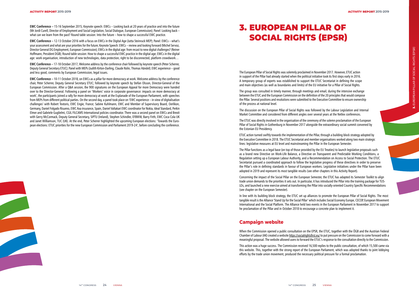

**EWC Conference –** 12-13 October 2016 with a focus on EWCs in the Digital Age (Jutta Steinruck MEP); Panel: EWCs – what's your assessment and what are your priorities for the future; Keynote Speech: EWCs – review and looking forward (Michel Servoz, Director General DG Employment, European Commission); EWCs in the digital age: from recast to new digital challenges? (Reiner Hoffmann, President DGB); Round table session: How to shape a successful EWC practice in the digital age; EWCs in the digital age: work organisation, introduction of new technologies, data protection, right to be disconnected, platform crowdwork...

**EWC Conference –** 15-16 September 2015, Keynote speech: EWCs – Looking back at 20 years of practice and into the future (Mr Jordi Curell, Director of Employment and Social Legislation, Social Dialogue, European Commission); Panel: Looking back – what can we learn from the past? Round table session: Into the future – how to shape a successful EWC practice.

**EWC Conference –** 17-18 October 2017, Welcome address by the conference chair followed by keynote speech (Peter Scherrer, Deputy General Secretary ETUC); Panel with MEPs (Judith Kirton-Darling, Claude Rolin, Thomas Händel); EWC experience – good and less good, comments by European Commission, legal issues.

The European Pillar of Social Rights was solemnly proclaimed in November 2017. However, ETUC action in support of the Pillar had already started when the political initiative took its first steps early in 2016. A temporary group of experts was established to support the ETUC Secretariat in defining the scope and main objectives (as well as boundaries and limits) of the EU initiative for a Pillar of Social Rights.

**EWC Conference –** 10-11 October 2018, on EWCs as a pillar for more democracy at work. Welcome address by the conference chair, Peter Scherrer, Deputy General Secretary ETUC; followed by keynote speech by Stefan Olsson, Director-General of the European Commission. After a Q&A session, the 900 signatures on the European Appeal for more Democracy were handed over to the Director-General. Following a panel on 'Workers' voice in corporate governance: impacts on more democracy at work', the participants joined a rally for more democracy at work at the Esplanade of the European Parliament, with speeches from MEPs from different political parties. On the second day, a panel took place on 'EWC experience – in view of digitalisation challenges' with Robert Textoris, EWC Engie, France; Sabine Kuhlmann, EWC and Member of Supervisory Board, Oerlikon, Germany, Daniel Folgado Risueno, EWC Axa insurance, Spain, Daniel Valtakari EWC coordinator for Nokia, Ideal Standard, Perkin Elmer and Gabriele Guglielmi, CGIL FILCAMS International policies coordinator. There was a second panel on EWCs and Brexit with Gerry McCormack, Deputy General Secretary, SIPTU (Ireland), Stephen Schindler, EFBWW, Barry Firth, EWC Coca Cola UK and Janet Williamson, TUC (UK). At the end, Peter Scherrer highlighted the upcoming European elections: 'Towards the European elections: ETUC priorities for the new European Commission and Parliament 2019-24', before concluding the conference.

The group was consulted in timely manner, through meetings and email, during the intensive exchange between the ETUC and the European Commission on the definition of the 20 principles that would compose the Pillar. Several positions and resolutions were submitted to the Executive Committee to ensure ownership of the process at national level.

The discussion on the European Pillar of Social Rights was followed by the Labour Legislation and Internal Market Committee and considered from different angles over several years at the Netlex conferences.

The ETUC was directly involved in the organisation of the ceremony of the solemn proclamation of the European Pillar of Social Rights in Gothenburg in November 2017 alongside the extraordinary social summit convened by the Estonian EU Presidency.

ETUC action turned swiftly towards the implementation of the Pillar, through a building block strategy adopted by the Executive Committee in 2018. The ETUC Secretariat and member organisations worked along two main strategic lines: legislative measures at EU level and mainstreaming the Pillar in the European Semester.

The Pillar functions as a legal base (on top of those provided by the EU Treaties) to launch legislative proposals such as a brand new Directive on Work-Life Balance, a Directive on Transparent and Predictable Working Conditions, a Regulation setting up a European Labour Authority, and a Recommendation on Access to Social Protection. The ETUC Secretariat pursued a coordinated approach to follow the legislative progress of these directives in order to preserve the Pillar's role in defining standards in favour of European workers. Legislative initiatives under the Pillar have been adopted in 2019 and represent its most tangible results (see other chapters in this Activity Report).

Concerning the impact of the Social Pillar on the European Semester, the ETUC has adapted its Semester Toolkit to align trade union demands to the priorities it sets out. In particular, it has introduced the Pillar into the training package for TUS-LOs, and launched a new exercise aimed at transforming the Pillar into socially-oriented Country Specific Recommendations (see chapter on the European Semester).

In line with its building block strategy, the ETUC set up alliances to promote the European Pillar of Social Rights. The most tangible result is the Alliance 'Stand Up for the Social Pillar' which includes Social Economy Europe, CECOP, European Movement International and the Social Platform. The Alliance held two events in the European Parliament in November 2017 to support he proclamation of the Pillar and in October 2018 to encourage a concrete plan to implement it.

## **Campaign website**

When the Commission opened a public consultation on the EPSR, the ETUC, together with the ÖGB and the Austrian Federal Chamber of Labour (AK) created a website https://socialrightsfirst.eu/ to put pressure on the Commission to come forward with a meaningful proposal. The website allowed users to forward the ETUC's response to the consultation directly to the Commission.

This action was a huge success. The Commission received 16,500 replies to the public consultation, of which 15,500 came via this website. This, together with the strong report of the European Parliament, which was adopted thanks to joint lobbying efforts by the trade union movement, produced the necessary political pressure for a formal proclamation.

# 3. EUROPEAN PILLAR OF SOCIAL RIGHTS (EPSR)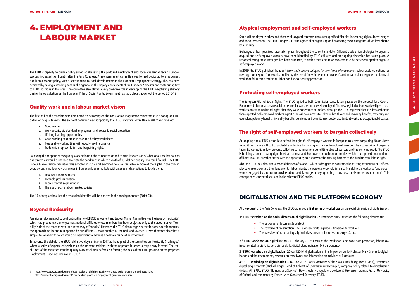The first half of the mandate was dominated by delivering on the Paris Action Programme commitment to develop an ETUC definition of quality work. The six point definition was adopted by the ETUC Executive Committee in 2017<sup>2</sup> and covered:

The ETUC's capacity to pursue policy aimed at alleviating the profound employment and social challenges facing Europe's workers increased significantly after the Paris Congress. A new permanent committee was formed dedicated to employment and labour market policy, with a specific remit to track developments in the European Employment Strategy. This has been achieved by having a standing item on the agenda on the employment aspects of the European Semester and contributing text to ETUC positions in this area. The committee also played a very proactive role in developing the ETUC negotiating strategy during the consultation on the European Pillar of Social Rights. Seven meetings took place throughout the period 2015-19.

# **Quality work and a labour market vision**

- a. Good wages
- b. Work security via standard employment and access to social protection
- c. Lifelong learning opportunities
- d. Good working conditions in safe and healthy workplaces
- e. Reasonable working time with good work-life balance
- f. Trade union representation and bargaining rights

Following the adoption of the quality work definition, the committee started to articulate a vision of what labour market policies and strategies would be needed to create the conditions in which growth of our defined quality jobs could flourish. The ETUC Labour Market Vision resolution was adopted in 2019 and examines how we can achieve more of these jobs in the coming years by outlining four key challenges in European labour markets with a series of clear actions to tackle them:

- 1. Less work; more workers
- 2. Technological innovation
- 3. Labour market segmentation
- 4. The use of active labour market policies

The 15 priority actions that the resolution identifies will be enacted in the coming mandate (2019-23).

#### **Beyond flexicurity**

In 2019, the ETUC published the report New trade union strategies for new forms of employment which explored options for new legal conceptual frameworks implied by the rise of 'new forms of employment', and in particular the growth of forms of work that fall outside traditional labour and social security protections.

A major employment policy confronting the new ETUC Employment and Labour Market Committee was the issue of 'flexicurity', which had proved toxic amongst most national affiliates whose members had been subjected only to the labour market 'flexi bility' side of the concept with little in the way of 'security'. However, the ETUC also recognises that in some specific contexts, the approach works and is supported by our affiliates – most notably in Denmark and Sweden. It was therefore clear that a simple 'for or against' policy would be insufficient to address a complex range of policy options.

To advance this debate, the ETUC held a two-day seminar in 2017 at the request of the committee on 'Flexicurity Challenges', where a series of experts led sessions on the inherent problems with the approach in order to map a way forward. The con clusions of the event fed into the quality work resolution before also forming the basis of the ETUC position on the proposed Employment Guidelines revision in 2018. 3

- The background document (updated)
- The PowerPoint presentation 'The European digital agenda transition to work 4.0.'
- The overview of national flagship initiatives on smart factories, industry 4.0, etc.

## **Atypical employment and self-employed workers**

Some self-employed workers and those with atypical contracts encounter specific difficulties in securing rights, decent wages and social protection. The ETUC Congress in Paris agreed that organising and protecting these categories of workers should be a priority.

Exchanges of best practices have taken place throughout the current mandate: Different trade union strategies to organise atypical and self-employed workers have been identified by ETUC affiliates and an ongoing discussion has taken place. A report collecting these strategies has been produced, to enable the trade union movement to be better equipped to organise self-employed workers.

# **Protecting self-employed workers**

The European Pillar of Social Rights: The ETUC replied to both Commission consultation phases on the proposal for a Council Recommendation on access to social protection for workers and the self-employed. The new legislative framework will give these workers access to additional rights that they were not entitled to before, although the ETUC regretted that it is less ambitious than expected. Self-employed workers in particular will have access to sickness, health care and invalidity benefits; maternity and equivalent paternity benefits; invalidity benefits; pensions; and benefits in respect of accidents at work and occupational diseases.

# **The right of self-employed workers to bargain collectively**

An ongoing aim of ETUC action is to defend the right of self-employed workers in Europe to collective bargaining. Unions have found it much more difficult to undertake collective bargaining for their self-employed members than to recruit and organise them. EU competition law prevents collective bargaining from benefitting atypical workers and the self-employed. The ETUC is building a political campaign aimed at national and European competition authorities which could provide our national affiliates in all EU Member States with the opportunity to circumvent the existing barriers to this fundamental labour right.

Also, the ETUC has identified a broad definition of 'worker' which is designed to overcome the existing restrictions on self-em ployed workers exerting their fundamental labour rights: the personal work relationship. This defines a worker as "any person who is engaged by another to provide labour and is not genuinely operating a business on his or her own account". This concept needs further discussion in the relevant ETUC bodies.

# **DIGITALISATION AND THE PLATFORM ECONOMY**

At the request of the Paris Congress, the ETUC organised a **first series of workshops** on the social dimension of digitalisation:

**1st ETUC Workshop on the social dimension of digitalisation** - 2 December 2015**,** based on the following documents:

**2nd ETUC workshop on digitalisation** - 23 February 2016: Focus of this workshop: employee data protection, labour law issues related to digitalisation, digital skills, digital standardisation (45 participants)

**3rd ETUC workshop on digitalisation** - 20 April 2016**:** digitalisation and its impact on work (Professor Mark Graham), digital isation and the environment, research on crowdwork and information on activities of Eurofound.

**4th ETUC workshop on digitalisation** – 14 June 2016. Focus: Activities of the Slovak Presidency, (Xenia Mal á), 'Towards a digital single market' (Michael Hager, Head of Cabinet of Commissioner Oettinger), company policy related to digitalisation (industriAll, EPSU, ETUC), 'Humans as a Service' - How should we regulate crowdwork? (Professor Jeremias Prassl, University of Oxford) and comments by Esther Lynch (Confederal Secretary, ETUC).

# 4. EMPLOYMENT AND LABOUR MARKET

<sup>2</sup> https://www.etuc.org/en/document/etuc-resolution-defining-quality-work-etuc-action-plan-more-and-better-jobs

<sup>3</sup> https://www.etuc.org/en/document/etuc-position-proposed-employment-guidelines-revision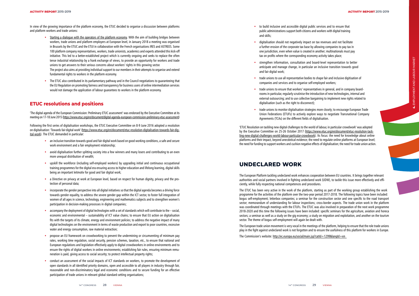In view of the growing importance of the platform economy, the ETUC decided to organise a discussion between platforms and platform workers and trade unions:

'The digital agenda of the European Commission: Preliminary ETUC assessment' was endorsed by the Executive Committee at its meeting on 17-18 June 2015 (<u>https://www.etuc.org/en/document/digital-agenda-european-commission-preliminary-etuc-assessment</u>)

- Starting a dialogue with the operators of the platform economy. With the aim of building bridges between workers, trade unions and platform employers at European level, in January 2018 a meeting was organised in Brussels by the ETUC and the ETUI in collaboration with the French organisations IRES and ASTREES. Some 100 platform company representatives, workers, trade unionists, academics and experts attended this kick-off initiative. This led to a better-established project which is currently ongoing and seeks to replace the often tense industrial relationship by a frank exchange of views, to provide an opportunity for workers and trade unions to get answers to their serious concerns about workers' rights in this growing sector. The project also aims at providing individual support to our members in their attempts to organise and extend fundamental rights to workers in the platform economy.
- The ETUC also contributed in its parliamentary pathway and in the Council negotiations to guaranteeing that the EU Regulation on promoting fairness and transparency for business users of online intermediation services would not damage the application of labour guarantees to workers in the platform economy.

# **ETUC resolutions and positions**

Following the first series of digitalisation workshops, the ETUC Executive Committee on 8-9 June 2016 adopted a resolution on digitalisation: 'Towards fair digital work' (<u>https://www.etuc.org/en/document/etuc-resolution-digitalisation-towards-fair-dig-</u> ital-work). The ETUC demanded in particular:

- an inclusive transition towards good and fair digital work based on good working conditions, a safe and secure work environment and a fair employment relationship;
- avoid digitalisation further splitting society into a few winners and many losers and contributing to an even more unequal distribution of wealth;
- upskill the workforce (including self-employed workers) by upgrading initial and continuous occupational training programmes for the digital era ensuring access to higher education and lifelong learning, digital skills being an important leitmotiv for good and fair digital work;
- a Directive on privacy at work at European level, based on respect for human dignity, privacy and the pro tection of personal data;
- incorporate the gender perspective into all digital initiatives so that the digital agenda becomes a driving force towards gender equality, to address the severe gender gap within the ICT sector, to foster full integration of women of all ages in science, technology, engineering and mathematics subjects and to strengthen women's participation in decision-making processes in digital companies;
- accompany the deployment of digital technologies with a set of standards which will contribute to the social, economic and environmental – sustainability of ICT value chains; to ensure that EU action on digitalisation fits with the targets of its climate, energy and environment policies; to address the negative impact of many digital technologies on the environment in terms of waste production and export to poor countries, excessive water and energy consumption, raw material extraction;
- propose an EU framework on crowdworking to prevent the undermining or circumventing of minimum pay rates, working time regulation, social security, pension schemes, taxation, etc., to ensure that national and European regulations and legislation effectively apply to digital crowdworkers in online environments and to ensure the rights of digital workers in online environments; establishing fair rules, ensuring minimum remu neration is paid, giving access to social security; to protect intellectual property rights;
- conduct an assessment of the social impacts of ICT standards on workers, to promote the development of open standards in all identified priority domains, open and accessible to all players in industry through fair, reasonable and non-discriminatory legal and economic conditions and to secure funding for an effective participation of trade unions in relevant global standard-setting organisations;
- to build inclusive and accessible digital public services and to ensure that public administrations support both citizens and workers with digital training and skills;
- digitalisation should not negatively impact on tax revenues and not facilitate a further erosion of the corporate tax base by allowing companies to pay tax in one jurisdiction, even when value is created in another; multinationals must pay tax on profits where the corresponding economy activity takes place;
- strengthen information, consultation and board-level representation to better anticipate and manage change, in particular an inclusive transition towards good and fair digital work:
- trade unions to use all representative bodies to shape fair and inclusive digitisation of companies and services and to organise self-employed workers;
- trade unions to ensure that workers' representatives in general, and in company boardrooms in particular, regularly scrutinise the introduction of new technologies, internal and external outsourcing; and to use collective bargaining to implement new rights related to digitalisation (such as the right to disconnect);
- trade unions to monitor digitalisation strategies more closely; to encourage European Trade Union Federations (ETUFs) to actively explore ways to negotiate Transnational Company Agreements (TCAs) on the different fields of digitalisation.

'ETUC Resolution on tackling new digital challenges to the world of labour, in particular crowdwork' was adopted by the Executive Committee on 25-26 October 2017 (https://www.etuc.org/en/document/etuc-resolution-tackling-new-digital-challenges-world-labour-particular-crowdwork). Its focus: the need for knowledge about online platforms and their impact, beyond anecdotical evidence; the need to regulate online platforms at European level; the need for funding to support workers and cushion negative effects of digitalisation; the need for trade union action.

# **UNDECLARED WORK**

The European Platform tackling undeclared work enhances cooperation between EU countries. It brings together relevant authorities and social partners involved in fighting undeclared work (UDW), to tackle this issue more effectively and effi ciently, while fully respecting national competences and procedures.

The ETUC has been very active in the work of the platform, starting as part of the working group establishing the work programme for the activities of the platform over the two-year period 2017-2018. The following topics have been included: bogus self-employment; letterbox companies; a seminar for the construction sector and one specific to the road transport sector; memorandum of understanding for labour inspections; cross-border aspects. The trade union work in the platform was coordinated through meetings with the ETUFs. The ETUC was also involved in preparation of the next work programme 2018-2020 and this time the following issues have been included: specific seminars for the agriculture, aviation and horeca sectors; a seminar as well as a study on the gig economy; a study on migration and exploitation, and another on the tourism sector. The theme of bogus self-employment will again be dealt with.

The European trade union movement is very vocal in the meetings of the platform, helping to ensure that the role trade unions play in the fight against undeclared work is not forgotten and to ensure the usefulness of this platform for workers in Europe.

The Commission's website: http://ec.europa.eu/social/main.jsp?catId=1299&langId=en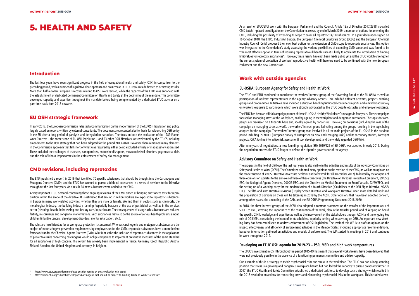#### **Introduction**

The last four years have seen significant progress in the field of occupational health and safety (OSH) in comparison to the preceding period, with a number of legislative developments and an increase in ETUC resources dedicated to achieving results. More than half a dozen European Directives relating to OSH were revised, while the capacity of the ETUC was enhanced with the establishment of dedicated permanent Committee on Health and Safety at the beginning of the mandate. This committee developed capacity and expertise throughout the mandate before being complemented by a dedicated ETUC advisor on a part-time basis from 2018 onwards.

#### **EU OSH strategic framework**

The ETUI published a report<sup>s</sup> in 2016 that identified 70 specific substances that should be brought into the Carcinogens and Mutagens Directive (CMD), and the ETUC has worked to pursue additional substances in a series of revisions to the Directive throughout the last four years. As a result 24 new substances were added to the CMD.

In early 2017, the European Commission released a Communication on the modernisation of the EU OSH legislation and policy, largely based on reports written by external consultants. The documents represented a better basis for relaunching OSH policy in the EU after a long period of paralysis and deregulation narratives. The focus on both the evaluation of the 1989 Frame work Directive – the cornerstone of EU OSH legislation – and 23 other OSH directives was welcomed by the ETUC 4 , including amendments to the OSH strategy that had been adopted for the period 2013-2020. However, there remained many elements in the Commission approach that fell short of what was required by either being excluded entirely or inadequately addressed. These included the challenges of asbestos, nanoparticles, endocrine disruptors, musculoskeletal disorders, psychosocial risks and the role of labour inspectorates in the enforcement of safety risk management.

## **CMD revisions, including reprotoxins**

A very important ETUC demand concerning these ongoing revisions of the CMD aimed at bringing substances toxic for repro duction within the scope of the directive. It is estimated that around 2 million workers are exposed to reprotoxic substances in Europe in many work-related activities, whether they are male or female. We find them in sectors such as chemicals, the metallurgical industry, the building industry, farming (especially because of the use of pesticides) as well as in the services sector (cleaning, health, hairdressing and beauty care, in particular). The consequences of using such substances are reduced fertility, miscarriages and congenital malformations. Such substances may also be the source of serious health problems among children (infantile cancers, development disorders, mental retardation, etc.).

The rules are insufficient as far as workplace protection is concerned. Whereas carcinogenic and mutagenic substances are the subject of more stringent prevention requirements by employers under the CMD, reprotoxic substances have a more lenient framework under the Chemical Agents Directive (CAD). A lot is at stake: the inclusion of reprotoxic substances in the application of preventive rules concerning carcinogens would oblige companies to implement preventive measures of the same standard for all substances of high concern. This reform has already been implemented in France, Germany, Czech Republic, Austria, Finland, Sweden, the United Kingdom and, recently, in Belgium.

4 https://www.etuc.org/en/document/etuc-position-results-ex-post-evaluation-osh-acquis

As a result of ETUC/ETUI work with the European Parliament and the Council, Article 18a of Directive 2017/2398 (so-called CMD batch 1) placed an obligation on the Commission to assess, by end of March 2019, a number of options for amending the CMD, including the possibility of extending its scope to cover all reprotoxic 1A/1B substances. In a joint declaration signed on 16 October 2018, the ETUC, IndustriAll Europe, the European Chemical Employers Group (ECEG) and the European Chemical Industry Council (Cefic) proposed their own best option for the extension of CMD scope to reprotoxic substances. This option was integrated in the Commission's study assessing the various possibilities of extending CMD scope and was found to be "the most effective option in terms of reducing reproductive ill health since it is likely to accelerate the introduction of binding limit values for reprotoxic substances". However, these results have not been made public yet and the ETUC work to strengthen the current system of protection of workers' reproductive health will therefore need to be continued with the new European Parliament and the new Commission.

## **Work with outside agencies**

#### **EU-OSHA: European Agency for Safety and Health at Work**

The ETUC and ETUI continued to coordinate the workers' interest group of the Governing Board of the EU OSHA as well as participation of workers' representatives in the Agency Advisory Groups. This included different activities, projects, working groups and programmes. Initiatives have included a study on handling fumigated containers in ports and a new broad survey on workers' exposure to carcinogens which were strongly advocated by the ETUC despite obstacles and employer resistance.

The ETUC has been an official campaign partner of three EU-OSHA Healthy Workplace Campaigns in four years. These campaigns focused on managing stress at the workplace, healthy ageing in the workplace and dangerous substances. The topics for cam paigns are discussed on a tripartite basis and, ideally, agreed by consensus. However, on occasions (including the case of the campaign on managing stress at work), the workers' interest group led voting among the groups resulting in the topic being adopted for the campaign. The workers' interest group was involved in all the main projects of the EU-OSHA in the previous period including ESENER II (European Survey of Enterprises on New and Emerging Risks) and its secondary studies, Foresight projects, OiRA (online interactive risk assessment) tool development, and the widely regarded OSH-Wiki.

After nine years of negotiations, a new founding regulation (EU) 2019/126 of EU-OSHA was adopted in early 2019. During the negotiation process the ETUC fought to defend the tripartite governance of the agency.

#### **Advisory Committee on Safety and Health at Work**

The progress in the field of OSH over the last four years is also visible in the activities and results of the Advisory Committee on Safety and Health at Work (ACSH). The Committee adopted many opinions on the revision of the CMD, as well as an opinion on the modernisation of six OSH Directives to ensure healthier and safer work for all (December 2017), followed by the adoption of three opinions on updates to the annexes of three of these Directives (the Directive on Personal Protective Equipment, 89/656/ EEC, the Biological Agents Directive, 2000/54/EC, and the Directive on Medical Treatment on Board Vessels, 92/29/EEC), and the setting up of a working party for the modernisation of a fourth Directive ('Guidelines to the OSH Signs Directive, 92/58/ EEC). The fifth and sixth Directive revisions (Display Screen Directive and Workplace Directive) need more detailed work and the preparation of opinions on these will be taken up in 2019 by the ACSH. Other opinions that have been adopted concern, among other issues, the amending of the CAD, and the EU-OSHA Programming Document 2018-2020.

In 2018, the three interest groups of the ACSH also adopted a common statement on the transfer of the important work of SCOEL to RAC, stressing the importance of the continuation of the work, also in the transfer period, and of keeping on board the specific OSH knowledge and expertise as well as the involvement of the stakeholders through ACSH and the ongoing key role of DG EMPL, considering the input of its stakeholders, in priority-setting when advising on OSH. An important new Work ing Party has been established to address enforcement of OSH legislation. The remit of this WP is to draft an opinion on the impact, effectiveness and efficiency of enforcement activities in the Member States, including appropriate recommendations, based on information gathered on activities and models of enforcement. The WP started its meetings in 2018 and continues its work throughout 2019.

#### **Developing an ETUC OSH agenda for 2019-23 – PSR, MSD and high work temperatures**

The ETUC's investment in OSH throughout the period 2015-19 has meant that several work streams have been delivered that were not previously possible in the absence of a functioning permanent committee and advisor capacity.

One example of this is a strategy to tackle psychosocial risks and stress in the workplace. The ETUC has had a long-standing position that stress is a growing and dangerous workplace hazard but had lacked the capacity to pursue policy any further. In 2017, the ETUC Health and Safety Committee established a dedicated task force to develop such a strategy which resulted in the 2018 resolution on actions for combatting stress and eliminating psychosocial risks in the workplace. This included a two-

# 5. HEALTH AND SAFETY

<sup>5</sup> https://www.etui.org/Publications2/Reports/Carcinogens-that-should-be-subject-to-binding-limits-on-workers-exposure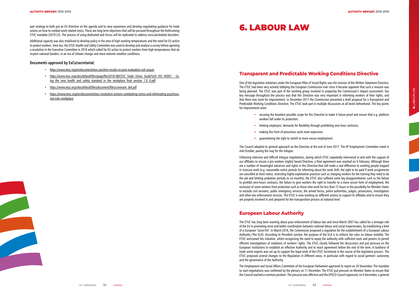part strategy to both put an EU Directive on the agenda and to raise awareness and develop negotiating guidance for trade unions on how to combat work-related stress. These are long-term objectives that will be pursued throughout the forthcoming ETUC mandate (2019-23). The process of using dedicated task forces will be replicated to address musculoskeletal disorders.

Additional capacity was also mobilised to develop policy in the area of high working temperatures and the need for EU action to protect workers. Here too, the ETUC Health and Safety Committee was used to develop and analyse a survey before agreeing a resolution in the Executive Committee in 2018 which called for EU action to protect workers from high temperatures that do respect national borders, in an era of climate change and more extreme weather conditions.

#### **Documents approved by ExCo/secretariat:**

- https://www.etuc.org/en/document/etuc-position-results-ex-post-evaluation-osh-acquis
- https://www.etuc.org/sites/default/files/page/file/2018-08/ETUC\_Trade\_Union\_Guide%20\_ISO\_45001\_-\_Using the new health and safety standard in the workplace final version 1.0 0.pdf
- https://www.etuc.org/sites/default/files/document/files/covenant\_def.pdf
- https://www.etuc.org/en/document/etuc-resolution-actions-combatting-stress-and-eliminating-psychosocial-risks-workplace

# **Transparent and Predictable Working Conditions Directive**

One of the legislative initiatives under the European Pillar of Social Rights was the revision of the Written Statement Directive. The ETUC had been very actively lobbying the European Commission ever since it became apparent that such a revision was being planned. The ETUC was part of the working group involved in preparing the Commission's impact assessment. Our key message throughout the process was that this Directive was very important in informing workers of their rights, and that there was room for improvement. In December 2017 the Commission presented a draft proposal for a Transparent and Predictable Working Conditions Directive. The ETUC took part in multiple discussions at all levels beforehand. The key points for improvement were:

• securing the broadest possible scope for this Directive to make it future-proof and ensure that e.g. platform

- 
- 
- workers fall under its protection;
- limiting employers' demands for flexibility through prohibiting zero-hour contracts;
- making this form of precarious work more expensive;
- guaranteeing the right to switch to more secure employment.

The Council adopted its general approach on the Directive at the end of June 2017. The EP Employment Committee voted in mid-October, paving the way for the trilogue.

Following intensive and difficult trilogue negotiations, during which ETUC repeatedly intervened in and with the support of our affiliates to ensure a pro-workers (rights) based Directive, a final agreement was reached on 6 February. Although there are a number of meaningful advances and rights in this Directive that will make a real difference to working people trapped in insecure work (e.g. reasonable notice periods for informing about the work shift, the right to be paid if work assignments are cancelled at short notice, restricting highly exploitative practices such as charging workers for the training they need to do the job and limiting probation periods to six months), the ETUC also suffered some big disappointments such as the failure to prohibit zero-hours contracts, the failure to give workers the right to transfer to a more secure form of employment, the exclusion of some workers from protection such as those who work for less than 12 hours or the possibility for Member States to exclude civil servants, public emergency services, the armed forces, police authorities, judges, prosecutors, investigators and other law enforcement services. The ETUC is now working on different actions to support its affiliates and to ensure they are properly involved in and prepared for the transposition process at national level.

# **European Labour Authority**

The ETUC has long been warning about poor enforcement of labour law and since March 2007 has called for a stronger role of the EU in promoting more and better coordination between national labour and social inspectorates, by establishing a kind of a European 'Socio-Pol'. In March 2018, the Commission proposed a regulation for the establishment of a European Labour Authority ('the ELA'). According to President Juncker, the purpose of the ELA is to enforce fair rules on labour mobility. The ETUC welcomed this initiative, whilst recognising the need to equip the authority with sufficient tools and powers to permit efficient investigations of violations of workers' rights. The ETUC closely followed the discussions and put pressure on the European institutions to establish an effective Authority and to reach agreement before the end of the term. A taskforce of trade union experts was set up to support the legal work of the ETUC Secretariat in the course of the legislative process. The ETUC proposed several changes to the Regulation in different areas, in particular with regard to social partners' autonomy and the governance of the Authority.

The Employment and Social Affairs Committee of the European Parliament approved its report on 20 November. The mandate to start negotiations was confirmed by the plenary on 11 December. The ETUC put pressure on Member States to ensure that the Council reached a common position. The pressure was effective and the EPSCO Council approved, on 6 December, a general

# 6. LABOUR LAW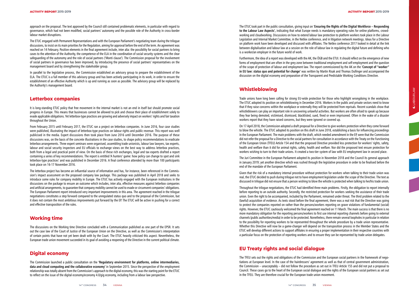approach on the proposal. The text approved by the Council still contained problematic elements, in particular with regard to governance, which had not been modified, social partners' autonomy and the possible role of the Authority in cross-border labour market disruptions.

The ETUC engaged with Permanent Representations and with the European Parliament's negotiating team during the trilogue discussions, to insist on its main priorities for the Regulation, aiming for approval before the end of the term. An agreement was reached on 14 February. Positive elements in the final agreement include, inter alia: the possibility for social partners to bring cases to the attention of the Authority, the competence of the ELA in the coordination of social security systems and the clear safeguarding of the autonomy and the role of social partners ('Monti clause'). The Commission proposal for the involvement of social partners in governance has been improved, by introducing the presence of social partners' representatives on the management board and by strengthening the stakeholder group.

In parallel to the legislative process, the Commission established an advisory group to prepare the establishment of the ELA. The ETUC is a full member of this advisory group and has been actively participating in its work, in order to ensure the establishment of an effective Authority which is up and running as soon as possible. The advisory group will be replaced by the Authority's management board.

#### **Letterbox companies**

It is long-standing ETUC policy that free movement in the internal market is not an end in itself but should promote social progress in Europe. This means that businesses cannot be allowed to pick and choose their place of establishment solely to evade applicable obligations. Yet letterbox-type practices are growing and adversely impact on workers' rights and fair taxation throughout the Union.

From February 2015 until February 2017, the ETUC ran a project on letterbox companies. In June 2016, four case studies were published, illustrating the impact of letterbox-type practices on labour rights and public revenue. This report was well publicised in the media. Expert discussions then took place from June 2016 until December 2016. The purpose of these discussions was, on the basis of the concrete illustrations in the case studies, to shape policy recommendations to eradicate letterbox arrangements. Three expert seminars were organised, assembling trade unionists, labour law lawyers, tax experts, labour and social security inspectors and EU officials to exchange views on the best way to address letterbox practices, both from a legal and practical point of view. On the basis of these rich exchanges, legal and tax experts drafted a report containing a series of key recommendations. The report is entitled 'A hunters' game: how policy can change to spot and sink letterbox-type practices' and was published in December 2016. A final conference attended by more than 100 participants took place on 16-17 November 2016.

The letterbox project has become an influential source of information and has, for instance, been referenced in the Commis sion's impact assessment on the proposed company law package. This package was published in April 2018 and seeks to introduce some rules for company mobility in Europe. The ETUC has actively engaged with the European institutions in the discussions on the package to ensure an outcome which includes, inter alia, effective measures against letterbox companies and artificial arrangements, to guarantee that company mobility cannot be used to evade or circumvent companies' obligations. The European Parliament report introduced very important improvements in this area. The agreement reached in the trilogue negotiations constitutes a step forward compared to the unregulated status quo and to the proposal of the Commission, but it does not contain the most ambitious improvements put forward by the EP. The ETUC will be active in pushing for a correct and effective transposition of the rules.

#### **Working time**

The discussions on the Working time Directive concluded with a Communication published as one part of the EPSR. It sets out the case law of the Court of Justice of the European Union on the Directive, as well as the Commission's interpretation of certain points that have not yet been dealt with by the Court. The ETUC heavily criticised this aspect. Nevertheless, the European trade union movement succeeded in its goal of avoiding a reopening of the Directive in the current political climate.

## **Digital economy**

The Commission launched a public consultation on the **'Regulatory environment for platforms, online intermediaries, data and cloud computing and the collaborative economy'** in September 2015. Since the perspective of the employment relationship was totally absent from the Commission's approach to the digital economy, this was the starting point for the ETUC to reflect on the issue of the digital economy/economy 4.0/gig economy, including from a labour law perspective.

The ETUC took part in the public consultation, giving input on '**Ensuring the Rights of the Digital Workforce – Responding to the Labour Law Aspects',** indicating that what Europe needs is mandatory operating rules for online platforms, crowd working and cloudworking. Discussions on how to extend labour law protection to platform workers took place in the Labour Legislation and Internal Market Committee, in the Netlex conference, and in litigation network meetings. Ideas for a Directive on platform work have been developed and discussed with affiliates. The Netlex conference 2017 looked in detail at the link between digitalisation and labour law at a session on the role of labour law in regulating the digital future and defining who is a worker/an employer in the future world of work.

Furthermore, the idea of a report was developed with the AK, the ÖGB and the ETUI. It should reflect on the emergence of new forms of employment that are often in the grey zone between traditional employment and self-employment and the question of the scope of protection of labour and employment law. The report commissioned by the AK on the '**Concept of "worker" in EU law: status quo and potential for change'** was written by Martin Risak and Thomas Dullinger and accompanied the discussion on the digital economy and preparation of the Transparent and Predictable Working Conditions Directive.

## **Whistleblowing**

Trade unions have long been calling for strong EU-wide protection for those who highlight wrongdoing in the workplace. The ETUC adopted its position on whistleblowing in December 2016. Workers in the public and private sectors need to know that if they raise concerns within the workplace or externally they will be protected from reprisals. Recent scandals show that whistleblowers can play an important role in uncovering unlawful activities. But workers are often afraid to speak up because they fear being demoted, victimised, dismissed, blacklisted, sued, fined or even imprisoned. Often in the wake of a disaster workers report that they have raised concerns, but they were ignored or covered up.

On 17 April 2018, the Commission adopted a draft proposal for a Directive to give workers protection when they come forward to blow the whistle. The ETUC adopted its position on this draft in June 2018, establishing a basis for influencing proceedings in the European Parliament. The main problems with the draft, which needed amendment in the EP, were that the Commission did not refer the proposal for a Directive to the social partners for consultation in accordance with the Treaty on the Functioning of the European Union (TFEU) Article 154 and that the proposed Directive provided less protection for workers' rights, safety, health and welfare than it did for animal rights, safety, health and welfare. Nor did the proposed text ensure protection for workers wishing to turn to their trade unions. It created a two-tier system of law with EU employment law in second place.

The Juri Committee in the European Parliament adopted its position in November 2018 and the Council its general approach in January 2019; yet another directive which was rushed through the legislative procedure in order to be finalised before the end of the mandate of the European Parliament.

Given that the risk of a mandatory internal procedure without protection for workers when talking to their trade union was real, the ETUC decided to push during trilogue not to have employment legislation under the scope of the Directive. The text as discussed in trilogue did not ensure that a person wishing to blow the whistle is protected when talking to her/his trade union .

Throughout the trilogue negotiations, the ETUC had identified three main problems. Firstly, the obligation to report internally before reporting to an outside authority. Secondly, the restricted protection for workers seeking the assistance of their trade union. Even the right to be accompanied, included by the Parliament, remained under threat. The third problem related to the (lawful) acquisition of evidence. As texts stood before the final agreement, there was a real risk that the Directive was going to protect the companies reported on rather than the persons/workers reporting on grave violations of fundamental (social) rights. However, the ETUC cautiously welcomed the final agreement reached on 11 March. The main success is that there is no more mandatory obligation for the reporting persons/workers to first use internal reporting channels before going to external channels (public authorities/media) in order to be protected. Nonetheless, there remain several loopholes in particular in relation to the possibility for reporting workers to be represented throughout the whole procedure by a trade union representative. Whether this Directive will now be a game-changer will depend on the transposition process in the Member States and the ETUC will develop different actions to support affiliates in ensuring a proper implementation in their respective countries with a particular focus on the protection of reporting workers and to ensure they can be represented by trade union delegates.

# **EU Treaty rights and social dialogue**

The TFEU sets out the rights and obligations of the Commission and the European social partners in the framework of nego tiations at European level. In the case of the hairdressers' agreement as well as that of central government administration, the Commission – unacceptably – did not follow the procedure as set out in TFEU Article 155 and did not put a proposal to Council. These cases go to the heart of the European social dialogue and the rights of the European social partners as set out in the TFEU. They are therefore crucial for the European trade union movement.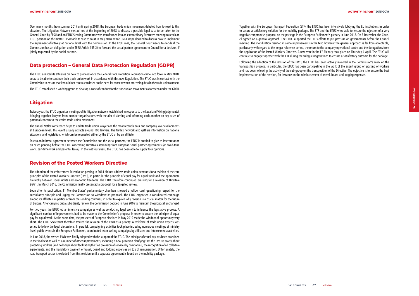Over many months, from summer 2017 until spring 2018, the European trade union movement debated how to react to this situation. The Litigation Network met ad hoc at the beginning of 2018 to discuss a possible legal case to be taken to the General Court by EPSU and an ETUC Steering Committee was transformed into an extraordinary Executive meeting to reach an ETUC position on the matter. EPSU took its case to court in May 2018, while UNI-Europa decided to discuss how to implement the agreement effectively at national level with the Commission. In the EPSU case, the General Court needs to decide if the Commission has an obligation under TFEU Article 155(2) to forward the social partner agreement to Council for a decision, if jointly requested by the social partners.

## **Data protection – General Data Protection Regulation (GDPR)**

The ETUC assisted its affiliates on how to proceed once the General Data Protection Regulation came into force in May 2018, so as to be able to continue their trade union work in accordance with this new Regulation. The ETUC was in contact with the Commission to ensure that it would not continue to insist on the need for consent when processing data in the trade union context.

The ETUC established a working group to develop a code of conduct for the trade union movement as foreseen under the GDPR.

## **Litigation**

Twice a year, the ETUC organises meetings of its litigation network (established in response to the Laval and Viking judgments), bringing together lawyers from member organisations with the aim of alerting and informing each another on key cases of potential concern to the entire trade union movement.

The annual Netlex conference helps to update trade union lawyers on the most recent labour and company law developments at European level. This event usually attracts around 100 lawyers. The Netlex network also gathers information on national situations and legislation, which can be requested either by the ETUC or by an affiliate.

Due to an informal agreement between the Commission and the social partners, the ETUC is entitled to give its interpretation on cases pending before the CJEU concerning Directives stemming from European social partner agreements (on fixed-term work, part-time work and parental leave). In the last four years, the ETUC has been able to supply four opinions.

#### **Revision of the Posted Workers Directive**

The adoption of the enforcement Directive on posting in 2014 did not address trade union demands for a revision of the core principles of the Posted Workers Directive (PWD), in particular the principle of equal pay for equal work and the appropriate hierarchy between social rights and economic freedoms. The ETUC therefore continued pressing for a revision of Directive 96/71. In March 2016, the Commission finally presented a proposal for a targeted review.

Soon after its publication, 11 Member States' parliamentary chambers showed a yellow card, questioning respect for the subsidiarity principle and urging the Commission to withdraw its proposal. The ETUC organised a coordinated campaign among its affiliates, in particular from the sending countries, in order to explain why revision is a crucial matter for the future of Europe. After carrying out a subsidiarity review, the Commission decided in June 2016 to maintain the proposal unchanged.

For two years the ETUC led an intensive campaign as well as conducting legal work to influence the legislative process. A significant number of improvements had to be made to the Commission's proposal in order to ensure the principle of equal pay for equal work. At the same time, the prospect of European elections in May 2019 made the window of opportunity very short. The ETUC Secretariat therefore treated the revision of the PWD as a priority. A taskforce of trade union experts was set up to follow the legal discussions. In parallel, campaigning activities took place including numerous meetings at ministry level, public events in the European Parliament, coordinated letter-writing campaigns by affiliates and intense media activities.

In June 2018, the revised PWD was finally adopted with the support of the ETUC. The principle of equal pay has been enshrined in the final text as well as a number of other improvements, including a new provision clarifying that the PWD is solely about protecting workers (and no longer about facilitating the free provision of services by companies), the recognition of all collective agreements, and the mandatory payment of travel, board and lodging expenses on top of remuneration. Unfortunately, the road transport sector is excluded from this revision until a separate agreement is found on the mobility package.

Together with the European Transport Federation (ETF), the ETUC has been intensively lobbying the EU institutions in order to secure a satisfactory solution for the mobility package. The ETF and the ETUC were able to ensure the rejection of a very negative compromise proposal on the package in the European Parliament's plenary in June 2018. On 3 December, the Council agreed on a general approach. The ETUC supported the ETF's efforts to put pressure on governments before the Council meeting. The mobilisation resulted in some improvements in the text, however the general approach is far from acceptable, particularly with regard to the longer reference period, the return to the company operational centre and the derogations from the application of the Posted Workers Directive. A new vote in the EP Plenary took place on Thursday 4 April. The ETUC will continue to engage together with the ETF during the trilogue negotiations to ensure a satisfactory outcome for the package.

Following the adoption of the revision of the PWD, the ETUC has been actively involved in the Commission's work on the transposition process. In particular, the ETUC has been participating in the work of the expert group on posting of workers and has been following the activity of the sub-group on the transposition of the Directive. The objective is to ensure the best implementation of the revision, for instance on the reimbursement of travel, board and lodging expenses.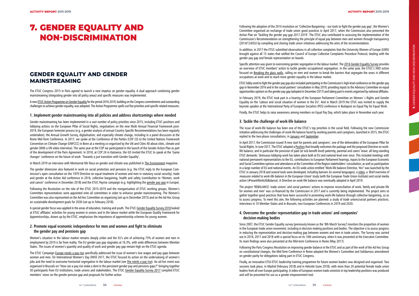# **GENDER EQUALITY AND GENDER MAINSTREAMING**

The ETUC Congress 2015 in Paris agreed to launch a new impetus on gender equality. A dual approach combining gender mainstreaming (integrating gender into all policy areas) and specific measures was implemented.

A new ETUC Action Programme on Gender Equality for the period 2016-2019, building on the Congress commitments and outstanding challenges to achieve gender equality, was adopted. The Action Programme spells out five priorities and specific related measures.

#### **1. Implement gender mainstreaming into all policies and address shortcomings where needed**

Gender mainstreaming has been implemented in a vast number of policy priorities since 2015, including ETUC positions and lobbying actions on the European Pillar of Social Rights, negotiations on the new Multi Annual Financial Framework post-2019, the European Semester process (e.g. a gender analysis of annual Country Specific Recommendations has been regularly undertaken), the Annual Growth Survey, digitalisation, and especially climate change, including in a panel discussion at the Rome Mid-Term Conference. In 2017, we spoke at the Conference of the Parties (COP 23) to the United Nations Framework Convention on Climate Change (UNFCCC) in Bonn at a meeting co-organised by the UN and Cities 40 about cities, climate and gender (With a UN video interview). The same year at the COP we participated in the launch of the Gender Action Plan as part of the development of the Paris Agreement. In 2018, at COP 24 in Katowice, the ILO invited the ETUC to speak at the 'Game changer' conference on the future of work: 'Towards a just transition with Gender Equality'.

In March 2019 an interview with Montserrat Mir Roca on gender and climate was published in The Environment magazine.

The gender dimension also featured in work on social protection and pensions (e.g. the ETUC reply to the European Com mission's open consultation on the 1979 Directive on equal treatment of women and men in statutory social security), trade and gender at the Action Aid conference in 2016, collective bargaining, health and safety (contribution to 'Women, work and cancer' conference in December 2018) and the ETUC Payrise campaign (e.g. highlighting the gender pay gap in Europe).

Following the Resolution on the role of the ETUC 2015-2019 and the reorganisation of ETUC working groups, Women's Committee representatives were appointed onto all committees in order to enhance gender mainstreaming. The Women's Committee was also represented on the Ad Hoc Committee on organising (set up in December 2015) and on the Ad Hoc Group on sustainable development goals for 2030 (set up in February 2018).

A special gender focus was applied in the areas of education, training and youth. The ETUC Gender Equality Survey 2018 looked at ETUC affiliates' activities for young women in unions and in the labour market while the European Quality Framework for Apprenticeships, drawn up by the ETUC, emphasises the importance of apprenticeship schemes for young women.

#### **2. Promote equal economic independence for men and women and fight to eliminate the gender pay and pensions gap**

The issue of work-life balance has been one of the ETUC's top priorities in the social field. Following the new Commission initiative addressing the challenges of work-life balance faced by working parents and caregivers, launched in 2015, the ETUC replied to the two-phase consultations, in January and September.

Women's situation in the labour market remains deeply unfair and the EU's aim of achieving 75% of women and men in employment by 2010 is far from reality. The EU gender pay gap stagnates at 16.3%, with wide differences between Member States. The issues of women's quantity and quality of work and gender pay gap remain high on the ETUC agenda.

The ETUC Campaign Europe needs a pay rise specifically addressed the issue of women's low wages and pay gaps between women and men. On International Women's Day (IWD) 2017, the ETUC focused its action on the undervaluing of women's jobs and the need to overcome horizontal segregation in the labour market (see She needs a pay rise). An ad hoc event was organised in Brussels on "How can a pay rise make a dent in the persistent gender pay and pensions gaps?" bringing together 30 participants from EU institutions, trade unions and stakeholders. The ETUC Gender Equality Survey 2017 compiled ETUC members' views on the gender pension gap and proposals for further action.

Following the adoption of the 2014 resolution on 'Collective Bargaining – our tools to fight the gender pay gap', the Women's Committee organised an exchange of trade union good practices in April 2017, when the Commission also presented the Action Plan on 'Tackling the gender pay gap 2017-2019'. The ETUC also contributed to assessing the implementation of the Commission's Recommendation on strengthening the principle of equal pay between men and women through transparency (2014/124/EU) by compiling and sharing trade union initiatives addressing the aims of the recommendation.

In addition, in 2017 the ETUC submitted observations in all collective complaints that the University Women of Europe (UWE) brought against all 15 states that ratified the Council of Europe Collective Complaints Procedure Protocol, dealing with the gender pay gap and female representation on boards.

Specific attention was given to overcoming gender segregation in the labour market. The 2016 Gender Equality Survey provides an overview of ETUC members' action to tackle gender occupational segregation. In the same year, the ETUC's IWD action focused on Breaking the glass walls, calling on men and women to break the barriers that segregate the sexes in different occupations at work and to reach more gender equality in the labour market.

ETUC lobby work to fight the gender pay gap also included participating in the Commission's high-level conference on the gender pay gap in November 2016 and in the social partners' consultation in May 2019; providing inputs to the Advisory Committee on equal opportunities opinion on the gender pay gap (adopted in December 2017) and taking part in events organised by national affiliates.

In February 2019, the ETUC took part in a hearing of the European Parliament Committee on Women´s Rights and Gender Equality on the 'Labour and social situation of women in the EU'. And in March 2019 the ETUC was invited to supply the keynote speaker at the International Party of European Socialists (PES) conference in Budapest on Equal Pay for Equal Work.

Finally, the ETUC helps to raise awareness among members on Equal Pay Day, which takes place in November each year.

#### **3. Tackle the challenge of work-life balance**

In April 2017, the Commission issued 'A new start for parents and caregivers', one of the deliverables of the European Pillar for Social Rights. In June 2017, The ETUC adopted a Position that broadly welcomes the package and the proposed Directive on worklife balance, and in particular the provision of paid (at sick-benefit level) paternity, parental and carers' leave: all long-standing ETUC demands. Strenuous lobbying work has taken place both at EU and national level ever since. This included meetings with national permanent representations to the EU, contributions to European Parliament hearings, inputs to the European Economic and Social Committee opinion and attendance at the Committee of the Region stakeholders' consultation, as well as participation in a large number of EU and national events. An EU-wide action entitled 'Work-life balance Directive, Yes!' was launched by the ETUC in January 2018 and several tools were developed, including banners (in several languages), a video, a 'Brief overview of measures related to work-life balance in the European Union' study (with the European Trade Union Institute) and social media action (#IwantWorkLifeBalance). A Directive on work-life balance was eventually adopted in April 2019.

The project 'REBALANCE: trade unions' and social partners' actions to improve reconciliation of work, family and private life for women and men' was co-financed by the Commission in 2017 and is currently being implemented. The project aims to gather together good practices that have been successful in promoting work-life balance through collective bargaining, so as to assess progress. To meet this aim, the following activities are planned: a study of trade unions/social partners practices; interviews in 10 Member States and in Brussels; two European Conferences in 2019 and 2020.

#### **4. Overcome the gender representation gap in trade unions' and companies' decision-making bodies**

Since 2007, the ETUC Gender Equality survey (previously known as the '8th March Survey') monitors the proportion of women in the European trade union movement, including in decision-making positions and bodies. The objective is to assess progress in reducing the representation and decision-making gap between women and men in trade unions. The Survey was carried out in 2016, 2017 and 2018 with a special focus on its 10th anniversary, when it was presented at the Executive Committee. Its main findings were also presented at the Mid-term Conference in Rome (May 2017).

Following the Paris Congress Resolution on improving gender balance in the ETUC and as part of the work of the Ad Hoc Group on constitutional changes, the Mid-Term Conference in Rome adopted the Women's Committee and Solidarnosc amendment on gender parity for delegations taking part in ETUC Congress.

Finally, an innovative ETUI-ETUC leadership training programme for future women leaders was designed and organised. Two sessions took place, in Madrid (February 2018) and in Helsinki (June 2018), with more than 20 potential female trade union leaders from all over Europe participating. A video of European women trade unionists in top leadership positions was produced and will be presented for use as a gender empowerment tool.

# 7. GENDER EQUALITY AND NON-DISCRIMINATION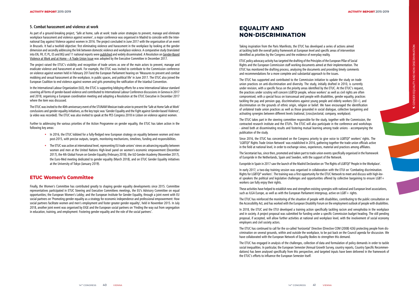#### **5. Combat harassment and violence at work**

As part of a ground-breaking project, 'Safe at home, safe at work: trade union strategies to prevent, manage and eliminate workplace harassment and violence against women', a major conference was organised in Madrid to coincide with the International Day against Violence against women in 2016. The project concluded in June 2017 with the organisation of an event in Brussels. It had a twofold objective: first eliminating violence and harassment in the workplace by looking at the gender dimension and secondly addressing the link between domestic violence and workplace violence. A comparative study (translated into EN, FR, IT, PL, ES and BG) and 11 national reports were published and widely disseminated. A Resolution on Gender-Based Violence at Work and at Home – A Trade Union Issue was adopted by the Executive Committee in December 2017.

The project raised the ETUC's visibility and recognition of trade unions as one of the main actors to prevent, manage and eradicate violence and harassment at work. For example, the ETUC was invited to contribute to the Commission conference on violence against women held in February 2017and the European Parliament hearing on 'Measures to prevent and combat mobbing and sexual harassment at the workplace, in public spaces, and political life' in June 2017. The ETUC also joined the European Coalition to end violence against women and girls promoting the ratification of the Istanbul Convention.

In the International Labour Organization (ILO), the ETUC is supporting lobbying efforts for a new international labour standard covering all forms of gender-based violence and contributed to International Labour Conference discussions in Geneva in 2017 and 2018, organising a European coordination meeting and adopting a Resolution at the ETUC Executive in December 2017 where the item was discussed.

The ETUC was invited to the 40th anniversary event of the STUNAM Mexican trade union to present the 'Safe at Home Safe at Work' conclusions and gender equality initiatives, as the key topic was 'Gender Equality and the Fight against Gender-based Violence', (a video was recorded). The ETUC was also invited to speak at the PES Congress 2018 in Lisbon on violence against women.

Further to addressing the various priorities of the Action Programme on gender equality, the ETUC has taken action in the following key areas:

- In 2016, the ETUC lobbied for a fully-fledged new European strategy on equality between women and men post-2015, with precise outputs, targets, monitoring mechanisms, timelines, funding and responsibilities.
- The ETUC was active at international level, representing EU trade unions' views on advancing equality between women and men at the United Nations High-level panel on women's economic empowerment (December 2017), the 4th Global Forum on Gender Equality (February 2018), the ILO Gender Academy (November 2017), the Euro-Med meeting dedicated to gender equality (March 2018), and on ETUC Gender Equality initiatives at the University of Tokyo (January 2019).

## **ETUC Women's Committee**

These activities have helped to establish new and strengthen existing synergies with national and European level associations, such as ILGA Europe, as well as with the European Parliament intergroup, active on LGBT + rights.

Finally, the Women's Committee has contributed greatly to shaping gender equality developments since 2015. Committee representatives participated in ETUC Steering and Executive Committees meetings, the EU's Advisory Committee on equal opportunities; the European Women's Lobby; and the European Institute for Gender Equality, through a joint event with EU social partners on 'Promoting gender equality as a strategy for economic independence and professional empowerment: How social partners facilitate women and men's employment and foster greater gender equality', held in November 2015. In July 2018, another joint event was organised by EIGE and the European social partners on 'Finding the way out from segregation in education, training, and employment: Fostering gender equality and the role of the social partners'.

# **EQUALITY AND NON-DISCRIMINATION**

Taking inspiration from the Paris Manifesto, the ETUC has developed a series of actions aimed at tackling both the overall policy framework at European level and specific areas of intervention identified as priorities by the Congress and the evidence of everyday reality.

ETUC policy advocacy activity has targeted the drafting of the Principles of the European Pillar of Social Rights and the European Commission staff working documents aimed at their implementation. The ETUC has monitored the drafting process, analysing the documents and providing timely comments and recommendations for a more complete and substantial approach to the issues.

The ETUC has supported and contributed to the Commission initiative to update the study on trade union practices on anti-discrimination and diversity. The study, initially drafted in 2010, is currently under revision, with a specific focus on the priority areas identified by the ETUC. At the ETUC's request, the practices under scrutiny will concern LGBTQI people, whose workers' as well as civil rights are often compromised, with a special focus on transsexual and people with disabilities, gender equality, practices tackling the pay and pension gap, discriminations against young people and elderly workers (50+), and discrimination on the grounds of ethnic origin, religion or belief. We have encouraged the identification of unilateral trade union practices as well as those grounded in social dialogue, collective bargaining and activating synergies between different levels (national, [cross]sectorial, company, workplace).

The ETUC takes part in the steering committee responsible for the study, together with the Commission, the contracted research institute and the ETUFs. The ETUC will also participate in the conference and workshops - aimed both at disseminating results and fostering mutual learning among trade unions - accompanying the publication of the study.

Since 2016, the ETUC has concentrated on the Congress priority to give voice to LGBTQI\* workers' rights. The 'LGBTQI\* Rights Trade Union Network' was established in 2016, gathering together the trade union officials active in the field at national level, in order to exchange views, experiences, material and practices among affiliates.

The Secretariat has, since then, promoted and taken part to trade union events specifically organised in the framework of Europride in the Netherlands, Spain and Sweden, with the support of the Network.

Europride in Spain in 2017 saw the launch of the Madrid Declaration on 'The Rights of LGBTQI\* People in the Workplace'.

In early 2017, a two-day training session was organised in collaboration with the ETUI on 'Combating discrimination. Rights for LGBTQI\* workers'. The training was a first opportunity for the ETUC Network to meet and discuss with high-lev el speakers the political and legislative challenges and opportunities offered by collective bargaining to ensure LGBT+ workers can fully enjoy their rights.

The ETUC has reinforced the monitoring of the situation of people with disabilities, contributing to the public consultation on the Accessibility Act, and has worked with the European Disability Forum on the employment outlook of people with disabilities.

In 2018, the ETUC and the ETUI developed a training action specifically tackling racism and xenophobia in the workplace and in society. A project proposal was submitted for funding under a specific Commission budget heading. The still pending proposal, if accepted, will allow further activities at national and workplace level, with the involvement of social economy employers and civil society actors.

The ETUC has continued to call for the so-called 'horizontal' Directive (Directive COM (2008) 426) protecting people from dis crimination on several grounds, within and outside the workplace, to be put back on the Council agenda for discussion. We have collaborated with the European Network of Equality Bodies to strengthen this demand.

The ETUC has engaged in analysis of the challenges, collection of data and formulation of policy demands in order to tackle social inequalities. In particular, the European Semester (Annual Growth Survey, country reports, Country Specific Recommen dations) has been analysed specifically from this perspective, and targeted inputs have been delivered in the framework of the ETUC's efforts to influence the European Semester itself.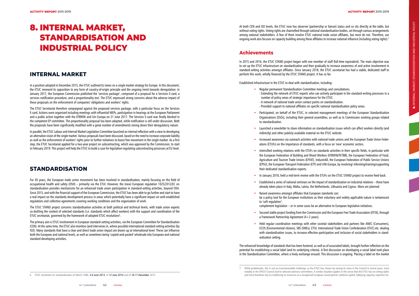# **INTERNAL MARKET**

In a position adopted in December 2015, the ETUC outlined its views on a single market strategy for Europe. In this document, the ETUC renewed its opposition to any form of country-of-origin principle and the ongoing trend towards deregulation. In January 2017, the European Commission published the 'services package', composed of a proposal for a Services E-card, a services notification procedure, and a proportionality test. The ETUC expressed strong concerns about the adverse impact of these proposals on the enforcement of companies' obligations and workers' rights.

The ETUC Secretariat therefore campaigned against the proposed services package, with a particular focus on the Services E-card. Actions were organised including meetings with influential MEPs, participation in hearings at the European Parliament and a public action together with the EFBWW and Uni Europa on 21 June 2017. The Services E-card was finally blocked in the competent EP committee. The proportionality proposal has been adopted, while notification is still under discussion. Both the proposals have been significantly modified with a great number of amendments toning down their deregulatory nature.

In parallel, the ETUC Labour and Internal Market Legislation Committee launched an internal reflection with a view to developing an alternative vision of the single market. Various proposals have been discussed, based on the need to increase corporate liability as well as the enforcement of workers' rights prior to further initiatives to boost free movement in the single market. As a first step, the ETUC Secretariat applied for a two-year project on subcontracting, which was approved by the Commission, to start in February 2019. This project will help the ETUC to build a case for legislation regulating subcontracting processes at EU level.

# **STANDARDISATION**

For 30 years, the European trade union movement has been involved in standardisation, mainly focusing on the field of occupational health and safety (OSH) – primarily via the ETUI. However, the (new) European regulation 1025/2012/EC on standardisation provides mechanisms for an enhanced trade union participation in standard-setting activities, beyond OSH. Since 2015, and with the financial support of the European Commission, the ETUC has been able to go further and start to have a real impact on the standards development process in areas which potentially have a significant impact on well-established regulations and collective agreements covering working conditions and the organisation of work.

The ETUC STAND project concerns standardisation activities at both political and technical levels, with trade union experts co-drafting the content of selected standards (i.e. standards which affect workers) with the support and coordination of the ETUC secretariat, governed by the framework of adopted ETUC resolutions 6 .

The primary aim is ETUC involvement in European standard-setting activities, via the European Committee for Standardisation (CEN). At the same time, the ETUC also monitors (and intervenes in, where possible) international standard-setting activities (by ISO). Many standards that have a clear and direct trade union impact are drawn up at international level. These can influence both the European and national levels, as well as sometimes being 'copied-and-pasted' wholesale into European and national standard-developing activities.

6 ETUC resolution on standardisation of March 1986, 5-6 June 2013, of 12 June 2014 and of 16-17 December 2015

The enhanced knowledge of standards that has been fostered, as well as of associated labels, brought further reflection on the potential for establishing a social label (and its underlying criteria). A first discussion on developing a social label took place in the Standardisation Committee, where a lively exchange ensued. This discussion is ongoing. Placing a label on the market<br>
This discussion is ongoing. Placing a label on the market<br>
This is not an insurmountable challeng

At both CEN and ISO levels, the ETUC now has observer (partnership or liaison) status and so sits directly at the table, but without voting rights. Voting rights are channelled through national standardisation bodies, set through various arrangements among national stakeholders. A few of them involve ETUC national trade union affiliates, but most do not. Therefore, our ongoing work also focuses on capacity building among these affiliates to increase national influence (including voting rights). 7

## **Achievements**

In 2015 and 2016, the ETUC STAND project began with one member of staff (full-time equivalent). The main objective was to set up the ETUC infrastructure on standardisation and then gradually to increase awareness of and active involvement in standard-setting activities amongst affiliates. Since January 2018, the ETUC secretariat has had a stable, dedicated staff to perform this work, wholly financed by the ETUC STAND project. It has so far:

Established infrastructure in the ETUC to deal with standardisation, including:

- Extending the network of ETUC experts who can actively participate in the standard-writing processes in a

- A network of national trade union contact points on standardisation.

- Provided support to national affiliates on specific national standardisation policy areas.

• Participated, on behalf of the ETUC, in selected management meetings of the European Standardisation Organisations (ESOs), including their general assemblies, as well as in Commission working groups related

• Launched a newsletter to share information on standardisation issues which can affect workers directly (and

• Increased awareness via outreach activities with national trade unions and the European Trade Union Feder-

• Intensified working relations with the ETUFs on standards activities in their specific fields, in particular with the European Federation of Building and Wood Workers (EFBWW/FETBB), the European Federation of Food, Agriculture and Tourism Trade Unions (EFFAT), IndustriAll, the European Federation of Public Service Unions (EPSU), the European Transport Federation (ETF) and UNI-Europa, by involving/ informing/training/supporting

- Regular permanent Standardisation Committee meetings and consultations. number of policy areas of strategic importance for the ETUC.
- 
- to standardisation.
- indirectly) and other publicly available material on the ETUC website.
- ations (ETUFs) on the importance of standards, with a focus on 'new' economic sectors.
- their dedicated standardisation experts.
- 
- 
- Raised awareness amongst affiliates that European standards can: to 'soft regulation'; complement legislation – or in some cases be an alternative to European legislative initiatives.
- a Framework Partnership Agreement (4+2 years).
- ardisation setting.

• In January 2018, held a mid-term review with the ETUFs on the ETUC STAND project to receive feed-back.

• Established a series of national seminars on the impact of standardisation on industrial relations – these have already taken place in Italy, Malta, Latvia, the Netherlands, Lithuania and Cyprus. More are planned.

be a policy tool for the European institutions as their voluntary and widely applicable nature is tantamount

• Secured stable project funding from the Commission and the European Free Trade Association (EFTA), through

• Held regular coordination meetings with other societal stakeholders and partners like ANEC (Consumers), ECOS (Environmental citizens), SBS (SMEs), ETUI, International Trade Union Confederation (ITUC) etc. dealing with standardisation issues, to increase effective participation and inclusion of social stakeholders in stand -

# 8. INTERNAL MARKET, STANDARDISATION AND INDUSTRIAL POLICY

notably in the EPSCO Council and its relevant advisory committees. A similar situation applies in the sense that the ETUC has no voting rights and must therefore rely on mobilising its resources as a recognised European social partner: political capital, lobbying capacity, expertise etc.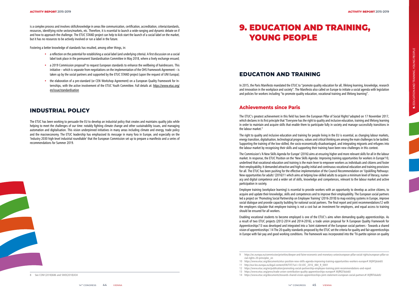is a complex process and involves skills/knowledge in areas like communication, certification, accreditation, criteria/standards, resources, identifying niche sectors/markets, etc. Therefore, it is essential to launch a wide-ranging and dynamic debate on if and how to approach the challenge. The ETUC STAND project can help to kick-start the launch of a social label on the market, but it has no resources to be actively involved or run a label in the future.

Fostering a better knowledge of standards has resulted, among other things, in:

- a reflection on the potential for establishing a social label (and underlying criteria). A first discussion on a social label took place in the permanent Standardisation Committee in May 2018, where a lively exchange ensued;
- a 2019 Commission proposal<sup>8</sup> to request European standards to enhance the wellbeing of hairdressers. This initiative – which is separate from negotiations on the implementation of the OHS Framework Agreement – is taken up by the social partners and supported by the ETUC STAND project (upon the request of UNI Europa);
- the elaboration of a pre-standard (or CEN Workshop Agreement) on a European Quality Framework for Internships, with the active involvement of the ETUC Youth Committee. Full details at: https://www.etuc.org/ en/issue/standardisation

# **INDUSTRIAL POLICY**

The ETUC's greatest achievement in this field has been the European Pillar of Social Rights<sup>9</sup> adopted on 17 November 2017, which declares in its first principle that "Everyone has the right to quality and inclusive education, training and lifelong learning in order to maintain and acquire skills that enable them to participate fully in society and manage successfully transitions in the labour market."

The ETUC has been working to persuade the EU to develop an industrial policy that creates and maintains quality jobs while helping to meet the challenges of our time: notably fighting climate change and other sustainability issues, and managing automation and digitalisation. This vision underpinned initiatives in many areas including climate and energy, trade policy and the macroeconomy. The ETUC leadership has emphasised its message in many fora in Europe, and especially on the 'Industry 2030 high-level industrial roundtable' that the European Commission set up to prepare a manifesto and a series of recommendations for Summer 2019.

# **EDUCATION AND TRAINING**

In 2015, the Paris Manifesto mandated the ETUC to "promote quality education for all, lifelong learning, knowledge, research and innovation in the workplace and society". The Manifesto also called on Europe to initiate a social agenda with legislation and policies for workers including "to promote quality education, vocational training and lifelong learning".

#### **Achievements since Paris**

The right to quality and inclusive education and training for people living in the EU is essential, as changing labour markets, energy transition, digitalisation, technological progress, values and critical thinking are among the main challenges to be tackled. Supporting the training of the low-skilled, the socio-economically disadvantaged, and integrating migrants and refugees into the labour market by recognising their skills and supporting their training have been new challenges in this context.

The Commission's 'A New Skills Agenda for Europe' (2016) aims at ensuring higher and more relevant skills for all in the labour market. In response, the ETUC Position on the 'New Skills Agenda: Improving training opportunities for workers in Europe'10, underlined that vocational education and training is the main lever to empower workers as individuals and citizens and foster their employability. It demanded attractive and high-quality initial and continuous vocational education and training provisions for all. The ETUC has been pushing for the effective implementation of the Council Recommendation on 'Upskilling Pathways: New opportunities for adults' (2016)11 which aims at helping low-skilled adults to acquire a minimum level of literacy, numeracy and digital competence and a wider set of skills, knowledge and competences, relevant to the labour market and active participation in society.

Employee training (workplace learning) is essential to provide workers with an opportunity to develop as active citizens, to acquire and update their knowledge, skills and competences and to improve their employability. The European social partners led a project on 'Promoting Social Partnership on Employee Training' (2016-2018) to map existing systems in Europe, improve social dialogue and provide capacity building for national social partners. The final report and joint recommendations12 with the employers stipulate that employee training is not a cost but an investment for employers, and equal access to training should be ensured for all workers.

Enabling vocational students to become employed is one of the ETUC's aims when demanding quality apprenticeships. As a result of two ETUC projects (2012-2014 and 2014-2016), a trade union proposal for 'A European Quality Framework for Apprenticeships'13 was developed and integrated into a 'Joint statement of the European social partners - Towards a shared vision of apprenticeships'.14 The 20 quality standards proposed by the ETUC set the criteria for quality and fair apprenticeships in Europe with fair pay and good working conditions. The framework was incorporated into the 'Tri-partite opinion on quality

# 9. EDUCATION AND TRAINING, YOUNG PEOPLE

<sup>8</sup> See COM (2018)686 and SWD(2018)434

<sup>9</sup> https://ec.europa.eu/commission/priorities/deeper-and-fairer-economic-and-monetary-union/european-pillar-social-rights/european-pillar-social-rights-20-principles\_en

<sup>10</sup> https://www.etuc.org/documents/etuc-position-new-skills-agenda-improving-training-opportunities-workers-europe#.WjfATjdukdU 11 http://eur-lex.europa.eu/legal-content/EN/TXT/?uri=OJ:JOC\_2016\_484\_R\_0001

<sup>12</sup> https://www.etuc.org/en/publication/promoting-social-partnership-employee-training-joint-recommendations-and-report

<sup>13</sup> https://www.etuc.org/press/trade-union-contribution-quality-apprenticeships-europe#.WjfRQTdukdU

<sup>14</sup> https://www.etuc.org/documents/towards-shared-vision-apprenticeships-joint-statement-european-social-partners#.WjfRlTdukdU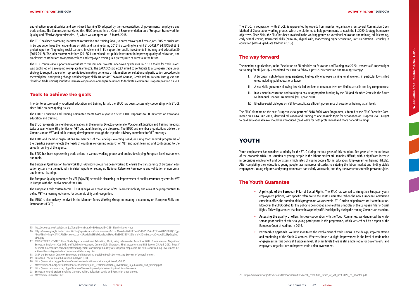and effective apprenticeships and work-based learning'15 adopted by the representatives of governments, employers and trade unions. The Commission translated this ETUC demand into a Council Recommendation on a 'European Framework for Quality and Effective Apprenticeships'16, which was adopted on 15 March 2018.

The ETUC has been promoting investment in education and training for all, to boost recovery and create jobs. 80% of businesses in Europe cut or froze their expenditure on skills and training during 201617 according to a joint ETUC-CEEP18-ETUCE-EFEE19 project report on 'Improving social partners' involvement in EU support for public investments in training and education'20 (2015-2017). The joint recommendations (2016)21 underlined that public investment in improving quality of education, and employers' contributions to apprenticeships and employee training is a prerequisite of success in the future.

The ETUC continues to support and contribute to transnational projects undertaken by affiliates. In 2016 a toolkit for trade unions was published on developing workplace learning22. The SACADOS project23 aimed to contribute to a European trade union strategy to support trade union representatives in making better use of information, consultation and participation procedures in the workplace, anticipating change and developing skills. Unions4VET24 (with German, Greek, Italian, Latvian, Portuguese and Slovakian trade unions) sought to increase cooperation among trade unions to facilitate a common European position on VET.

#### **Tools to achieve the goals**

In order to ensure quality vocational education and training for all, the ETUC has been successfully cooperating with ETUCE since 2012 on overlapping issues.

The ETUC's Education and Training Committee meets twice a year to discuss ETUC responses to EU initiatives on vocational education and training.

The ETUC represents the member organisations in the informal Directors-General of Vocational Education and Training meetings twice a year, where EU priorities on VET and adult learning are discussed. The ETUC and member organisations advise the Commission on VET and adult learning developments through the tripartite advisory committee for VET meetings.

The ETUC and member organisations are members of the Cedefop Governing Board, ensuring that the work programme of the tripartite agency reflects the needs of countries concerning research on VET and adult learning and contributing to the smooth running of the agency.

The ETUC has been representing trade unions in various working groups and bodies developing European-level instruments and tools.

The European Qualification Framework (EQF) Advisory Group has been working to ensure the transparency of European edu cation systems via the national ministries' reports on setting up National Reference Frameworks and validation of nonformal and informal learning.

The European Quality Assurance for VET (EQAVET) network is discussing the improvement of quality assurance systems for VET in Europe with the involvement of the ETUC.

The European Credit System for VET (ECVET) helps with recognition of VET learners' mobility and aims at helping countries to define VET via learning outcomes for better visibility and recognition.

The ETUC is also actively involved in the Member States Working Group on creating a taxonomy on European Skills and Occupations (ESCO).

The ETUC, in cooperation with ETUCE, is represented by experts from member organisations on several Commission Open Method of Cooperation working groups, which are platforms to help governments to reach the EU2020 Strategy framework objectives. Since 2014, the ETUC has been involved in the working groups on vocational education and training, adult learning, early school leaving, transversal skills (2014-16), digital skills, modernising higher education, Paris Declaration – equality in education (2016-), graduate tracking (2018-).

#### **The way forward**

The member organisations, in the 'Resolution on EU priorities on Education and Training post 2020 - towards a European right

to training for all' (2018)25 mandated the ETUC to follow a post-2020 education and training strategy:

- I. A European right to training guaranteeing high-quality employee training for all workers, in particular low-skilled ones, including paid educational leave;
- II. A real skills guarantee allowing low-skilled workers to obtain at least certified basic skills and key competences;
- III. Investment in education and training to ensure appropriate funding by the EU (and Member States) in the future Multiannual Financial Framework (MFF) post 2020;
- IV. Effective social dialogue on VET to consolidate efficient governance of vocational training at all levels.

The ETUC Mandate on the next European social partners' 2018-2020 Work Programme, adopted at the ETUC Executive Com mittee on 13-14 June 2017, identified education and training as one possible topic for negotiation at European level. A right to paid educational leave should be introduced (paid leave for both professional and more general training).

## **YOUTH**

- 
- Youth employment has remained a priority for the ETUC during the four years of this mandate. Ten years after the outbreak

of the economic crisis, the situation of young people in the labour market still remains difficult, with a significant increase in precarious employment and persistently high rates of young people Not in Education, Employment or Training (NEETs). After completing their education, young people face numerous obstacles to entering the labour market and finding stable employment. Young migrants and young women are particularly vulnerable, and they are over-represented in precarious jobs.

#### **The Youth Guarantee**

- **A principle of the European Pillar of Social Rights.** The ETUC has worked to strengthen European youth employment policies, with specific reference to the Youth Guarantee. When the new European Commission came into office, the duration of this programme was uncertain. ETUC action helped to ensure its continuation. Moreover, the ETUC called for this policy to be included as one of the principles of the European Pillar of Social Rights. This will guarantee that it remains a priority of EU social policy during the coming Commission mandate.
- **Assessing the quality of offers.** In close cooperation with the Youth Committee, we denounced the widespread poor quality of offers to young participants in this programme, which was echoed by a report of the European Court of Auditors in 2016.
- **Partnership approach.** We have monitored the involvement of trade unions in the design, implementation and monitoring of the Youth Guarantee. Whereas there is a slight improvement in the level of trade union engagement in this policy at European level, at other levels there is still ample room for governments and employers' organisations to improve trade union involvement.

<sup>16</sup> https://www.google.be/url?sa=t&rct=j&q=&esrc=s&source=web&cd=4&ved=0ahUKEwiY1dG95JPYAhXOEVAKHZ9BCdQQFgg - 4MAM&url=http%3A%2F%2Fec.europa.eu%2Fsocial%2FBlobServlet%3FdocId%3D18330%26langId%3Den&usg=AOvVaw3kk2PpGttgQad\_ FlhiCg4y

<sup>15</sup> http://ec.europa.eu/social/main.jsp?langId=en&catId=89&newsId=2691&furtherNews=yes

<sup>17</sup> ETUC-CEEP-ETUCE-EFEE: Final Study Report - Investment Education, 2017, using reference to: Accenture 2012: News release - Majority of European Employers Cut Skills and Training Investment. Despite Skills Shortages, Finds Accenture and FEB Survey, 25 April 2012. https:// newsroom.accenture.com/subjects/management-consulting/majority-of-european-employers-cut-skills-and-training-investment-de spite-skills-shortages-finds-accenture-and-feb-survey.htm

<sup>18</sup> CEEP, the European Centre of Employers and Enterprises providing Public Services and Services of general interest

<sup>19</sup> European Federation of Education Employers (EFEE)

<sup>20</sup> https://www.etuc.org/publications/investment-education-and-training#.WnM\_cTdulQL

<sup>21</sup> https://www.etuc.org/sites/default/files/circular/files/joint\_recommendations\_investment\_in\_education\_and\_training.pdf

<sup>22</sup> https://www.unionlearn.org.uk/publications/developing-workplace-learning-toolkit-trade-unions

<sup>23</sup> European funded project involving German, Italian, Bulgarian, Latvia and Romanian trade unions.

<sup>24</sup> http://www.unions4vet.de/

<sup>25</sup> https://www.etuc.org/sites/default/files/document/files/ec226 resolution future of vet post-2020 en adopted.pdf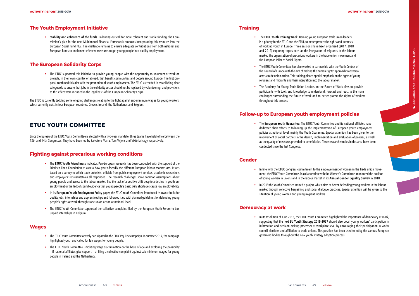# **The Youth Employment Initiative**

• **Stability and coherence of the funds**. Following our call for more coherent and stable funding, the Commission's plan for the next Multiannual Financial Framework proposes incorporating this resource into the European Social Fund Plus. The challenge remains to ensure adequate contributions from both national and European funds to implement effective measures to get young people into quality employment.

• The ETUC supported this initiative to provide young people with the opportunity to volunteer or work on projects, in their own country or abroad, that benefit communities and people around Europe. The first proposal combined this aim with the promotion of youth employment. The ETUC succeeded in establishing clear safeguards to ensure that jobs in the solidarity sector should not be replaced by volunteering, and provisions to this effect were included in the legal basis of the European Solidarity Corps.

## **The European Solidarity Corps**

The ETUC is currently tackling some ongoing challenges relating to the fight against sub-minimum wages for young workers, which currently exist in four European countries: Greece, Ireland, the Netherlands and Belgium.

# **ETUC YOUTH COMMITTEE**

Since the bureau of the ETUC Youth Committee is elected with a two-year mandate, three teams have held office between the 13th and 14th Congresses. They have been led by Salvatore Marra, Tom Vrijens and Viktória Nagy, respectively.

# **Fighting against precarious working conditions**

- The **ETUC Youth Friendliness** indicator. Pan-European research has been conducted with the support of the Friedrich Ebert Foundation to assess how youth-friendly the different European labour markets are. It was based on a survey to which trade unionists, officials from public employment services, academic researchers and employers' representatives all responded. The research challenges some common assumptions about young people and access to the labour market, like the lack of a positive shift despite a decline in youth unemployment or the lack of sound evidence that young people's basic skills shortages cause low employability.
- In its **European Youth Employment Policy** paper, the ETUC Youth Committee introduced its own criteria for quality jobs, internships and apprenticeships and followed it up with planned guidelines for defending young people's rights at work through trade union action at national level.
- The ETUC Youth Committee supported the collective complaint filed by the European Youth Forum to ban unpaid internships in Belgium.

• In line with the ETUC Congress commitment to the empowerment of women in the trade union movement, the ETUC Youth Committee, in collaboration with the Women's Committee, monitored the position of young women in unions and in the labour market in its **Annual Gender Equality Survey** in 2018.

#### **Wages**

- The ETUC Youth Committee actively participated in the ETUC Pay Rise campaign. In summer 2017, the campaign highlighted youth and called for fair wages for young people.
- The ETUC Youth Committee is fighting wage discrimination on the basis of age and exploring the possibility – if national affiliates give support – of filing a collective complaint against sub-minimum wages for young people in Ireland and the Netherlands.

## **Training**

- The **ETUC Youth Training Week.** Training young European trade union leaders is a priority for the ETUC and the ETUI, to better protect the rights and interests of working youth in Europe. Three sessions have been organised (2017, 2018 and 2019) exploring topics such as the integration of migrants in the labour market, the organisation of precarious workers in the trade union movement and the European Pillar of Social Rights.
- The ETUC Youth Committee has also worked in partnership with the Youth Centres of the Council of Europe with the aim of making the human rights' approach transversal across trade union action. This training placed special emphasis on the rights of young refugees and migrants and their integration into the labour market.
- The Academy for Young Trade Union Leaders on the Future of Work aims to provide participants with tools and knowledge to understand, forecast and react to the main challenges surrounding the future of work and to better protect the rights of workers throughout this process.

# **Follow-up to European youth employment policies**

• The **European Youth Guarantee**. The ETUC Youth Committee and its national affiliates have dedicated their efforts to following up the implementation of European youth employment policies at national level, mainly the Youth Guarantee. Special attention has been given to the conducted since the last Congress.

involvement of social partners in the design, implementation and evaluation of policies, as well as the quality of measures provided to beneficiaries. Three research studies in this area have been

#### **Gender**

• In 2019 the Youth Committee started a project which aims at better defending young workers in the labour market through collective bargaining and social dialogue practices. Special attention will be given to the

- 
- situation of young women and young migrant workers.

#### **Democracy at work**

• In its resolution of June 2018, the ETUC Youth Committee highlighted the importance of democracy at work, suggesting that the next **EU Youth Strategy 2019-2027** should also boost young workers' participation in information and decision-making processes at workplace level by encouraging their participation in works council elections and affiliation to trade unions. This position has been used to lobby the various European

governing bodies throughout the new youth strategy adoption process.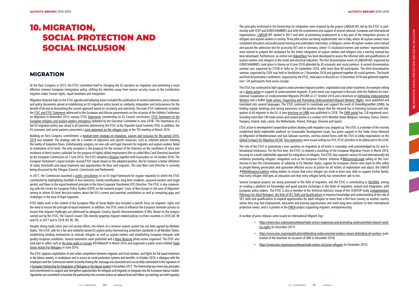# **MIGRATION**

At the Paris Congress in 2015, the ETUC committed itself to changing the EU narrative on migration and promoting a more effective common European immigration policy, shifting the attention away from narrow security issues to the contribution migrants make, human rights, equal treatment and integration.

Migration featured high on the ETUC agenda and lobbying action included the publication of several statements, press releases and policy documents aimed at establishing an EU migration policy based on solidarity, integration and inclusiveness for the benefit of all and at dismantling the current approach based on circularity and selectivity. The main ETUC statements included: the ITUC and ETUC Statement addressed to the European and African governments on the occasion of the Valletta Conference on Migration in November 2015; various ETUC Statements commenting on EU Council conclusions; ETUC Statement on the European refugees and asylum-seekers emergency (adopted by the Executive Committee in June 2018). The importance of a fair EU migration policy was raised in all speeches delivered by the ETUC at the Tripartite Social Summits (TSS). In addition, the EU economic and social partners presented a Joint statement on the refugee crisis at the TSS meeting of March 2016.

Building on Paris Congress commitment, a medium-term strategy on migration, asylum and inclusion for the period 2016-2019 was adopted. The strategy calls for a number of objectives and specific measures, such as coherent policies meeting the reality of migration flows. Unfortunately, progress on new safe and legal channels for migrants and asylum-seekers failed to materialise at EU level. The only exception is the proposal for the revision of the Directive on the conditions of entry and residence of third-country nationals for the purpose of highly skilled employment (the so-called Blue Card Directive) launched by the European Commission on 7 June 2016. The ETUC adopted a Position together with Eurocadres on 16 October 2016. The European Parliament's report includes several ETUC inputs based on the adopted position, like for instance a better definition of salary thresholds and equal treatment and opportunities for blue card migrants. The new Blue Card Directive is currently being discussed by the Trilogue (Council, Commission and Parliament).

In 2017, the Commission launched a public consultation on an EU legal framework for regular migration to which the ETUC contributed by highlighting shortfalls in four directives: family reunification, long-term residents, seasonal workers and single permit, and flaws in the equal treatment principle in the Intra-Corporate Transferees (ITC) Directive. The ETUC is also cooperat ing with the Centre for European Policy Studies (CEPS) on the research project 'Costs of Non-Europe in the area of Migration' aiming to inform EU-level decision-makers about the EU's current and potential contribution as well as remaining gaps and challenges in the area of legal migration.

ETUC lobby work in the context of the European Pillar of Social Rights also included a specific focus on migrants' rights and the need to ensure the principle of equal treatment. In addition, the ETUC seeks to influence the European Semester process to ensure that migrant challenges are addressed by adequate Country Specific Recommendations (CSRs). Based on the analysis carried out by the ETUC, the Council issued CSRs directly targeting migrant-related policies to three countries in 2016 (AT, BE and FI), in 2017 and in 2018 (AT, BE, FR).

ETUC action in development cooperation policies dealing with migration was stepped up. The ETUC is a member of the recently established Multi-stakeholder platform on Sustainable Development Goals, has given support to the Trade Union Network on Migration of Mediterranean and Sub-Saharan countries, and has joined forces with the ITUC to lobby negotiations on the Global Compact for Migration (GCM). Two statements were issued setting out ITUC-ETUC priorities to be addressed in the GCM.

Despite strong trade union and civil society efforts, the reform of a common asylum system has not been agreed by Member States. The ETUC calls for a fair and solidarity-based EU asylum policy harmonising protection standards in all Member States, establishing binding mechanisms to relocate refugees as well as asylum-seekers and establishing European hotspots with quality reception conditions. Several statements were published and a Mare Nostrum photo action organised. The ETUC also took part in rallies such as No more walls in Europe #EUWakeUP in March 2016 and organised a public event entitled Trade Union Action For Refugees in June 2016.

The ETUC opposes exploitation of and unfair competition between migrants and local workers, and fights for full equal treatment in the labour market, in workplaces and in access to social protection systems and benefits. In October 2016, a dialogue with the employers and the Commission aimed at jointly sharing this message was launched and successfully culminated in the signature of a European Partnership for Integration of Refugees in the labour market in December 2017. The Partnership lays down key principles and commitments to support and strengthen opportunities for refugees and migrants to integrate into the European labour market. Signatories are committed to translate the partnership into concrete actions at national level and follow-up meetings are held regularly.

The principles enshrined in the Partnership for integration were inspired by the project LABOUR-INT, led by the ETUC in part nership with CEEP and EUROCHAMBRES and with the involvement and support of several national, European and international organisations. LABOUR-INT started in 2017 and aims at promoting employment as a key part of the integration process of refugees and asylum-seekers in society. Three pilot actions are being implemented: one in Italy, where 40 asylum-seekers have completed education and professional training and undertaken internships; in Belgium, where 40 asylum-seekers were trained and passed the admission test for accessing VET and in Germany, where 13 vocational trainers and workers' representatives were trained to prepare the workplace for the better integration of asylum-seekers and refugees and a training manual has been developed. Furthermore, an online tool (AikomPass) has been developed to assess the informal skills and qualifications of asylum-seekers and refugees in the metal and electrical industries. The first dissemination event of LABOUR-INT, organised by EUROCHAMBRES, took place in Vienna on 8 June 2018 attended by 30 economic and social partners. A second dissemination seminar was organised by CITUB in Sofia on 26 September 2018, with more than 60 participants. The third dissemination seminar, organised by CEEP, was held in Stockholm on 7 November 2018 and gathered together 40 social partners. The fourth and final dissemination conference, organised by the ETUC, took place in Brussels on 14 December 2018 and gathered together over 120 participants from across Europe.

The ETUC has continued to fight against undocumented migrant workers' exploitation and unfair treatment, for example setting up a photo action in support of undocumented migrants. A joint event was organised in Brussels with the Platform for International Cooperation on Undocumented Migrants (PICUM) on 21 October 2016 and a brochure on Defending Undocumented Workers and a leaflet Trade unions: Organising and Promoting Undocumented Migrant Workers' Rights, were published and translated into several languages. The ETUC continued to coordinate and support the work of UnionMigrantNet (UMN), by holding regular meetings and raising awareness on the positive impact that the network has in fostering inclusion and inte gration of all migrants in the EU. A new brochure on UMN was published in 2018. The UMN portal has 128 registered users, including more than 100 trade unions and contact points in a number of EU Member States (Belgium, Germany, France, Greece, Hungary, Ireland, Italy, Latvia, the Netherlands, Poland, Portugal, Slovenia and Spain).

The role of the ETUC in promoting a new narrative on migration at all levels is nowadays well acknowledged by EU and in ternational institutions. For the first time, the ETUC co-chaired a workshop of the European Migration Forum in March 2018, focusing on a multi-stakeholder approach for integration of refugees. The ETUC also supports various EU and internationally-led initiatives promoting refugees' integration such as the European Citizens' Initiative #<u>WelcomingEurope</u> calling on the Commission to ban the criminalisation of solidarity in EU Member States; support for European citizens who want to offer safety to people fleeing persecution and guarantee effective access to justice for all victims of exploitation and abuse; the UNHCR #WithRefugeesCoalition asking leaders to ensure that every refugee can work or learn new skills t that every refugee child gets an education and that every refugee family has somewhere safe to live.

Several European projects are being promoted in the field of migration, and the ETUC is contributing to ReSOMA, aiming at creating a platform for knowledge and good practice exchanges in the fields of migration, asylum and integration, with European policy-makers. The ETUC is also a member of the Technical Advisory Group of the CEDEFOP study Complementary Pathways for Adult Refugees: the Role of VET, Skills and Qualifications to improve knowledge and understanding of the role of VET, skills and qualifications to expand opportunities for adult refugees to move from a first host country to another country where they may find employment, education and training opportunities and reach long-term solutions to their international protection needs, and is a partner in the **EMEN** project supporting migrants' entrepreneurship.

A number of press releases were issued on International Migrant Day:

• https://www.etuc.org/en/pressrelease/trade-unions-organising-and-promoting-undocumented-migrant-work -

• https://www.etuc.org/en/publication/defending-undocumented-workers-means-defending-all-workers (pub -

- ers-rights (in December 2017)
- lication of the brochure on occasion of IMD in December 2016)
- https://www.etuc.org/en/pressrelease/trade-unions-inclusion-refugees (in December 2015)

# 10. MIGRATION, SOCIAL PROTECTION AND SOCIAL INCLUSION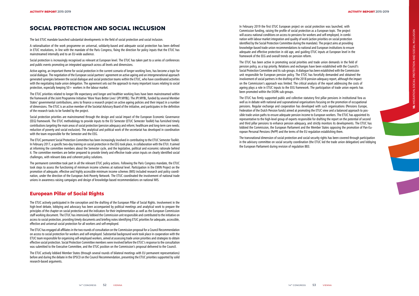# **SOCIAL PROTECTION AND SOCIAL INCLUSION**

The last ETUC mandate launched substantial developments in the field of social protection and social inclusion.

Active ageing, an important theme for social protection in the current scenario of longer working lives, has become a topic for social dialogue. The negotiation of the European social partners' agreement on active ageing and an intergenerational approach generated synergies between the social dialogue and social protection teams within the ETUC, who have coordinated activities with the negotiating trade union delegation. The agreement sets out the approach to many important issues relating to social protection, especially keeping  $50+$  workers in the labour market.

A rationalisation of the work programme on universal, solidarity-based and adequate social protection has been defined in ETUC resolutions, in line with the mandate of the Paris Congress, fixing the direction for policy inputs that the ETUC has mainstreamed internally and to an EU-wide audience.

Social protection is increasingly recognised as relevant at European level. The ETUC has taken part to a series of conferences and public events promoting an integrated approach across all levels and dimensions.

The ETUC priorities related to longer life expectancy and longer and healthier working lives have been mainstreamed within the framework of the Joint Programme Initiative 'More Years Better Lives' (JPI:MYBL). The JPI:MYBL, funded by several Member States' governmental contributions, aims to finance a research project on active ageing policies and their impact in a number of dimensions. The ETUC is an active member of the Societal Advisory Board of the initiative, and participates in the definition of the research tasks to be funded by the project.

Social protection priorities are mainstreamed through the design and social impact of the European Economic Governance (EEG) framework. The ETUC methodology to provide inputs to the EU Semester (ETUC Semester Toolkit) has furnished timely contributions targeting the main areas of social protection (pension adequacy and reform; healthcare and long-term care needs; reduction of poverty and social exclusion). The analytical and political work of the secretariat has developed in coordination with the team responsible for the Semester and the EEG.

The ETUC permanent Social Protection Committee has been increasingly involved in contributing to the ETUC Semester Toolkit. In February 2017, a specific two-day training on social protection in the EEG took place, in collaboration with the ETUI. It aimed at informing the committee members about the Semester cycle, and the legislative, political and economic rationale behind it. The committee members are better prepared to provide timely and effective trade union inputs on clearly identified social challenges, with relevant data and coherent policy solutions.

The permanent committee took part in all the relevant ETUC policy actions. Following the Paris Congress mandate, the ETUC took steps to assess the functioning of minimum income schemes at national level. Participation in the EMIN Project on the promotion of adequate, effective and highly accessible minimum income schemes (MIS) included research and policy coordi nation, under the direction of the European Anti-Poverty Network. The ETUC coordinated the involvement of national trade unions in awareness raising campaigns and design of knowledge-based recommendations on national MIS.

## **European Pillar of Social Rights**

The ETUC actively participated in the conception and the drafting of the European Pillar of Social Rights. Involvement in the high-level debate, lobbying and advocacy has been accompanied by political meetings and analytical work to prepare the principles of the chapter on social protection and the indicators for their implementation as well as the European Commission staff working document. The ETUC has intensively lobbied the Commission unit responsible and contributed to the initiative on access to social protection, providing timely documents and briefing notes identifying ETUC priorities for adequate, accessible, effective and universal social protection for all workers and self-employed.



The ETUC has engaged all affiliates in the two rounds of consultation on the Commission proposal for a Council Recommendation on access to social protection for workers and self-employed. Substantial background work took place in cooperation with the ETUC team responsible for organising self-employed workers, aimed at assessing trade union priorities and strategies to obtain effective social protection. Social Protection Committee members were involved before the ETUC's response to the consultation was submitted to the Executive Committee, and the ETUC position on the Commission's proposal delivered to the Council.

The ETUC actively lobbied Member States (through several rounds of bilateral meetings with EU permanent representations) before and during the debate in the EPSCO on the Council Recommendation, presenting the ETUC priorities supported by solid research-based arguments.

In February 2019 the first ETUC European project on social protection was launched, with Commission funding, raising the profile of social protection as a European topic. The project will assess national conditions on access to pensions for workers and self-employed, in combi nation with labour market integration and quality of work (action priorities on social protection identified by the Social Protection Committee during the mandate). The project aims at providing knowledge-based trade union recommendations to national and European institutions to ensure adequate and effective protection in old age, and guiding ETUC inputs at European level in the framework of the EEG and overall trends on pension reform.

The ETUC has been active in promoting social priorities and trade union demands in the field of pension policy, as a top priority. Relations and exchanges have been established with the Council's Social Protection Committee and its sub-groups. A dialogue has been established with the Commission unit responsible for European pension policy. The ETUC has forcefully demanded and obtained the involvement of social partners in the drafting of the 2018 pension adequacy report, although the impact on the Commission's approach was limited. The critical analysis of the report addressing the costs of ageing plays a role in ETUC inputs to the EEG framework. The participation of trade union experts has been promoted within the EIOPA sub-groups.

The ETUC has firmly supported public and collective statutory first pillar pensions in institutional fora as well as in debate with national and supranational organisations focusing on the promotion of occupational pensions. Regular exchange and cooperation has developed with such organisations (Pensions Europe, Federation of the Dutch Pension funds) aimed at promoting the ETUC view and a balanced approach to pos sible trade union paths to ensure adequate pension income to European workers. The ETUC has appointed its representative to the high-level group of experts responsible for drafting the report on the potential of second and third pillar pensions to enhance pension adequacy, and strictly monitors its developments. The ETUC has lobbied the Commission, the European Parliament and the Member States opposing the promotion of Pan-Eu ropean Personal Pensions (PePP) and the terms of the EU regulation establishing them.

The transnational dimension of social protection and social security rights has been covered through participation in the advisory committee on social security coordination (the ETUC led the trade union delegation) and lobbying the European Parliament during revision of regulation 883.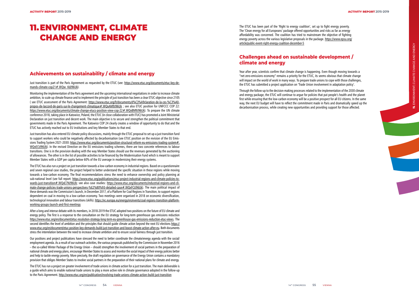## **Achievements on sustainability / climate and energy**

Just transition is part of the Paris Agreement as requested by the ETUC (see: <u>https://www.etuc.org/documents/etuc-key-de-</u> mands-climate-cop21#.WQw\_KdJ96Uk).

Monitoring the implementation of the Paris agreement and the upcoming international negotiations in order to increase climate ambition, to scale up climate finance and to implement the principle of just transition has been a clear ETUC objective since 2105 ( see ETUC assessment of the Paris Agreement: https://www.etuc.org/fr/documents/d%C3%A9claration-de-la-ces-%C3%A0 propos-de-laccord-de-paris-sur-le-changement-climatique#.WQxAM9J96Uk ; see also ETUC position for UNFCCC COP 22: https://www.etuc.org/documents/climate-change-etucs-position-view-cop-22#.WQxBM9J96Uk). To prepare the UN climate conference 2018, taking place in Katowice, Poland, the ETUC (in close collaboration with ITUC) has promoted a Joint Ministerial Declaration on just transition and decent work. The main objective is to secure and strengthen the political commitment that governments made in the Paris Agreement. The Katowice COP 24 clearly creates a window of opportunity to do that and the ETUC has actively reached out to EU institutions and key Member States to that end.

Just transition has also entered EU climate policy discussions, mainly through the ETUC proposal to set up a just transition fund to support workers who could be negatively affected by decarbonisation (see ETUC position on the revision of the EU Emis sions Trading System 2021-2030: https://www.etuc.org/documents/position-structural-reform-eu-emissions-trading-system#. WQxECtJ96Uk). In the revised Directive on the EU emissions trading schemes, there are two concrete references to labour transitions. One is in the provision dealing with the way Member States should use the revenues generated by the auctioning of allowances. The other is in the list of possible activities to be financed by the Modernisation Fund which is meant to support Member States with a GDP per capita below 60% of the EU average in modernising their energy systems.

The ETUC has also run a project on just transition towards a low-carbon economy in industrial regions. Based on a questionnaire and seven regional case studies, the project helped to better understand the specific situation in these regions while moving towards a low-carbon economy. The final recommendations stress the need to enhance ownership and policy planning at sub-national level (see full report: https://www.etuc.org/publications/etuc-project-industrial-regions-and-climate-policies-to wards-just-transition#.WQxE7NJ96Uk; see also case studies: https://www.etuc.org/documents/industrial-regions-and-cli mate-change-policies-trade-unions-perspectives-%E2%80%93-detailed-case#.WQxFCtJ96Uk). The main political impact of these demands was the Commission's launch, in December 2017, of a Platform for Coal Regions in Transition, to support regions dependent on coal in moving to a low-carbon economy. Two meetings were organised in 2018 on economic diversification, technological innovation and labour transitions (skills). https://ec.europa.eu/energy/en/events/coal-regions-transition-platformworking-groups-launch-and-first-meetings

The ETUC has been part of the 'Right to energy coalition', set up to fight energy poverty. The 'Clean energy for all Europeans' package offered opportunities and risks as far as energy affordability was concerned. The coalition has tried to mainstream the objective of fighting energy poverty across the various legislative proposals in the package. https://www.epsu.org/ article/public-event-right-energy-coalition-december-5

After a long and intense debate with its members, in 2018-2019 the ETUC adopted two positions on the future of EU climate and energy policy. The first is a response to the consultation on the EU strategy for long-term greenhouse gas emissions reduction https://www.etuc.org/en/document/etuc-resolution-strategy-long-term-eu-greenhouse-gas-emissions-reduction-etuc-views. The second identifies the level of ambition and the principles that should guide climate action beyond the next EU elections https:// www.etuc.org/en/document/etuc-position-key-demands-build-just-transition-and-boost-climate-action-after-eu. Both documents stress the interrelation between the need to increase climate ambition and to ensure social fairness through just transition.

Our positions and project publications have stressed the need to better coordinate the climate/energy agenda with the social/ employment agenda. As a result of our outreach activities, the various proposals published by the Commission in November 2016 – the so-called Winter Package of the Energy Union – should strengthen the involvement of social partners in the preparation of national climate and energy plans, encourage Member States to assess and monitor the social impact of their energy policies better and help to tackle energy poverty. More precisely, the draft regulation on governance of the Energy Union contains a mandatory provision that obliges Member States to involve social partners in the preparation of their national plans for climate and energy.

The ETUC has run a project on greater involvement of trade unions in climate action for a just transition. The main deliverable is a guide which aims to enable national trade unions to play a more active role in climate governance adopted in the follow-up to the Paris Agreement. http://www.etuc.org/en/publication/involving-trade-unions-climate-action-build-just-transition

# **Challenges ahead on sustainable development / climate and energy**

Year after year, scientists confirm that climate change is happening. Even though moving towards a "net zero-emissions economy" remains a priority for the ETUC, its seems obvious that climate change will impact on the world of work in many ways. To prepare trade unions to cope with those challenges, the ETUC has submitted a project application on 'Trade Union involvement in adaptation policy'.

Through the follow-up to the decision-making processes related to the implementation of the 2030 climate and energy package, the ETUC will continue to argue for policies that put people's health and the planet first while ensuring that the low-carbon economy will be a positive prospect for all EU citizens. In the same way, the next EU budget will have to reflect the commitment made in Paris and dramatically speed up the decarbonisation process, while creating new opportunities and providing support for those affected.

# 11. ENVIRONMENT, CLIMATE CHANGE AND ENERGY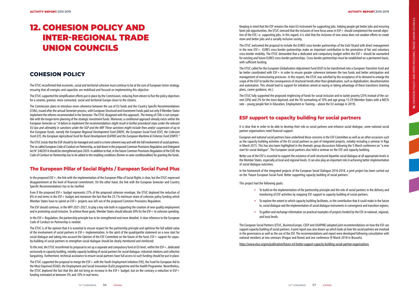# **COHESION POLICY**

The ETUC reconfirmed that economic, social and territorial cohesion must continue to be at the core of European Union strategy, ensuring that all energies and capacities are mobilised and focused on implementing this objective.

The ETUC supported the simplification efforts put in place by the Commission, reducing from eleven to five the policy objectives for a smarter, greener, more connected, social and territorial Europe closer to the citizens.

The Commission plans to introduce more coherence between the use of EU funds and the Country Specific Recommendations (CSRs), issued after the annual Semester process, with European Structural and Investment Funds paid out only if Member States implement the reforms recommended in the Semester. The ETUC disagreed with this approach. The timing of CSRs is not compat ible with the longer-term planning of the strategic investment funds. Moreover, a conditional approach already exists within the European Semester as "A failure to implement the recommendations might result in further procedural steps under the relevant EU law and ultimately in sanctions under the SGP and the MIP. These sanctions might include fines and/or suspension of up to five European Funds, namely the European Regional Development Fund (ERDF), the European Social Fund (ESF), the Cohesion Fund (CF), the European Agricultural Fund for Rural Development (EAFRD) and the European Maritime & Fisheries Fund (EMFF)."

The ESF should continue, in the MFF 2021-2027, to play a key role both in supporting the creation of new quality employment and in promoting social inclusion. To achieve these goals, Member States should allocate 30% for the ESF + to cohesion spending.

The ETUC insists that the ESIF should to be managed and used in a more coherent way and with the full involvement of social partners. The so-called European Code of Conduct on Partnership, as laid down in the proposed Common Provisions Regulation and Delegated Act N° 240/2014 should be strengthened post-2020. In addition to that, in the future Common Provisions Regulation of the ESIF, the Code of Conduct on Partnership has to be added to the enabling conditions (former ex-ante conditionalities) for granting the funds.

# **The European Pillar of Social Rights / European Social Fund Plus**

The ETUC supported the proposal to merge the ESF+ with the Youth Employment Initiative (YEI), the Fund for European Aid to the Most Deprived (FEAD), the Employment and Social Innovation (EaSI) programme and the Health Programme. Nevertheless, the ETUC deplored the fact that this did not bring an increase in the ESF+ budget, but on the contrary a reduction in ESF+ funding estimated at between 3% and 10% in real terms.

In the proposed ESF+, the link with the implementation of the European Pillar of Social Rights is clear, but the ETUC expressed disappointment at the level of financial commitment. On the other hand, the link with the European Semester and Country Specific Recommendations has to be clarified.

Even if the proposed ESF+ budget represents 27% of the proposed cohesion envelope, the ETUC deplored the reduction of 6% in real terms in the ESF+ budget and moreover the fact that the 23.1% minimum share of cohesion policy funding which Member States have to spend on ESF+ projects was left out of the proposed Common Provisions Regulation.

In the ESF+ Regulation, the partnership principle has to be strengthened and more detailed. A clear reference to the European Code of Conduct on Partnership is needed.

The ETUC is of the opinion that it is essential to ensure respect for the partnership principle and optimise the full added value of the involvement of social partners in ESF+ implementation. In the spirit of the quadripartite statement on a new start for social dialogue and taking into account the Opinion of the ESF Committee on the future of the fund, ESF+ support for capac ity-building of social partners to strengthen social dialogue should be clearly mentioned and reinforced.

To this end, the ETUC reconfirmed its proposal to set up a separate and compulsory fund at EU level, within the ESF+, dedicated exclusively to capacity building, notably capacity building of social partners for social dialogue, industrial relations and collective bargaining. Furthermore, technical assistance to ensure social partners have full access to such funding should be put in place.

Keeping in mind that the ESF remains the main EU instrument for supporting jobs, helping people get better jobs and ensuring fairer job opportunities, the ETUC stressed that the inclusion of new focus areas in ESF+ should complement the overall objec tive of the ESF, i.e. supporting jobs. In this regard, it is vital that the inclusion of new areas does not weaken efforts to create more and better jobs and a socially inclusive society.

The ETUC welcomed the proposal to include the EURES cross-border partnerships of the EaSI-Strand with direct management in the new ESF+. EURES cross-border partnerships make an important contribution to the promotion of fair and voluntary cross-border mobility. The ETUC demanded that a dedicated and compulsory budget within the ESF+ should be earmarked for existing and future EURES cross-border partnerships. Cross-border partnerships must be established on a permanent basis, with sufficient funding.

The ETUC called for the European Globalisation Adjustment Fund (EGF) to be transformed into a European Transition Fund and be better coordinated with ESF+ in order to ensure greater coherence between the two funds and better anticipation and management of restructuring processes. In this respect, the ETUC was satisfied by the acceptance of its demand to enlarge the scope of the EGF to tackle the consequences of structural trends other than globalisation, such as digitalisation, decarbonisation and automation. This should lead to support for initiatives aimed at easing or taking advantage of these transitions (training plans, career guidance, etc.).

The ETUC fully supported the proposed ringfencing of funds for social inclusion and to tackle poverty (25% instead of the current 20%) and 2% for the most deprived; and the YEI earmarking of 10% and age group 15-29 (Member States with a NEETs rate – young people Not in Education, Employment or Training – above the EU average in 2019).

# **ESF support to capacity building for social partners**

It is clear that in order to be able to develop their role as social partners and enhance social dialogue, some national social partner organisations need financial support.

European and national social partners have underlined these concerns in the ESF Committee as well as on other occasions such as the capacity building activities of the EU social partners as part of integrated projects, notably including a seminar in Riga in March 2015. This has also been highlighted in the thematic group discussions following the 5 March conference on "a new start for social dialogue". The European social partners also held a seminar on the ESF and capacity building.

Better use of the ESF is essential to support the existence of well-structured bipartite social dialogue at all appropriate levels in the Member States, especially at local and regional levels. It can also play an important role in achieving better implementation of social dialogue outcomes.

In the framework of the integrated projects of the European Social Dialogue 2016-2018, a joint project has been carried out on the 'Future European Social Fund. Better supporting capacity building of social partners'.

This project had the following goals:

• To build on the implementation of the partnership principle and the role of social partners in the delivery and

• To explore the extent to which capacity building facilitates, or the contribution that it could make in the future to, social dialogue and the implementation of social dialogue instruments in convergence and transition regions;

- monitoring of ESF activities by mapping ESF support to capacity building of social partners.
- 
- and local levels.

• To gather and exchange information on practical examples of projects funded by the ESF at national, regional,

The European Social Partners (ETUC, BusinessEurope, CEEP and UEAPME) adopted joint recommendations on how the ESF can support capacity building of social partners. A joint report was also drawn up which looks at how the social partners are involved in the governance as well as the use of the ESF. The recommendations and report were developed following consultation with national members at two seminars (Prague and Rome) and one conference (9 March 2018 in Brussels).

https://www.etuc.org/en/publication/future-esf-better-support-capacity-building-social-partner-organisations

# 12. COHESION POLICY AND INTER-REGIONAL TRADE UNION COUNCILS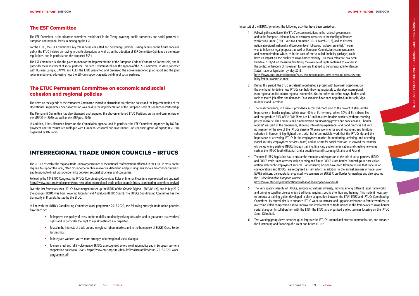## **The ESF Committee**

The ESF Committee is the tripartite committee established in the Treaty involving public authorities and social partners at European and national levels in managing the ESF.

For the ETUC, the ESF Committee's key role is being consulted and delivering Opinions. During debate on the future cohesion policy, the ETUC insisted on having in-depth discussions as well as on the adoption of ESF Committee Opinions on the future regulations, and in particular on the proposed ESF+.

The ESF Committee is also the place to monitor the implementation of the European Code of Conduct on Partnership, and in particular the involvement of social partners. This item is systematically on the agenda of the ESF Committee. In 2018, together with BusinessEurope, UAPME and CEEP, the ETUC presented and discussed the above-mentioned joint report and the joint recommendations, addressing how the ESF can support capacity building of social partners.

## **The ETUC Permanent Committee on economic and social cohesion and regional policies**

The items on the agenda of the Permanent Committee related to discussions on cohesion policy and the implementation of the Operational Programmes. Special attention was paid to the implementation of the European Code of Conduct on Partnership.

The Permanent Committee has also discussed and prepared the abovementioned ETUC Positions on the mid-term review of the MFF 2014-2020, as well as the MFF post-2020.

In addition, it has discussed issues on the Commission agenda, and in particular the ESF Committee organised by DG Em ployment and the 'Structured Dialogue with European Structural and Investment Funds partners group of experts (ESIF-SD)' organised by DG Regio.

# **INTERREGIONAL TRADE UNION COUNCILS – IRTUCS**

The IRTUCs assemble the regional trade union organisations of the national confederations affiliated to the ETUC in cross-border regions, to support the local, often cross-border mobile workers in defending and pursuing their social and economic interests and to promote direct cross-border links between sectorial structures and companies.

Following the 13th ETUC Congress, the IRTUCs Coordinating Committee Rules of Internal Procedure were revised and updated. https://www.etuc.org/en/document/etuc-resolution-interregional-trade-union-councils-irtucs-coordinating-committee-revised

Over the last four years, two IRTUCs have merged (to set up the IRTUC of the Grande Région – FR/D/B/LUX), and in July 2017 the youngest IRTUC was born, covering Gibraltar and Andalucía (IRTUC South). The IRTUCs Coordinating Committee has met biannually in Brussels, hosted by the ETUC.

In line with the IRTUCs Coordinating Committee work programme 2016-2020, the following strategic trade union priorities have been set:

- To improve the quality of cross-border mobility, to identify existing obstacles and to guarantee that workers' rights and in particular the right to equal treatment are respected.
- To act in the interests of trade unions in regional labour markets and in the framework of EURES Cross-Border Partnerships.
- To integrate workers' voices more strongly in interregional social dialogue.
- To ensure real and full involvement of IRTUCs as recognised actors in cohesion policy and in European territorial cooperation policy at all levels. https://www.etuc.org/sites/default/files/circular/files/irtucs\_2016-2020\_work programme.pdf

In pursuit of the IRTUCs' priorities, the following activities have been carried out:

- 1. Following the adoption of the 'ETUC's recommendations to the national governments and to the European Union on how to overcome obstacles to the mobility of frontier workers in Europe' (ETUC Executive Committee, 10-11 March 2015), and its dissemi nation at regional, national and European level, follow-up has been essential. The aim was to influence legal proposals as well as European Commission recommendations and communications which, as in the case of the so-called 'mobility package', could have an impact on the quality of cross-border mobility. Our main reference has been Directive 2014/54 on measures facilitating the exercise of rights conferred to workers in the context of freedom of movement for workers that had to be transposed into Member States' national legislation by May 2016. https://www.etuc.org/en/document/etucs-recommendations-how-overcome-obstacles-mo bility-frontier-workers-europe
- 2. During this period, the ETUC secretariat coordinated a project with two main objectives. On the one hand, to define how IRTUCs can help draw up proposals to develop interregional, euro-regional and/or macro-regional economies. On the other, to define ways, bodies and tools to match job offers and demands. Four seminars have been organised, in Brussels, Vigo, Budapest and Barcelona.
- 3. The final conference, in Brussels, provided a successful conclusion to the project. It stressed the importance of border regions, which cover 40% of EU territory, where 30% of EU citizens live and that produce 30% of EU GDP. There are 1.3 million cross-borders workers (without counting posted workers). The Commission Communication on 'Boosting growth and cohesion in EU border regions' was part of the discussions, showing interesting experiences and good practices but with no mention of the role of the IRTUCs despite 40 years working for social, economic and territorial cohesion in Europe. It highlighted the crucial but often invisible work that the IRTUCs do and the importance of activating IRTUCs in the employment market, in monitoring, assisting, and orienting (social security, employment services, taxes) and as actors for social cohesion. It showed the benefits of strengthening existing IRTUCs through training, financing and communication and creating new ones such as the IRTUC South (Gibraltar) and a possible council spanning Ukraine and Poland.
- 4. The new EURES Regulation has to ensure the retention and expansion of the role of social partners, IRTUCs the 'Guide for mobile European workers'. https://www.etuc.org/en/publication/guide-mobile-european-workers-0
- South (Gibraltar).
- the functioning and financing of current and future IRTUCs.

and EURES trade union advisers within existing and future EURES Cross-Border Partnerships in close collab oration with public employment services. Consequently, actions have been taken to ensure that trade union confederations and IRTUCs are recognised as key actors. In addition to the annual seminar of trade union EURES advisers, the secretariat organised two seminars on EURES Cross-Border Partnerships and also updated

5. The very specific identity of IRTUCs, embodying cultural diversity, moving among different legal frameworks, and bringing together diverse union traditions, requires specific attention and training. This made it necessary to produce a training quide, developed in close cooperation between the ETUI, ETUC and IRTUCs Coordinating Committee. Its central aim is to enhance IRTUC work, to increase and upgrade assistance to frontier workers, to overcome unfair competition and to improve the involvement of trade unions in the framework of cross-border social dialogue. In collaboration with the ETUI, the ETUC also organised a pilot seminar focusing on the IRTUC

6. Two working groups have been set up, to improve the IRTUCs' internal and external communication, and enhance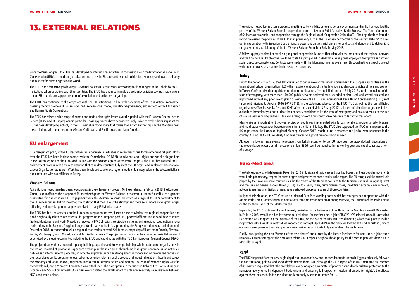Since the Paris Congress, the ETUC has developed its international activities, in cooperation with the International Trade Union Confederation (ITUC), to build fair globalisation and to use the EU trade and external policies for democracy and peace, solidarity and respect for human rights in the world.

The ETUC has continued to the cooperate with the EU institutions, in line with provisions of the Paris Action Programme, pressing them to promote EU values and the European social model, multilateral governance, and respect for the UN Charter and Human Rights Conventions.

The ETUC has been actively following EU external policies in recent years, advocating for labour rights to be upheld by the EU institutions when operating with third countries. The ETUC has engaged in multiple solidarity activities towards trade unions of non-EU countries to support freedom of association and collective bargaining.

The ETUC has raised a wide range of human and trade union rights issues over this period with the European External Action Service (EEAS) and DG Employment in particular. Those approaches have been increasingly linked to trade relationships that the EU has been developing, notably in the EU's neighbourhood policy that covers the Eastern Partnership and the Mediterranean area, relations with countries in the African, Caribbean and Pacific areas, and Latin America.

#### **EU enlargement**

EU enlargement policy of the EU has witnessed a decrease in activities in recent years due to "enlargement fatigue". How ever, the ETUC has been in close contact with the Commission (DG NEAR) to advance labour rights and social dialogue both in the Balkan region and the Euro-Med. In line with the position agreed at the Paris Congress, the ETUC has assisted the EU enlargement process with a view to ensuring that candidate countries fully meet the EU acquis and implement International Labour Organisation standards. Work has been developed to promote regional trade union integration in the Western Balkans and continued with our affiliates in Turkey.

#### **Western Balkans**

At institutional level, there has been slow progress in the enlargement process. On the one hand, in February 2018, the European Commission reaffirmed the prospect of EU membership for the Western Balkans in its communication 'A credible enlargement perspective for and enhanced EU engagement with the Western Balkans', presented as a sign of the EU's commitment to their European future. But on the other, it also stated that the EU must be stronger and more solid before it can grow bigger, reflecting evident enlargement fatigue perceived in many EU Member States.

The ETUC has focused activities on the European integration process, based on the conviction that regional cooperation and good neighbourly relations are essential for progress on the European path. It supported affiliates in the candidate countries (Serbia, Montenegro and North Macedonia (previously FYROM), with the objective of strengthening regional cooperation among trade unions in the Balkans. A regional project 'On the way to the EU', supported by the European Union, was carried out until December 2018, in cooperation with a regional cooperation network Solidarnost comprising affiliates from Croatia, Slovenia, Serbia, Montenegro, North Macedonia, and Bosnia-Herzegovina. The project was coordinated by a project office in Belgrade and supervised by a steering committee including the ETUC and coordinated with the ITUC Pan-European Regional Council (PERC).

Although, following these events, negotiations on Turkish accession to the EU have been de facto blocked, discussions on the modernisation/extension of the customs union (1996) could be launched in the coming year and could constitute a form of leverage.

The project dealt with institutional capacity building, expertise and knowledge building within trade union organisations in the region. It aimed at promoting experience exchange in the main areas through working groups on trade union activities, policies and internal reform processes, in order to empower unions as strong actors in society and as recognised partners in the social dialogue. Its programme focused on trade union reform, social dialogue and industrial relations, health and safety, the economy and labour market, migration, media communication, youth and women. The issue of women's rights was further developed, and a Women's Committee was established. The participation in the Western Balkans Civil Forum (European Economic and Social Committee/EESC) in Sarajevo facilitated the development of until now relatively weak relations between NGOs and trade unions.

The regional network made some progress in getting better visibility among national governments and in the framework of the process of the Western Balkan Summit cooperation started in Berlin in 2014 (so-called Berlin Process). The Youth Committee of Solidarnost has established cooperation through the Regional Youth Cooperation Office (RYCO). The organisations from the region have used the priorities of the Bulgarian presidency such as the 'European perspective of the Western Balkans' to draw up, in cooperation with Bulgarian trade unions, a document on the social dimension and social dialogue and to deliver it to the governments participating of the EU-Western Balkans Summit in Sofia in May 2018.

A follow-up project aimed at stabilising regional cooperation is under discussion with the members of the regional network and the Commission. Its objective would be to start a joint project in 2020 with the regional employers, to improve and extend social dialogue competences. Contacts were made with the Montenegrin employers (recently coordinating a specific project with the employers' associations in the respective countries).

#### **Turkey**

During the period 2015-2019, the ETUC continued to denounce – to the Turkish government, the European authorities and the International Labour Organization (ILO) – the massive violations of the trade union and democratic rights of men and women in Turkey. Confronted with a rapid deterioration in the situation after the failed coup of 15 July 2016 and the imposition of the state of emergency, with more than 150,000 public servants and workers suspended or dismissed, and several arrested and imprisoned without any prior investigation or evidence – the ETUC and International Trade Union Confederation (ITUC) sent three joint missions to Ankara (2016-2017-2018). In the statement adopted by the ETUC-ITUC as well as the four affiliated organisations (Turk-is, Hak-is, Disk and Kesk) after the second visit (3-5 May 2017), all the confederations urged the Turkish authorities immediately to put in place the necessary conditions to lift the state of emergency and ensure a return to the rule of law, as well as calling on the EU to send a clear, powerful but constructive message to Turkey to that effect.

Meanwhile, an important joint two-year project on youth was implemented with Turkish members, in order to foster bilateral and multilateral cooperation between unions from the EU and Turkey. The ETUC also supported the ITUC in its request to the ILO to postpone the European Regional Meeting (October 2017, Istanbul) until democracy and justice were reinstated in the country. A joint ETUC-ITUC solidarity fund was created to support members most in need.

## **Euro-Med area**

The Arab revolutions, which began in December 2010 in Tunisia and rapidly spread, sparked hopes that these popular movements would bring democracy, respect for human rights and greater economic equity in the region. The EU recognised the central role played by the unions in some countries, as did the award of the Nobel Peace Prize to the Tunisian National Dialogue Quartet and the Tunisian General Labour Union (UGTT) in 2015. Sadly, wars, humanitarian crises, the difficult economic environment, autocratic regimes and disillusionment have destroyed progress in some of those countries.

In light of this situation, the ETUC set up an informal Euro-Med working party, which has strengthened cooperation with the Arabic Trade Union Confederation. It meets every three months in order to monitor, *inter alia*, the situation of the trade unions on the southern shore of the Mediterranean.

In parallel, the ETUC continued the work already carried out in the framework of the Union for the Mediterranean (UfM), created in Paris in 2008, even if this has lost some political clout. For the first time, a joint ETUC/ATUC/BusinessEurope/BusinessMed Declaration was adopted, on the initiative of the ETUC, on the eve of the UfM ministerial meeting which took place in Jordan (September 2016). Another joint text was adopted in Portugal (April 2019) in the framework of the last UfM ministerial, where – a new development – the social partners were invited to participate fully and address the conference.

Finally, anticipating the next 'Summit of the two shores' announced by the French Presidency for next June, a joint trade union/NGO vision setting out the necessary reforms in European neighbourhood policy for the Med region was drawn up in Marseilles in April.

#### **Egypt**

The ETUC supported from the very beginning the foundation of new and independent trade unions in Egypt, and closely followed the constitutional, political and social developments there. But, although the 2015 report of the ILO Committee on Freedom of Association requested that "the draft labour law be adopted as a matter of priority, giving clear legislative protection to the numerous newly formed independent trade unions and ensuring full respect for freedom of association rights", the attacks against them increased. Today, the situation is probably worse than before 2011.

# 13. EXTERNAL RELATIONS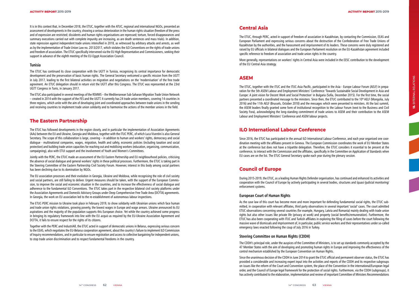It is in this context that, in December 2018, the ETUC, together with the ATUC, regional and international NGOs, presented an assessment of developments in the country, showing a serious deterioration in the human rights situation (freedom of the press and of expression are restricted; dissidents and human rights organisations are repressed; torture, forced disappearances and summary executions carried out with complete impunity are increasing, as are death sentences and mass trials). In addition, state repression against independent trade unions intensified in 2018, as witnessed by arbitrary attacks and arrests, as well as by the implementation of Trade Union Law no. 2013/2017, which violates the ILO Conventions on the rights of trade unions and freedom of association. The ETUC specifically intervened via the EU High Representative and Commissioners, seeking their support in advance of the eighth meeting of the EU-Egypt Association Council.

#### **Tunisia**

The ETUC has continued its close cooperation with the UGTT in Tunisia, recognising its central importance for democratic development and the preservation of basic human rights. The General Secretary welcomed a specific mission from the UGTT in July 2017, leading to the first bilateral activities on migration and negotiations on the 'modernisation' of the free trade agreement. An ETUC delegation should in return visit the UGTT after this Congress. The ETUC was represented at the 23rd UGTT Congress in Tunis, in January 2017.

The ETUC also participated in several meetings of the RSMMS – the Mediterranean Sub-Saharan Migration Trade Union Network – created in 2014 with the support of the FES and the UGTT. It currently has 24 trade union members, covering 14 countries in three regions, which unite with the aim of developing joint and coordinated approaches between trade unions in the sending and receiving countries to implement trade union solidarity and to harmonise the actions of the member unions in the field.

#### **The Eastern Partnership**

The ETUC has followed developments in the region closely, and in particular the implementation of Association Agreements (AAs) between the EU and Ukraine, Georgia and Moldova, together with the ITUC PERC, of which Luca Visentini is also General Secretary. The scope of this collaboration is large, covering – in addition to human and workers' rights, democracy and social dialogue - multinational companies, wages, migration, health and safety, economic policies (including taxation and social protection) and building trade union capacities for reaching out and mobilising workers (education, organising, communication, campaigning), also with ETUI support and the involvement of Youth and Women's Committees.

Jointly with the PERC, the ETUC made an assessment of the EU Eastern Partnership and EU neighbourhood policies, criticising the absence of social dialogue and general workers' rights in these political processes. Furthermore, the ETUC is taking part in the Steering Committee of the Eastern Partnership Civil Society Forum. However, interest in this body among social partners has been declining due to its domination by NGOs.

The EU association processes and their evolution in Georgia, Ukraine and Moldova, while recognising the role of civil society and social partners, are still failing to deliver. Urgent measures should be taken, with the support of the European Commis sion, to improve the social and economic situation in the countries, and to increase the effectiveness of social dialogue and adherence to the fundamental ILO Conventions. The ETUC takes part in the respective bilateral civil society platforms under the Association Agreements and Domestic Advisory Groups under Deep Comprehensive Free Trade Area (DCFTA) agreements. In Georgia, the work on EU association led to the re-establishment of autonomous labour inspections.

The ETUC-PERC mission to Ukraine took place in February 2019, to show solidarity with Ukrainian unions which face human and trade union rights violations, growing poverty, the lowest wages in Europe and wage arrears. Ukraine announced its EU aspirations and the majority of the population supports this European choice. Yet while the country achieved some progress in bringing its regulatory framework into line with the EU *acquis* as reguired by the EU-Ukraine Association Agreement and DCFTA, it fails to ensure respect for the rights of its citizens.

Together with the PERC and IndustriAll, the ETUC acted in support of democratic unions in Belarus, expressing serious concern to the EEAS, which negotiates the EU-Belarus cooperation agreement, about the country's failure to implement ILO Commission of Inquiry recommendations, and in particular to ensure registration and access to collective bargaining for independent unions, to stop trade union discrimination and to respect fundamental freedoms in the country.

#### **Central Asia**

The ETUC, through PERC, acted in support of freedom of association in Kazakhstan, by contacting the Commission, EEAS and European Parliament and expressing serious concerns about the destruction of the Confederation of Free Trade Unions of Kazakhstan by the authorities, and the harassment and imprisonment of its leaders. These concerns were duly registered and raised by EU officials in bilateral dialogues and the European Parliament resolution on the EU-Kazakhstan agreement included specific reference to freedom of association and trade union rights in the country.

More generally, representations on workers' rights in Central Asia were included in the EESC contribution to the development of the EU Central Asia strategy.

#### **ASEM**

The ETUC, together with the ITUC and the ITUC-Asia Pacific, participated in the Asia - Europe Labour Forum (AELF) in prepa ration for the 5th ASEM Labour and Employment Ministers' Conference 'Towards Sustainable Social Development in Asia and Europe: A joint vision for Decent Work and Social Protection' in Bulgaria (Sofia, December 2015). For the first time, the social partners presented a coordinated message to the ministers. Since then, the ETUC contributed to the 10<sup>th</sup> AELF (Mongolia, July 2016) and the 11th AELF (Brussels, October 2018) and the messages which were presented to ministers. At the last summit, the ASEM leaders finally granted some form of institutional recognition to the Labour Forum (next to the Business and Civil Society Fora), acknowledging the long-standing commitment of trade unions to ASEM and their contribution to the ASEM Labour and Employment Ministers' Conference and ASEM labour projects.

#### **ILO International Labour Conference**

Since 2016, the ETUC has participated in the annual ILO International Labour Conference, and each year organised one coordination meeting with the affiliates present in Geneva. The European Commission coordinates the work of EU Member States at the conference but does not have a tripartite delegation. Therefore, the ETUC considers it essential to be present at the conference, to interact with the Commission and the affiliates, specifically in the Committee on Application of Standards when EU cases are on the list. The ETUC General Secretary spoke each year during the plenary session.

#### **Council of Europe**

During 2015-2019, the ETUC, as a leading Human Rights Defender organisation, has continued and enhanced its activities and cooperation with the Council of Europe by actively participating in several bodies, structures and (quasi-)judicial monitoring/ enforcement systems.

#### **European Court of Human Rights**

As the case law of this court has become more and more important for defending fundamental social rights, the ETUC sub mitted, in cooperation with relevant affiliates, third party observations in several important 'social' cases. The court admitted ETUC observations concerning several countries (for example, Hungary, Latvia and Romania) mainly dealing with trade union rights but also other issues like private life (privacy at work) and property (social benefits/remuneration). Furthermore, the ETUC has also been cooperating with ITUC and Turkish affiliates in exploring the filing of cases before the court following the massive wave of dismissals and imprisonment of, in particular, public service workers and their representatives under so-called emergency laws enacted following the coup of July 2016 in Turkey.

#### **Steering Committee on Human Rights (CDDH)**

The CDDH's principal role, under the auspices of the Committee of Ministers, is to set up standards commonly accepted by the 47 Member States with the aim of developing and promoting human rights in Europe and improving the effectiveness of the control mechanism established by the European Convention on Human Rights.

Since the unanimous decision of the CDDH in June 2014 to grant the ETUC official and permanent observer status, the ETUC has provided a considerable and increasing expert input into the activities and reports of the CDDH and its respective subgroups on issues like the reform of the Court and Convention system, the place of the Convention in the international/European legal order, and the Council of Europe legal framework for the protection of social rights. Furthermore, via the CDDH (subgroups), it has actively contributed to the elaboration, implementation and review of important Committee of Ministers Recommendations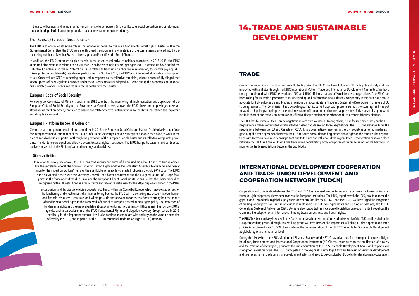in the area of business and human rights, human rights of older persons (in areas like care, social protection and employment) and combatting discrimination on grounds of sexual orientation or gender identity.

#### **The (Revised) European Social Charter**

The ETUC also continued its active role in the monitoring bodies to this main fundamental social rights Charter. Within the Governmental Committee, the ETUC consistently urged the rigorous implementation of the commitments entered into by the increasing number of Member States to have signed and/or ratified the Social Charter.

Following the Committee of Ministers decision in 2012 to entrust the monitoring of implementation and application of the European Code of Social Security to the Governmental Committee (see above), the ETUC, based on its privileged observer status within that Committee, continued to ensure and call for effective implementation by the states that ratified this important social rights instrument.

In addition, the ETUC continued to play its role in the so-called collective complaints procedure. In 2015-2019, the ETUC submitted observations in relation to no less than 22 collective complaints brought against all 15 states that have ratified the Collective Complaints Procedure Protocol on issues related to trade union rights, fair remuneration, the gender pay gap, dismissal protection and (female) board-level participation. In October 2016, the ETUC also intervened alongside and in support of our Greek affiliate GSEE at a hearing organised in response to its collective complaint, where it successfully alleged that several pieces of new legislation enacted under the austerity measures adopted in Greece during the economic and financial crisis violated workers' rights in a manner that is contrary to the Charter.

#### **European Code of Social Security**

#### **European Platform for Social Cohesion**

Created as an intergovernmental ad-hoc committee in 2016, the European Social Cohesion Platform's objective is to reinforce the intergovernmental component of the Council of Europe Secretary General's strategy to enhance the Council's work in the area of social cohesion, in particular through the promotion of the European Social Charter and its collective complaints procedure, in order to ensure equal and effective access to social rights (see above). The ETUC has participated in and contributed actively to several of the Platform's annual meetings and activities.

#### **Other activities**

In relation to Turkey (see above), the ETUC has continuously and successfully pressed high-level Council of Europe offices, like the Secretary General, the Commissioner for Human Rights and the Parliamentary Assembly, to condemn and closely monitor the impact on workers' rights of the manifold emergency laws enacted following the July 2016 coup. The ETUC has also worked closely with the Secretary General, the Charter department and the assigned Council of Europe focal points in the framework of the discussions on the European Pillar of Social Rights, to ensure that the Charter would be recognised by the EU institutions as a main source and reference instrument for the 20 principles enshrined in the Pillar.

In conclusion, and despite the ongoing budgetary cutbacks within the Council of Europe, which have consequences for the functioning and effectiveness of all its monitoring bodies, the ETUC will – also taking into account its own human and financial resources – continue, and where possible and relevant enhance, its efforts to strengthen the impact of fundamental social rights in the framework of Council of Europe's general human rights policy. The protection of fundamental rights and the use of available litigation/monitoring mechanisms will thus remain high on the ETUC's agenda, and in particular that of the ETUC Fundamental Rights and Litigation Advisory Group, set up in 2015 specifically for this important purpose. It will also continue to cooperate with and rely on the valuable expertise offered by the ETUI, and in particular the ETUI Transnational Trade Union Rights (TTUR) Network.

# **TRADE**

One of the main pillars of action has been EU trade policy. The ETUC has been following EU trade policy closely and has interacted with affiliates through the ETUC International Matters, Trade and International Development Committee. We have closely coordinated with ETUC federations, ITUC and ITUC affiliates that are affected by these negotiations. The ETUC has been calling for EU trade agreements to include binding and enforceable labour clauses. Our priority in this area has been to advocate for truly enforceable and binding provisions on labour rights in 'Trade and Sustainable Development' chapters of EU trade agreements. The Commission has acknowledged that its current approach presents serious shortcomings and has put forward a 15-point plan to improve the implementation of labour and environmental provisions. This is a small step forward but falls short of our request to introduce an effective dispute settlement mechanism able to resolve labour violations.

The ETUC has followed all the EU trade negotiations with third countries. Among others, it has focused extensively on the TTIP negotiations and has contributed forcefully to the heated debate around those negotiations. The ETUC has also monitored the negotiations between the EU and Canada on CETA. It has been actively involved in the civil society monitoring mechanism governing the trade agreement between the EU and South Korea, demanding better labour rights in the country. The negotiations with Mercosur have also been important due to the size and influence of the region. Intense cooperation has taken place between the ETUC and the Southern Cone trade union coordinating body, composed of the trade unions of the Mercosur, to monitor the trade negotiations between the two blocks.

# **INTERNATIONAL DEVELOPMENT COOPERATION AND TRADE UNION DEVELOPMENT AND COOPERATION NETWORK (TUDCN)**

Cooperation and coordination between the ETUC and ITUC has increased in order to foster links between the two organisations. Numerous joint approaches have been made to the European institutions. The ETUC, together with the ITUC, has denounced the gaps in labour standards in global supply chains in various fora like the G7, G20 and the OECD. We have urged the integration of binding labour provisions, including core labour standards, in EU trade agreements and EU trading schemes, like the EU Generalised System of Preferences (GSP). We have also supported the inclusion of legislation on responsibility throughout the chain and the adoption of an international binding treaty on business and human rights.

The ETUC has been actively involved in the Trade Union Development and Cooperation Network of the ITUC and has chaired its European working group. Through this working group we have stressed the importance of linking EU development and trade policies in a coherent way. TUDCN closely follows the implementation of the UN 2030 Agenda for Sustainable Development at global, regional and national level.

During the discussion of the EU's Multiannual Financial Framework the ETUC has advocated for a strong and coherent Neighbourhood, Development and International Cooperation Instrument (NDICI) that contributes to the eradication of poverty and the creation of decent jobs, promotes the implementation of the UN Sustainable Development Goals, and respects and strengthens social dialogue. The ETUC participated in the Regional Forums to put forward trade union views on development and to emphasise that trade unions are development actors and need to be consulted on EU policy for development cooperation.

# 14. TRADE AND SUSTAINABLE DEVELOPMENT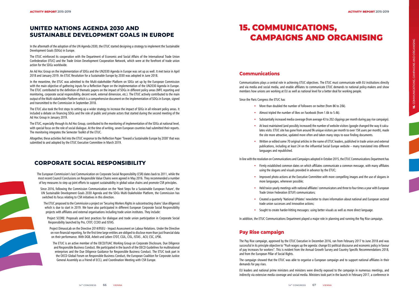# **UNITED NATIONS AGENDA 2030 AND SUSTAINABLE DEVELOPMENT GOALS IN EUROPE**

In the aftermath of the adoption of the UN Agenda 2030, the ETUC started designing a strategy to implement the Sustainable Development Goals (SDGs) in Europe.

The ETUC reinforced its cooperation with the Department of Economic and Social Affairs of the International Trade Union Confederation (ITUC) and the Trade Union Development Cooperation Network, which were at the forefront of trade union action for the SDGs worldwide.

An Ad Hoc Group on the implementation of SDGs and the UN2030 Agenda in Europe was set up as well. It met twice in April 2018 and January 2019. An ETUC Resolution for a Sustainable Europe by 2030 was adopted in June 2018.

In the meantime, the ETUC was admitted to the Multi-stakeholder Platform on SDGs set up by the European Commission with the main objective of gathering inputs for a Reflection Paper on the implementation of the UN2030 Agenda in Europe. The ETUC contributed to the definition of thematic papers on the impact of SDGs in different policy areas (MFF, reporting and monitoring, corporate social responsibility, decent work, external dimension, etc.). The ETUC actively contributed to the main output of the Multi-stakeholder Platform which is a comprehensive document on the implementation of SDGs in Europe, signed and transmitted to the Commission in September 2018.

The ETUC also took the first steps to setting up a wider strategy to increase the impact of SDGs in all relevant policy areas. It included a debate on financing SDGs and the role of public and private actors that started during the second meeting of the Ad Hoc Group in January 2019.

The ETUC, especially through its Ad Hoc Group, contributed to the monitoring of implementation of the SDGs at national level, with special focus on the role of social dialogue. At the time of writing, seven European countries had submitted their reports. The monitoring integrates the Semester Toolkit of the ETUC.

Altogether, these activities fed into the ETUC response to the Reflection Paper 'Toward a Sustainable Europe by 2030' that was submitted to and adopted by the ETUC Executive Committee in March 2019.

# **CORPORATE SOCIAL RESPONSIBILITY**

The European Commission's last Communication on Corporate Social Responsibility (CSR) dates back to 2011, while the most recent Council Conclusions on Responsible Value Chains were agreed in May 2016. They recommended a number of key measures to step up joint efforts to support sustainability in global value chains and promote CSR principles.

- More than doubled the number of followers on twitter (from 8K to 20k).
- Almost tripled the number of likes on Facebook (from 1.6k to 5.4k).
- Substantially increased media coverage (from average 43 to 202 clippings per month during pay rise campaign).
- At least maintained (and possibly increased) the number of website visitors (google changed the way it calculates visits: ETUC site has gone from around 9k unique visitors per month to over 15K users per month), made the site more attractive, updated more often and taken many steps to ease finding documents.
- Written or edited some 70 original articles in the name of ETUC leaders, published in trade union and external publications, including at least 24 on the influential Social Europe website – many translated into different languages and republished.

Since 2016, following the Commission Communication on the 'Next Steps for a Sustainable European Future', the UN Sustainable Development Goals 2030 Agenda and the SDGs Multi-Stakeholder Platform, the Commission has switched its focus relating to CSR initiatives in this direction.

The ETUC proposed to the Commission a project on 'Securing Workers Rights in subcontracting chains' (due diligence) which is due to start in 2019. We have also participated in different European Corporate Social Responsibility projects with affiliates and external organisations including trade union institutes. They include:

Project SCORE: Proposals and best practices for dialogue and trade union participation in Corporate Social Responsibility launched by Pro, CFDT, CCOO and ISTAS .

Project DimasoLab on the Directive 2014/95EU - Impact Assessment on Labour Relations. Under the Directive on non-financial reporting, for the first time large entities are obliged to disclose more than just financial data on their performance. With DGB, Arbeit und Leben CFDT, CGIL, CISL, ISTAS , ACV, CSC, LPSK .

The ETUC is an active member of the OECD/TUAC Working Group on Corporate Disclosure, Due Diligence and Responsible Business Conduct. We participated in the launch of the OECD Guidelines for multinational enterprises and the Due Diligence Guidance for Responsible Business Conduct. The ETUC took part in the OECD Global Forum on Responsible Business Conduct, the European Coalition for Corporate Justice General Assembly as a Friend of ECCJ, and Coordination Meeting with CSR Europe.

# **Communications**

Communications plays a central role in achieving ETUC objectives. The ETUC must communicate with EU institutions directly and via media and social media, and enable affiliates to communicate ETUC demands to national policy-makers and show members how unions are working at EU as well as national level for a better deal for working people.

Since the Paris Congress the ETUC has

In line with the resolution on Communications and Campaigns adopted in October 2015, the ETUC Communications Department has

- Firmly established common dates on which affiliates communicate a common message, with many affiliates using the slogans and visuals provided in advance by the ETUC;
- Improved photo actions at the Executive Committee with more compelling images and the use of slogans in more languages, whenever possible;
- Held twice-yearly meetings with national affiliates' communicators and three to four times a year with European Trade Union Federation (ETUF) communicators;
- Created a quarterly 'National UPdates' newsletter to share information about national and European sectoral trade union successes and innovative actions;
- Sought to create harder-hitting messages: using better visuals as well as more direct language.

In addition, the ETUC Communications Department played a major role in planning and running the Pay Rise campaign.

# **Pay Rise campaign**

The Pay Rise campaign, approved by the ETUC Executive in December 2016, ran from February 2017 to June 2018 and was successful in its principle objective to "Push wages up the agenda: change EU political discourse and economic policy in favour of pay increases for workers". This is evident from the Annual Growth Survey and Country Specific Recommendations 2018, and from the European Pillar of Social Rights.

The campaign showed that the ETUC was able to organise a European campaign and to support national affiliates in their demands for pay rises.

EU leaders and national prime ministers and ministers were directly exposed to the campaign in numerous meetings, and indirectly via extensive media coverage and social media. Ministers took part in the launch in February 2017, a conference in

# 15. COMMUNICATIONS, CAMPAIGNS AND ORGANISING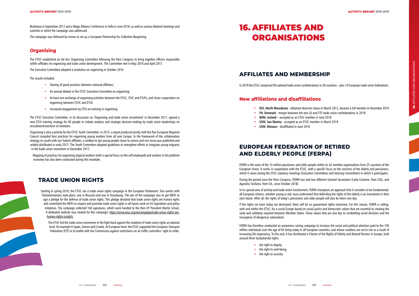

Bratislava in September 2017 and a Wage Alliance Conference in Sofia in June 2018, as well as various bilateral meetings and summits in which the campaign was addressed.

The campaign was followed by moves to set up a European Partnership for Collective Bargaining.

# **Organising**

The ETUC established an Ad Hoc Organising Committee following the Paris Congress to bring together officers responsible within affiliates for organising and trade union development. The Committee met in May 2016 and April 2017.

The Executive Committee adopted a resolution on organising in October 2016.

The results included:

- Sharing of good practices between national affiliates;
- An annual debate in the ETUC Executive Committee on organising;
- At least one exchange of organising activities between the ETUC, ITUC and ETUFs, and closer cooperation on organising between ETUC and ETUI;
- Increased engagement by ETUI on training in organising.

The ETUC Executive Committee, in its discussion on 'Organising and trade union recruitment' in December 2017, agreed a new ETUI training strategy for 60 people to initiate analysis and strategic decision-making by trade union leaderships on recruitment/retention of members.

Organising is also a priority for the ETUC Youth Committee. In 2015, a report produced jointly with the Pan-European Regional Council compiled best practices for organising young workers from all over Europe. In the framework of the collaboration strategy on youth with our Turkish affiliates, a toolbox to get young people closer to unions and vice versa was published and widely distributed in early 2017. The Youth Committee adopted guidelines to strengthen efforts to integrate young migrants in the trade union movement in December 2017.

Mapping of practices for organising atypical workers (with a special focus on the self-employed) and workers in the platform economy has also been conducted during this mandate.

# **TRADE UNION RIGHTS**

Starting in spring 2016, the ETUC ran a trade union rights campaign in the European Parliament. Two events with Parliamentarians took place: one in Brussels and one in Strasbourg. The aim of the campaign was to get MEPs to sign a pledge for the defence of trade union rights. This pledge declared that trade union rights are human rights and committed the MEPs to respect and promote trade union rights in all future work on EU legislation and policy initiatives. The campaign collected 160 signatures, which were handed to the then EP President Martin Schulz. A dedicated website was created for this campaign: https://www.etuc.org/en/campaign/trade-union-rights-arehuman-rights-turights

The ETUC led the trade union movement in the fight-back against the violation of trade union rights at national level, for example in Spain, Greece and Croatia. At European level, the ETUC supported the European Transport Federation (ETF) in its battle with the Commission against restrictions on air traffic controllers' right to strike.

# **AFFILIATES AND MEMBERSHIP**

In 2019 the ETUC comprised 90 national trade union confederations in 38 countries – plus 10 European trade union federations.

## **New affiliations and disaffiliations**

• **KSS, North Macedonia** - obtained observer status in March 2012, became a full member in December 2016

- 
- **FH, Denmark** merger between the two LO and FTF trade union confederations in 2018
- **BHM, Iceland** accepted as an ETUC member in June 2018
- **USM, San Marino** accepted as an ETUC member in March 2019
- **USM, Monaco** disaffiliated in June 2018

# **EUROPEAN FEDERATION OF RETIRED AND ELDERLY PEOPLE (FERPA)**

FERPA is the voice of the 10 million pensioners and older people within its 42 member organisations from 25 countries of the European Union. It works in cooperation with the ETUC, with a specific focus on the concerns of the elderly and pensioners, which it raises during the ETUC statutory meetings (Executive Committees and Steering Committees) in which it participates.

During the period since the Paris Congress, FERPA has had two different General Secretaries (Carla Cantone, from CGIL, and Agostino Siciliano, from UIL, since October 2018).

In its special area of activity and trade union involvement, FERPA champions an approach that it considers to be fundamental: all European citizens, whether young or old, must understand that defending the rights of the elderly is an investment in their own future. After all, the rights of today's pensioners and older people will also be theirs one day.

If the rights we have today are destroyed, there will be no guaranteed rights tomorrow. For this reason, FERPA is calling, with and within the ETUC, for a social Europe based on social justice and democratic values that are essential to creating the unity and solidarity required between Member States. These values that are also key to combatting social divisions and the resurgence of dangerous nationalism.

FERPA has therefore conducted an awareness raising campaign to increase the social and political attention paid to the 100 million individuals over the age of 65 living today in all European countries, and whose numbers are set to rise as a result of increasing life expectancy. To this end, it has distributed a Charter of the Rights of Elderly and Retired Persons in Europe, built around three fundamental rights:

- the right to dignity
- the right to well-being
- the right to security

# 16. AFFILIATES AND ORGANISATIONS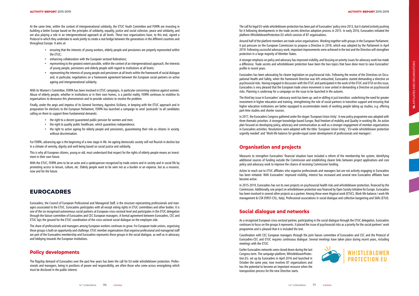At the same time, within the context of intergenerational solidarity, the ETUC Youth Committee and FERPA are investing in building a better Europe based on the principles of solidarity, equality, justice and social cohesion, peace and solidarity, and are also playing a role in an intergenerational approach at all levels. These two organisations have, to this end, signed a Protocol in which they undertake to work jointly to create a real bridge between the generations in the different countries and throughout Europe. It aims at:

- ensuring that the interests of young workers, elderly people and pensioners are properly represented within the ETUC;
- enhancing collaboration with the European sectoral federations;
- representing to the greatest extent possible, within the context of an intergenerational approach, the interests of young people, pensioners and elderly people with regard to institutions at all levels;
- representing the interests of young people and pensioners at all levels within the framework of social dialogue and, in particular, negotiations on a framework agreement between the European social partners on active ageing and intergenerational solidarity.

- the right to a decent quaranteed public pension for women and men;
- the right to quality public healthcare, which quarantees independence;
- the right to active ageing for elderly people and pensioners, guaranteeing their role as citizens in society, without discrimination.

With the ETUC. FERPA aims to be an actor and a spokesperson recognised by trade unions and in society and in social life by promoting access to leisure, culture, etc. Elderly people want to be seen not as a burden or an expense, but as a resource, now and for the future.

With its Women's Committee, FERPA has been involved in ETUC campaigns, in particular concerning violence against women. Abuse of elderly people, whether in institutions or in their own homes, is a painful reality. FERPA continues to mobilise its organisations to denounce this phenomenon and to provide solutions to resolve the problem.

Finally, under the aegis and impetus of its General Secretary, Agostino Siciliano, in keeping with the ETUC approach and in preparation for elections to the European Parliament, FERPA has launched a campaign to send 'postcards' to all candidates calling on them to support three fundamental demands:

For FERPA, advancing age is the beginning of a new stage in life. An ageing democratic society will not flourish in decline but in a climate of serenity, dignity and well-being based on social justice and solidarity.

This is why all European citizens, young or old, must understand that respect for the rights of elderly people means an invest ment in their own future.

# **EUROCADRES**

Eurocadres, the Council of European Professional and Managerial Staff, is the structure representing professionals and man agers associated to the ETUC. Eurocadres participates with all except voting rights in ETUC committees and other bodies. It is one of the six recognised autonomous social partners at European cross-sectoral level and participates in the ETUC delegation through the liaison committee of Eurocadres and CEC European managers. A formal agreement between Eurocadres, CEC and ETUC lays the ground for the ETUC coordination of the cross-sectoral social dialogue on the employee side.

The share of professionals and managers among European workers continues to grow. For European trade unions, organising these groups is both an opportunity and challenge. ETUC member organisations that organise professional and managerial staff are part of the Eurocadres membership and Eurocadres represents these groups in the social dialogue, as well as in advocacy and lobbying towards the European institutions.

## **Policy developments**

The flagship demand of Eurocadres over the past few years has been the call for EU-wide whistleblower protection. Profes sionals and managers, being in positions of power and responsibility, are often those who come across wrongdoing which must be disclosed in the public interest.

The call for legal EU-wide whistleblower protection has been part of Eurocadres' policy since 2013, but it started actively pushing for it following developments in the trade secrets directive adoption process in 2015. In early 2016, Eurocadres initiated the platform WhistleblowerProtection.EU which consists of 87 organisations.

Around half of the platform members are trade union organisations. Working together with groups in the European Parliament, it put pressure on the European Commission to propose a Directive in 2018, which was adopted by the Parliament in April 2019. Following successful advocacy work, important improvements were achieved in the text and the Directive will strengthen protection in a large majority of Member States.

A stronger emphasis on policy and advocacy has improved visibility, and focusing on priority issues for advocacy work has made a difference. Trade secrets and whistleblower protection have been the two topics that have done most to raise Eurocadres' profile in recent years.

Eurocadres has been advocating for clearer legislation on psychosocial risks. Following the review of the Directives on Occu pational Health and Safety, when the framework Directive was left untouched, Eurocadres started demanding a directive on psychosocial risks. Having engaged in discussion with the ETUC and participated in the work of the ETUC and ETUI on this issue, Eurocadres is very pleased that the European trade union movement is now united in demanding a Directive on psychosocial risks. Planning is underway for a campaign on the issue to be launched in the autumn.

The third key issue in Eurocadres' advocacy work has been up- and re-skilling in just transition: underlining the need for greater investment in higher education and training, strengthening the role of social partners in transition support and ensuring that higher education institutions are better equipped to accommodate needs of working people taking up studies, e.g. offering part-time studies and shorter courses.

In 2017, the Eurocadres Congress gathered under the slogan 'European Union Unity'. A new policy programme was adopted with three thematic priorities: A stronger knowledge-based Europe, Real freedom of mobility and Quality in working life. An action plan focused on developing policy, advocacy and communication as well as a stronger engagement of member organisations in Eurocadres activities. Resolutions were adopted with the titles 'European Union Unity', 'EU-wide whistleblower protection urgently needed' and 'Work-life balance for gender-equal career development of professionals and managers'.

#### **Organisation and projects**

Measures to strengthen Eurocadres' financial situation have included a reform of the membership fee system, identifying additional sources of funding outside the Commission and establishing clearer links between project applications and core policy and advocacy work to improve the chance of receiving Commission funding.

Action to reach out to ETUC affiliates who organise professionals and managers but are not actively engaging in Eurocadres has been initiated. With Eurocadres' improved visibility, interest has increased and several new Eurocadres affiliates have become active.

In 2015-2019, Eurocadres has run its own projects on psychosocial health risks and whistleblower protection, financed by the Commission. Additionally, one project on whistleblower protection was financed by Open Society Initiative for Europe. Eurocadres has been involved in several other projects as a partner. Among these were Atypical work (ETUC), Work-life-balance / work-life management & CSR (FIRST-CISL, Italy), Professional associations in social dialogue and collective bargaining and Skills (ETUI).

# **Social dialogue and networks**

As a recognised European cross-sectoral partner, participating in the social dialogue through the ETUC delegation, Eurocadres continues to focus on the groups it represents. It placed the issue of psychosocial risks as a priority for the social partners' work programme and is pleased that it is included the text.

Coordination with CEC European managers through the joint liaison committee of Eurocadres and CEC and the Protocol of Eurocadres-CEC and ETUC requires continuous dialogue. Several meetings have taken place during recent years, including meetings with the ETUC.

Earlier Eurocadres networks were closed down during the last Congress term. The campaign platform, WhistleblowerProtec tion.EU, set up by Eurocadres in April 2016 and launched in October the same year, now involves 87 organisations and has the potential to become an important resource when the transposition process for the new Directive starts.



**WHISTLEBLOWER PROTECTION.EU**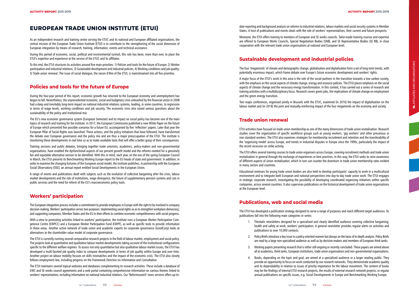# **EUROPEAN TRADE UNION INSTITUTE (ETUI)**

As an independent research and training centre serving the ETUC and its national and European affiliated organisations, the central mission of the European Trade Union Institute (ETUI) is to contribute to the strengthening of the social dimension of European integration by means of research, training, information, events and technical assistance.

During this period of economic, social, political and environmental turmoil, this role has been, more than ever, to place the ETUI's expertise and experience at the service of the ETUC and its affiliates.

To this end, the ETUI structures its activities around five main priorities: 1) Policies and tools for the future of Europe; 2) Worker participation and industrial relations; 3) Sustainable development and industrial policies; 4) Working conditions and job quality; 5) Trade union renewal. The issue of social dialogue, the raison d'être of the ETUI, is mainstreamed into all five priorities.

## **Policies and tools for the future of Europe**

During the four-year period of this report, economic growth has returned to the European economy and unemployment has begun to fall. Nevertheless, the unprecedented economic, social and budgetary crisis unleashed by the financial sector in 2008 had a deep and inevitably long-term impact on national industrial relations systems, leading, in some countries, to regression in terms of wage levels, working conditions and job security. The economic crisis also raised serious questions about the sustainability of the policy and institutional mix.

The EU's new economic governance system (European Semester) and its impact on social policy has become one of the main topics of research and training for the institute. In 2017, the European Commission published a new White Paper on the future of Europe which presented five possible scenarios for a future EU, accompanied by five 'reflection' papers. Later that year the European Pillar of Social Rights was launched. These actions, and the policy initiatives that have followed, have transformed the debate over European governance and the policy mix and are thus a major preoccupation of the ETUI. The institute is monitoring these developments in real time so as to make available tools that will offer a better grasp of their consequences.

Training sessions and public debates, bringing together trade unionists, academics, policy-makers and non-governmental organisations, have enabled the dysfunctional aspects of our present growth model and the reforms needed for a genuinely fair and equitable alternative version to be identified. With this in mind, each year, on the eve of the spring European Council in March, the ETUI presents its Benchmarking Working Europe report to the EU heads of state and government. In addition, in order to examine the changing fortunes of the European social model, the institute publishes, in partnership with the European Social Observatory (OSE), an annual report entitled Social Developments in the European Union.

A range of events and publications dealt with subjects such as the evolution of collective bargaining after the crisis, labour market developments and the role of institutions, wage divergence, the future of supplementary pension systems and cuts in public services and the need for reform of the EU's macroeconomic policy tools.

## **Workers' participation**

The European integration process includes a commitment to provide employees in Europe with the right to be involved in company decision-making. Workers' participation serves two purposes: implementing social rights so as to strengthen workplace democracy; and supporting companies, Member States and the EU in their efforts to combine economic competitiveness with social progress.

With a view to promoting activities linked to workers' participation, the Institute runs a European Worker Participation Com petence Centre (EWPCC) and a European Worker Participation Fund (EWPF), as well as specific tools to provide information in these areas. Another active network of trade union and academic experts on corporate governance (GoodCorp) looks at alternatives to the shareholder value model of corporate governance.

The ETUI is currently running several comparative research projects in the field of labour market, employment and social policy. The projects look at quantitative and qualitative labour market developments taking account of the institutional configurations specific to the different welfare regimes. To assess not only quantitative but also qualitative labour market issues, the ETUI has developed a multi-faceted job quality index to compare developments in terms of job quality within Europe and over time. Another project on labour mobility focuses on skills mismatches and the impact of the economic crisis. The ETUI also closely follows employment law, including progress on the Framework Directive on Information and Consultation.

The ETUI maintains several topical websites and databases complementing its research activities. These include a database of EWC and SE works council agreements and a web portal containing comprehensive information on various themes linked to workers' representation, including information on national industrial relations. Our 'Reformswatch' news services offers up-to-

date reporting and background analysis on reforms to industrial relations, labour markets and social security systems in Member States. A host of publications and events deals with the role of workers' representatives, their current and future prospects.

Moreover, the ETUI offers training to members of European and SE works councils. Tailor-made training courses and expertise are offered to European Works Councils, Special Negotiation Bodies (SNB), and SE Representative Bodies (SE RB), in close cooperation with the relevant trade union organisations at national and European level.

# **Sustainable development and industrial policies**

The four 'megatrends' of climate and demographic change, globalisation and digitalisation form a set of long-term trends, with potentially enormous impact, which frame debate over Europe's future economic development and workers' rights.

A major focus of the ETUI's work in this area is the role of the social partners in the transition towards a low-carbon society, with the emphasis on the social aspects of climate change, energy and resource policies. The ETUI places emphasis on the social aspects of climate change and the necessary energy transformation. In this context, it has carried out a series of research and training activities with a multidisciplinary focus. Research covers green jobs, the implications of climate change on employment and the green energy transition.

Two major conferences, organised jointly in Brussels with the ETUC, examined (in 2016) the impact of digitalisation on the labour market and (in 2018) the joint and mutually-reinforcing impact of the four megatrends on the economy and society.

## **Trade union renewal**

ETUI activities have focused on trade union membership as one of the many dimensions of trade union revitalisation. Research studies cover the organisation of specific workforce groups such as young workers, 'gig workers' and other precarious or non-standard workers. The ETUI also examines strategies for membership recruitment and retention and the transferability of the 'organising model' across Europe, and trends in industrial disputes in Europe since the 1990s, particularly the impact of the recent recession on strike activity.

The ETUI offers several training courses to trade union organisers across Europe, covering recruitment methods and trade union revitalisation in general through the exchange of experiences or best practices. In this way, the ETUI seeks to raise awareness of different aspects of union revitalisation, which in turn can counter the downturn in trade union membership rates evident in many sectors and countries.

Educational seminars for young trade union leaders are also held to develop participants' capacity to work in a multicultural environment and to integrate both European and national perspectives into day-to-day trade union work. The ETUI engages in strategic corporate research, investigating the possibility of developing coordinated organising initiatives within specific companies, across several countries. It also supervises publications on the historical development of trade union organisations at the European level.

# **Publications, web and social media**

The ETUI has developed a publication strategy designed to serve a range of purposes and reach different target audiences. Its publications fall into the following main categories or series:

1. Thematic newsletters designed for a specialised and clearly identified audience covering collective bargaining; health and safety at work; workers' participation. A general newsletter provides regular alerts on activities and

- publications to over 10,000 contacts.
- 
- 
- 

2. Policy Briefs introduce a key issue in a policy-oriented manner but always on the basis of in-depth analysis. Policy Briefs are read by a large non-specialised audience as well as by decision-makers and members of European think tanks.

3. Working papers presenting research that is either still ongoing or recently concluded. These papers are aimed above all at academics, think tanks, European institutions, trade union organisations and non-governmental organisations.

4. Books, depending on the topic and goal, are aimed at a specialised audience or a larger reading public. They provide an opportunity to focus on work conducted by our research networks. They demonstrate academic quality and its dependability in relation to issues of priority importance for the labour movement. The content of books may be the findings of internal ETUI research projects, the results of external research network projects, or regular annual publications on specific issues, e.g. Social Developments in Europe and Benchmarking Working Europe.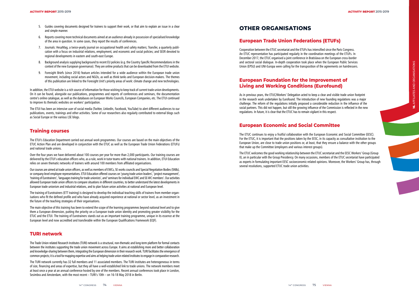- 5. Guides covering documents designed for trainers to support their work, or that aim to explain an issue in a clear and simple manner.
- 6. Reports covering more technical documents aimed at an audience already in possession of specialised knowledge of the area in question. In some cases, they report the results of conferences.
- 7. Journals: HesaMag, a twice-yearly journal on occupational health and safety matters; Transfer, a quarterly publi cation with a focus on industrial relations, employment, and economic and social policies; and SEER devoted to regional developments in eastern and south-east Europe.
- 8. Background analysis supplying background to recent EU policies (e.g. the Country Specific Recommendations in the context of the new European governance). They are online products that can be downloaded from the ETUI website.
- 9. Foresight Briefs (since 2016) feature articles intended for a wide audience within the European trade union movement, including social actors and NGOs, as well as think tanks and European decision-makers. The themes of this publication are linked to the Foresight Unit's priority areas of work: climate change and new technologies.

In addition, the ETUI website is a rich source of information for those wishing to keep track of current trade union developments. On it can be found, alongside our publications, programmes and reports of conferences and seminars, the documentation centre's online catalogue, as well as the databases on European Works Councils, European Companies, etc. The ETUI continued to improve its thematic websites on workers' participation.

The ETUI has been an intensive user of social media (Twitter, LinkedIn, Facebook, YouTube) to alert different audiences to our publications, events, trainings and other activities. Some of our researchers also regularly contributed to external blogs such as Social Europe or the various LSE blogs.

## **Training courses**

The ETUI's Education Department carried out annual work programmes. Our courses are based on the main objectives of the ETUC Action Plan and are developed in conjunction with the ETUC as well as the European Trade Union Federations (ETUFs) and national trade unions.

Over the four years we have delivered about 100 courses per year for more than 2,000 participants. Our training courses are delivered by the ETUI's education officers who, as a rule, work in tutor teams with national trainers. In addition, ETUI Education relies on seven thematic networks of trainers with around 100 members from affiliated organisations.

Our courses are aimed at trade union officers, as well as members of EWCs, SE works councils and Special Negotiation Bodies (SNBs), or company-level employee representatives. ETUI Education offered courses on 'young trade union leaders', 'project management', 'training of Eurotrainers', 'languages training for trade unionists', and 'seminars for individual EWC and SE-WC members'. Our activities allowed European trade union officers to compare situations in different countries, to better understand the latest developments in European trade unionism and industrial relations, and to plan future union activities at national and European level.

The training of Eurotrainers (ETT training) is designed to develop the individual teaching skills of trainers from member organ isations who fit the defined profile and who have already acquired experience at national or sector level, as an investment in the future of the teaching strategies of their organisations.

**16.** AFFILIATES AND ORGANISATIONS 16. AFFILIATES AND ORGANISATIONS

The main objective of this training has been to extend the scope of the learning programmes beyond national level and to give them a European dimension, putting the priority on a European trade union identity and promoting greater visibility for the ETUC and the ETUI. The training of Eurotrainers stands out as an important training programme, unique in its essence at the European level and now accredited and transferable within the European Qualifications Framework (EQF).

#### **TURI network**

The Trade Union related Research Institutes (TURI) network is a structural, non-thematic and long-term platform for formal contacts between the institutes supporting the trade union movement across Europe. It aims at establishing more and better collaboration and knowledge-sharing between them, integrating the European dimension in their research work. TURI facilitates the emergence of common projects; it is a tool for mapping expertise and aims at helping trade union related institutes to engage in comparative research.

The TURI network currently has 32 full members and 11 associated members. The TURI institutes are heterogeneous in terms of size, financing and areas of expertise, but they all have a well-established link to trade unions. The network members meet at least once a year at an annual conference hosted by one of the members. Recent annual conferences took place in London, Sesimbra and Amsterdam, with the most recent – TURI's 10th – on 16-18 May 2018 in Berlin.

## **European Trade Union Federations (ETUFs)**

Cooperation between the ETUC secretariat and the ETUFs has intensified since the Paris Congress. An ETUC representative has participated regularly in the coordination meetings of the ETUFs. In December 2017, the ETUC organised a joint conference in Bratislava on the European cross-border and sectoral social dialogue. In-depth cooperation took place when the European Public Services Union (EPSU) and UNI-Europa were calling for the transposition of the agreements on hairdressers.

## **European Foundation for the Improvement of Living and Working Conditions (Eurofound)**

As in previous years, the ETUC/Workers' Delegation acted to keep a clear and visible trade union footprint in the research work undertaken by Eurofound. The introduction of new founding regulations was a major challenge. The reform of the regulations initially proposed a considerable reduction in the influence of the social partners. This did not happen, but still the growing influence of the Commission is reflected in the new regulations. In future, it is clear that the ETUC has to remain vigilant in this respect.

## **European Economic and Social Committee**

The ETUC continues to enjoy a fruitful collaboration with the European Economic and Social Committee (EESC). For the ETUC, it is important that the positions taken by the EESC, in its capacity as consultative institution to the European Union, are close to trade union positions or, at least, that they ensure a balance with the other groups that make up the Committee (employers and various interest groups).

The ETUC welcomes the good working relationship between the ETUC secretariat and the EESC Workers' Group (Group II), an in particular with the Group Presidency. On many occasions, members of the ETUC secretariat have participated as experts in formulating important EESC socioeconomic-related opinions. Moreover, the Workers' Group has, through several resolutions, supported ETUC trade union activities.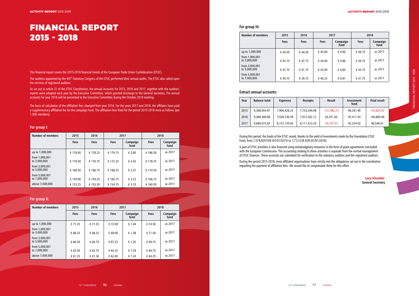# FINANCIAL REPORT 2015 - 2018

The auditors appointed by the XIII<sup>th</sup> Statutory Congress of the ETUC performed their annual audits. The ETUC also called upon the services of registered auditors.

This financial report covers the 2015-2018 financial trends of the European Trade Union Confederation (ETUC).

As set out in article 31 of the ETUC Constitution, the annual accounts for 2015, 2016 and 2017, together with the auditors' reports were adopted each year by the Executive Committee, which granted discharge to the General Secretary. The annual accounts for year 2018 will be presented to the Executive Committee during the October 2019 meeting.

The basis of calculation of the affiliation fees changed from year 2016. For the years 2017 and 2018, the affiliates have paid a supplementary affiliation fee for the campaign fund. The affiliation fees fixed for the period 2015-2018 were as follows (per 1,000 members):

#### **For group I:**

| <b>Number of members</b>       | 2015        | 2016        | 2017        |                  | 2018        |                  |  |
|--------------------------------|-------------|-------------|-------------|------------------|-------------|------------------|--|
|                                | <b>Fees</b> | <b>Fees</b> | <b>Fees</b> | Campaign<br>fund | <b>Fees</b> | Campaign<br>fund |  |
| up to 1,000,000                | € 178.00    | € 178.25    | € 179.75    | € 3.60           | € 186.50    | as 2017          |  |
| from 1,000,001<br>to 3,000,000 | € 170.50    | € 170.75    | € 172.25    | € 3.45           | € 178.75    | as 2017          |  |
| from 3,000,001<br>to 5,000,000 | € 166.50    | € 166.75    | € 168.25    | € 3.37           | € 174.50    | as 2017          |  |
| from 5,000,001<br>to 7,000,000 | € 159.00    | € 159.25    | € 160.75    | € 3.22           | € 166.75    | as 2017          |  |
| above 7,000,000                | € 153.25    | € 153.50    | € 154.75    | € 3.10           | € 160.50    | as 2017          |  |

#### **For group II:**

| <b>Number of members</b>       | 2015        | 2016        |             | 2017             | 2018        |                  |
|--------------------------------|-------------|-------------|-------------|------------------|-------------|------------------|
|                                | <b>Fees</b> | <b>Fees</b> | <b>Fees</b> | Campaign<br>fund | <b>Fees</b> | Campaign<br>fund |
| up to 1,000,000                | € 71.25     | € 71.25     | € 72.00     | € 1.44           | € 74.50     | as 2017          |
| from 1,000,001<br>to 3,000,000 | € 68.25     | € 68.25     | € 69.00     | € 1.38           | € 71.50     | as 2017          |
| from 3,000,001<br>to 5,000,000 | € 66.50     | € 66.75     | € 67.25     | € 1.35           | € 69.75     | as 2017          |
| from 5,000,001<br>to 7,000,000 | € 63.50     | € 63.75     | € 64.25     | € 1.29           | € 66.75     | as 2017          |
| above 7,000,000                | € 61.25     | € 61.50     | € 62.00     | € 1.24           | € 64.25     | as 2017          |

#### **For group III:**

| <b>Number of members</b>       | 2015        | 2016        | 2017        |                  | 2018        |                  |
|--------------------------------|-------------|-------------|-------------|------------------|-------------|------------------|
|                                | <b>Fees</b> | <b>Fees</b> | <b>Fees</b> | Campaign<br>fund | <b>Fees</b> | Campaign<br>fund |
| up to 1,000,000                | € 44.50     | €44.50      | € 45.00     | € 0.90           | €46.75      | as 2017          |
| from 1,000,001<br>to 3,000,000 | €42.75      | €42.75      | €43.00      | € 0.86           | €44.75      | as 2017          |
| from 3,000,001<br>to 5,000,000 | €41.75      | €41.75      | € 42.00     | € 0.84           | €43.75      | as 2017          |
| from 5,000,001<br>to 7,000,000 | € 39.75     | € 39.75     | €40.25      | € 0.81           | €41.75      | as 2017          |

#### **Extract annual accounts:**

| Year | <b>Balance total</b> | <b>Expenses</b> | <b>Receipts</b> | Result        | Investment<br>fund | <b>Final result</b> |
|------|----------------------|-----------------|-----------------|---------------|--------------------|---------------------|
| 2015 | 9,308,954.97         | 7,904,426.23    | 7,753,344.08    | $-151,082.15$ | 96,261.90          | $-54,820.25$        |
| 2016 | 9,409,389.80         | 7,928,730.49    | 7,972,202.12    | 43,471.63     | 97,411.43          | 140,883.06          |
| 2017 | 9,694,015.87         | 8,157,120.65    | 8,111,413.24    | $-45,707.41$  | 92,254.02          | 46,546.61           |

During this period, the funds of the ETUC raised, thanks to the yield of investments made by the Foundation ETUC Fund, from 7,579,929 EUR (01/01/2015) to 7,712,539 EUR (01/01/2018).

A part of ETUC activities is also financed using extrabudgetary resources in the form of grant agreements concluded with the European Commission. The accounting relating to these activities is separate from the normal management of ETUC finances. These accounts are submitted for verification to the statutory auditors and the registered auditors.

During the period 2015-2018, most affiliated organisations have strictly met the obligations set out in the constitution regarding the payment of affiliation fees. We would like to congratulate them for this effort.

Luca Visentini **General Secretary**